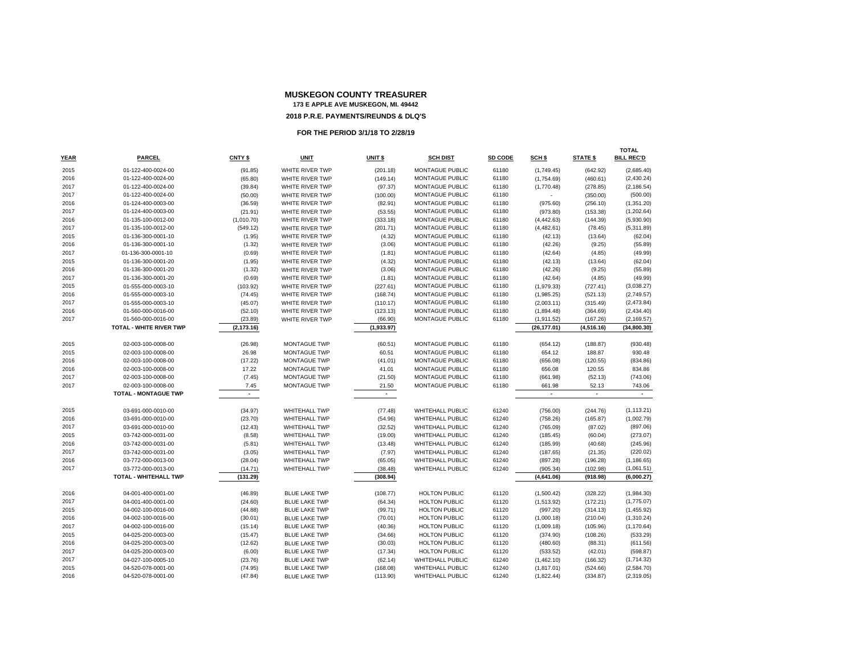|      |                             |             |                      |            |                         |         |                          |                 | <b>TOTAL</b>      |
|------|-----------------------------|-------------|----------------------|------------|-------------------------|---------|--------------------------|-----------------|-------------------|
| YEAR | <b>PARCEL</b>               | CNTY \$     | <b>UNIT</b>          | UNIT \$    | <b>SCH DIST</b>         | SD CODE | SCH \$                   | <b>STATE \$</b> | <b>BILL REC'D</b> |
| 2015 | 01-122-400-0024-00          | (91.85)     | WHITE RIVER TWP      | (201.18)   | MONTAGUE PUBLIC         | 61180   | (1,749.45)               | (642.92)        | (2,685.40)        |
| 2016 | 01-122-400-0024-00          | (65.80)     | WHITE RIVER TWP      | (149.14)   | <b>MONTAGUE PUBLIC</b>  | 61180   | (1,754.69)               | (460.61)        | (2,430.24)        |
| 2017 | 01-122-400-0024-00          | (39.84)     | WHITE RIVER TWP      | (97.37)    | MONTAGUE PUBLIC         | 61180   | (1,770.48)               | (278.85)        | (2, 186.54)       |
| 2017 | 01-122-400-0024-00          | (50.00)     | WHITE RIVER TWP      | (100.00)   | MONTAGUE PUBLIC         | 61180   |                          | (350.00)        | (500.00)          |
| 2016 | 01-124-400-0003-00          | (36.59)     | WHITE RIVER TWP      | (82.91)    | MONTAGUE PUBLIC         | 61180   | (975.60)                 | (256.10)        | (1,351.20)        |
| 2017 | 01-124-400-0003-00          | (21.91)     | WHITE RIVER TWP      | (53.55)    | MONTAGUE PUBLIC         | 61180   | (973.80)                 | (153.38)        | (1,202.64)        |
| 2016 | 01-135-100-0012-00          | (1,010.70)  | WHITE RIVER TWP      | (333.18)   | MONTAGUE PUBLIC         | 61180   | (4, 442.63)              | (144.39)        | (5,930.90)        |
| 2017 | 01-135-100-0012-00          | (549.12)    | WHITE RIVER TWP      | (201.71)   | MONTAGUE PUBLIC         | 61180   | (4,482.61)               | (78.45)         | (5,311.89)        |
| 2015 | 01-136-300-0001-10          | (1.95)      | WHITE RIVER TWP      | (4.32)     | MONTAGUE PUBLIC         | 61180   | (42.13)                  | (13.64)         | (62.04)           |
| 2016 | 01-136-300-0001-10          | (1.32)      | WHITE RIVER TWP      | (3.06)     | <b>MONTAGUE PUBLIC</b>  | 61180   | (42.26)                  | (9.25)          | (55.89)           |
| 2017 | 01-136-300-0001-10          | (0.69)      | WHITE RIVER TWP      | (1.81)     | MONTAGUE PUBLIC         | 61180   | (42.64)                  | (4.85)          | (49.99)           |
| 2015 | 01-136-300-0001-20          | (1.95)      | WHITE RIVER TWP      | (4.32)     | MONTAGUE PUBLIC         | 61180   | (42.13)                  | (13.64)         | (62.04)           |
| 2016 | 01-136-300-0001-20          | (1.32)      | WHITE RIVER TWP      | (3.06)     | MONTAGUE PUBLIC         | 61180   | (42.26)                  | (9.25)          | (55.89)           |
| 2017 | 01-136-300-0001-20          | (0.69)      | WHITE RIVER TWP      | (1.81)     | MONTAGUE PUBLIC         | 61180   | (42.64)                  | (4.85)          | (49.99)           |
| 2015 | 01-555-000-0003-10          | (103.92)    | WHITE RIVER TWP      | (227.61)   | MONTAGUE PUBLIC         | 61180   | (1,979.33)               | (727.41)        | (3,038.27)        |
| 2016 | 01-555-000-0003-10          | (74.45)     | WHITE RIVER TWP      | (168.74)   | MONTAGUE PUBLIC         | 61180   | (1,985.25)               | (521.13)        | (2,749.57)        |
| 2017 | 01-555-000-0003-10          | (45.07)     | WHITE RIVER TWP      | (110.17)   | MONTAGUE PUBLIC         | 61180   | (2,003.11)               | (315.49)        | (2,473.84)        |
| 2016 | 01-560-000-0016-00          | (52.10)     | WHITE RIVER TWP      | (123.13)   | MONTAGUE PUBLIC         | 61180   | (1,894.48)               | (364.69)        | (2,434.40)        |
| 2017 | 01-560-000-0016-00          | (23.89)     | WHITE RIVER TWP      | (66.90)    | MONTAGUE PUBLIC         | 61180   | (1,911.52)               | (167.26)        | (2, 169.57)       |
|      | TOTAL - WHITE RIVER TWP     | (2, 173.16) |                      | (1,933.97) |                         |         | (26, 177.01)             | (4, 516.16)     | (34, 800.30)      |
| 2015 | 02-003-100-0008-00          | (26.98)     | <b>MONTAGUE TWP</b>  | (60.51)    | <b>MONTAGUE PUBLIC</b>  | 61180   | (654.12)                 | (188.87)        | (930.48)          |
| 2015 | 02-003-100-0008-00          | 26.98       | <b>MONTAGUE TWP</b>  | 60.51      | MONTAGUE PUBLIC         | 61180   | 654.12                   | 188.87          | 930.48            |
| 2016 | 02-003-100-0008-00          | (17.22)     | <b>MONTAGUE TWP</b>  | (41.01)    | MONTAGUE PUBLIC         | 61180   | (656.08)                 | (120.55)        | (834.86)          |
| 2016 | 02-003-100-0008-00          | 17.22       | MONTAGUE TWP         | 41.01      | MONTAGUE PUBLIC         | 61180   | 656.08                   | 120.55          | 834.86            |
| 2017 | 02-003-100-0008-00          | (7.45)      | <b>MONTAGUE TWP</b>  | (21.50)    | MONTAGUE PUBLIC         | 61180   | (661.98)                 | (52.13)         | (743.06)          |
| 2017 | 02-003-100-0008-00          | 7.45        | <b>MONTAGUE TWP</b>  | 21.50      | MONTAGUE PUBLIC         | 61180   | 661.98                   | 52.13           | 743.06            |
|      | <b>TOTAL - MONTAGUE TWP</b> | $\sim$      |                      | $\sim$     |                         |         | $\overline{\phantom{a}}$ | $\sim$          | $\bullet$         |
|      |                             |             |                      |            |                         |         |                          |                 |                   |
| 2015 | 03-691-000-0010-00          | (34.97)     | <b>WHITEHALL TWP</b> | (77.48)    | WHITEHALL PUBLIC        | 61240   | (756.00)                 | (244.76)        | (1, 113.21)       |
| 2016 | 03-691-000-0010-00          | (23.70)     | <b>WHITEHALL TWP</b> | (54.96)    | <b>WHITEHALL PUBLIC</b> | 61240   | (758.26)                 | (165.87)        | (1,002.79)        |
| 2017 | 03-691-000-0010-00          | (12.43)     | <b>WHITEHALL TWP</b> | (32.52)    | <b>WHITEHALL PUBLIC</b> | 61240   | (765.09)                 | (87.02)         | (897.06)          |
| 2015 | 03-742-000-0031-00          | (8.58)      | <b>WHITEHALL TWP</b> | (19.00)    | WHITEHALL PUBLIC        | 61240   | (185.45)                 | (60.04)         | (273.07)          |
| 2016 | 03-742-000-0031-00          | (5.81)      | <b>WHITEHALL TWP</b> | (13.48)    | <b>WHITEHALL PUBLIC</b> | 61240   | (185.99)                 | (40.68)         | (245.96)          |
| 2017 | 03-742-000-0031-00          | (3.05)      | <b>WHITEHALL TWP</b> | (7.97)     | <b>WHITEHALL PUBLIC</b> | 61240   | (187.65)                 | (21.35)         | (220.02)          |
| 2016 | 03-772-000-0013-00          | (28.04)     | <b>WHITEHALL TWP</b> | (65.05)    | WHITEHALL PUBLIC        | 61240   | (897.28)                 | (196.28)        | (1, 186.65)       |
| 2017 | 03-772-000-0013-00          | (14.71)     | <b>WHITEHALL TWP</b> | (38.48)    | <b>WHITEHALL PUBLIC</b> | 61240   | (905.34)                 | (102.98)        | (1,061.51)        |
|      | TOTAL - WHITEHALL TWP       | (131.29)    |                      | (308.94)   |                         |         | (4,641.06)               | (918.98)        | (6,000.27)        |
| 2016 | 04-001-400-0001-00          | (46.89)     | <b>BLUE LAKE TWP</b> | (108.77)   | <b>HOLTON PUBLIC</b>    | 61120   | (1,500.42)               | (328.22)        | (1,984.30)        |
| 2017 | 04-001-400-0001-00          | (24.60)     | <b>BLUE LAKE TWP</b> | (64.34)    | <b>HOLTON PUBLIC</b>    | 61120   | (1,513.92)               | (172.21)        | (1,775.07)        |
| 2015 | 04-002-100-0016-00          | (44.88)     | <b>BLUE LAKE TWP</b> | (99.71)    | <b>HOLTON PUBLIC</b>    | 61120   | (997.20)                 | (314.13)        | (1,455.92)        |
| 2016 | 04-002-100-0016-00          | (30.01)     | <b>BLUE LAKE TWP</b> | (70.01)    | <b>HOLTON PUBLIC</b>    | 61120   | (1,000.18)               | (210.04)        | (1,310.24)        |
| 2017 | 04-002-100-0016-00          | (15.14)     | <b>BLUE LAKE TWP</b> | (40.36)    | <b>HOLTON PUBLIC</b>    | 61120   | (1,009.18)               | (105.96)        | (1, 170.64)       |
| 2015 | 04-025-200-0003-00          | (15.47)     | <b>BLUE LAKE TWP</b> | (34.66)    | <b>HOLTON PUBLIC</b>    | 61120   | (374.90)                 | (108.26)        | (533.29)          |
| 2016 | 04-025-200-0003-00          | (12.62)     | <b>BLUE LAKE TWP</b> | (30.03)    | <b>HOLTON PUBLIC</b>    | 61120   | (480.60)                 | (88.31)         | (611.56)          |
| 2017 | 04-025-200-0003-00          | (6.00)      | <b>BLUE LAKE TWP</b> | (17.34)    | <b>HOLTON PUBLIC</b>    | 61120   | (533.52)                 | (42.01)         | (598.87)          |
| 2017 | 04-027-100-0005-10          | (23.76)     | <b>BLUE LAKE TWP</b> | (62.14)    | <b>WHITEHALL PUBLIC</b> | 61240   | (1,462.10)               | (166.32)        | (1,714.32)        |
| 2015 | 04-520-078-0001-00          | (74.95)     | <b>BLUE LAKE TWP</b> | (168.08)   | <b>WHITEHALL PUBLIC</b> | 61240   | (1,817.01)               | (524.66)        | (2,584.70)        |
| 2016 | 04-520-078-0001-00          | (47.84)     | <b>BLUE LAKE TWP</b> | (113.90)   | WHITEHALL PUBLIC        | 61240   | (1,822.44)               | (334.87)        | (2,319.05)        |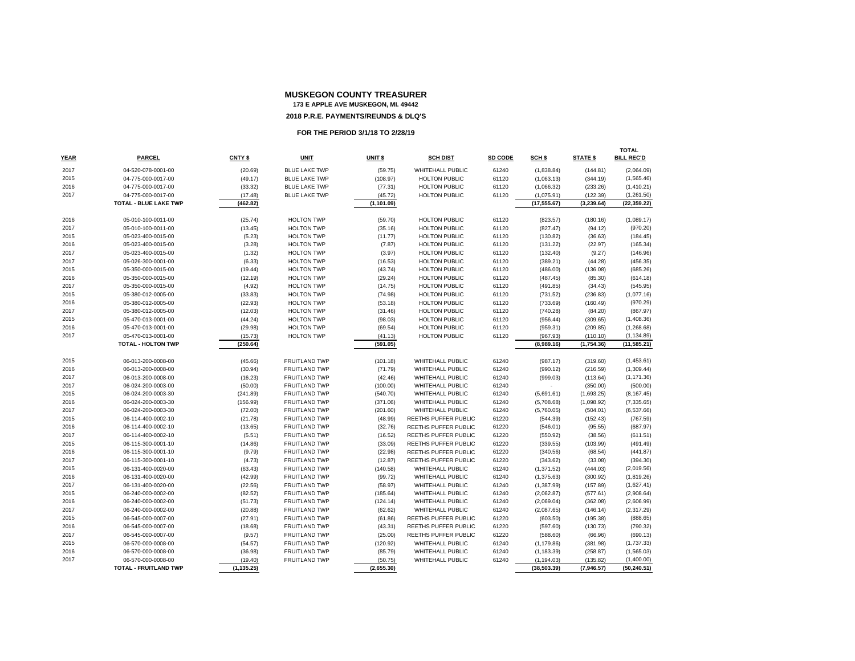| <b>YEAR</b>  | <b>PARCEL</b>                            |                     |                                              |                      |                                             |                |                          |                      | <b>TOTAL</b><br><b>BILL REC'D</b> |
|--------------|------------------------------------------|---------------------|----------------------------------------------|----------------------|---------------------------------------------|----------------|--------------------------|----------------------|-----------------------------------|
|              |                                          | CNTY \$             | <b>UNIT</b>                                  | UNIT \$              | <b>SCH DIST</b>                             | SD CODE        | SCH \$                   | <b>STATE \$</b>      |                                   |
| 2017         | 04-520-078-0001-00                       | (20.69)             | <b>BLUE LAKE TWP</b>                         | (59.75)              | WHITEHALL PUBLIC                            | 61240          | (1,838.84)               | (144.81)             | (2,064.09)                        |
| 2015         | 04-775-000-0017-00                       | (49.17)             | <b>BLUE LAKE TWP</b>                         | (108.97)             | <b>HOLTON PUBLIC</b>                        | 61120          | (1,063.13)               | (344.19)             | (1,565.46)                        |
| 2016         | 04-775-000-0017-00                       | (33.32)             | <b>BLUE LAKE TWP</b>                         | (77.31)              | <b>HOLTON PUBLIC</b>                        | 61120          | (1,066.32)               | (233.26)             | (1,410.21)                        |
| 2017         | 04-775-000-0017-00                       | (17.48)             | <b>BLUE LAKE TWP</b>                         | (45.72)              | <b>HOLTON PUBLIC</b>                        | 61120          | (1,075.91)               | (122.39)             | (1,261.50)                        |
|              | TOTAL - BLUE LAKE TWP                    | (462.82)            |                                              | (1, 101.09)          |                                             |                | (17, 555.67)             | (3, 239.64)          | (22, 359.22)                      |
| 2016         | 05-010-100-0011-00                       | (25.74)             | <b>HOLTON TWP</b>                            | (59.70)              | <b>HOLTON PUBLIC</b>                        | 61120          | (823.57)                 | (180.16)             | (1,089.17)                        |
| 2017         | 05-010-100-0011-00                       | (13.45)             | <b>HOLTON TWP</b>                            | (35.16)              | <b>HOLTON PUBLIC</b>                        | 61120          | (827.47)                 | (94.12)              | (970.20)                          |
| 2015         | 05-023-400-0015-00                       | (5.23)              | <b>HOLTON TWP</b>                            | (11.77)              | <b>HOLTON PUBLIC</b>                        | 61120          | (130.82)                 | (36.63)              | (184.45)                          |
| 2016         | 05-023-400-0015-00                       | (3.28)              | <b>HOLTON TWP</b>                            | (7.87)               | <b>HOLTON PUBLIC</b>                        | 61120          | (131.22)                 | (22.97)              | (165.34)                          |
| 2017         | 05-023-400-0015-00                       | (1.32)              | <b>HOLTON TWP</b>                            | (3.97)               | <b>HOLTON PUBLIC</b>                        | 61120          | (132.40)                 | (9.27)               | (146.96)                          |
| 2017         | 05-026-300-0001-00                       | (6.33)              | <b>HOLTON TWP</b>                            | (16.53)              | <b>HOLTON PUBLIC</b>                        | 61120          | (389.21)                 | (44.28)              | (456.35)                          |
| 2015         | 05-350-000-0015-00                       | (19.44)             | <b>HOLTON TWP</b>                            | (43.74)              | <b>HOLTON PUBLIC</b>                        | 61120          | (486.00)                 | (136.08)             | (685.26)                          |
| 2016         | 05-350-000-0015-00                       | (12.19)             | <b>HOLTON TWP</b>                            | (29.24)              | <b>HOLTON PUBLIC</b>                        | 61120          | (487.45)                 | (85.30)              | (614.18)                          |
| 2017         | 05-350-000-0015-00                       | (4.92)              | <b>HOLTON TWP</b>                            | (14.75)              | <b>HOLTON PUBLIC</b>                        | 61120          | (491.85)                 | (34.43)              | (545.95)                          |
| 2015         | 05-380-012-0005-00                       | (33.83)             | <b>HOLTON TWP</b>                            | (74.98)              | <b>HOLTON PUBLIC</b>                        | 61120          | (731.52)                 | (236.83)             | (1,077.16)                        |
| 2016         | 05-380-012-0005-00                       | (22.93)             | <b>HOLTON TWP</b>                            | (53.18)              | <b>HOLTON PUBLIC</b>                        | 61120          | (733.69)                 | (160.49)             | (970.29)                          |
| 2017         | 05-380-012-0005-00                       | (12.03)             | <b>HOLTON TWP</b>                            | (31.46)              | <b>HOLTON PUBLIC</b>                        | 61120          | (740.28)                 | (84.20)              | (867.97)                          |
| 2015         | 05-470-013-0001-00                       | (44.24)             | <b>HOLTON TWP</b>                            | (98.03)              | <b>HOLTON PUBLIC</b>                        | 61120          | (956.44)                 | (309.65)             | (1,408.36)                        |
| 2016         | 05-470-013-0001-00                       | (29.98)             | <b>HOLTON TWP</b>                            | (69.54)              | <b>HOLTON PUBLIC</b>                        | 61120          | (959.31)                 | (209.85)             | (1,268.68)                        |
| 2017         | 05-470-013-0001-00                       | (15.73)             | <b>HOLTON TWP</b>                            | (41.13)              | <b>HOLTON PUBLIC</b>                        | 61120          | (967.93)                 | (110.10)             | (1, 134.89)                       |
|              | <b>TOTAL - HOLTON TWP</b>                | (250.64)            |                                              | (591.05)             |                                             |                | (8,989.16)               | (1,754.36)           | (11, 585.21)                      |
|              |                                          |                     |                                              |                      |                                             |                |                          |                      |                                   |
| 2015         | 06-013-200-0008-00                       | (45.66)             | <b>FRUITLAND TWP</b>                         | (101.18)             | WHITEHALL PUBLIC                            | 61240          | (987.17)                 | (319.60)             | (1,453.61)                        |
| 2016         | 06-013-200-0008-00                       | (30.94)             | <b>FRUITLAND TWP</b>                         | (71.79)              | WHITEHALL PUBLIC                            | 61240          | (990.12)                 | (216.59)             | (1,309.44)                        |
| 2017         | 06-013-200-0008-00                       | (16.23)             | <b>FRUITLAND TWP</b>                         | (42.46)              | <b>WHITEHALL PUBLIC</b>                     | 61240          | (999.03)                 | (113.64)             | (1, 171.36)                       |
| 2017<br>2015 | 06-024-200-0003-00<br>06-024-200-0003-30 | (50.00)             | <b>FRUITLAND TWP</b><br><b>FRUITLAND TWP</b> | (100.00)             | WHITEHALL PUBLIC<br><b>WHITEHALL PUBLIC</b> | 61240<br>61240 |                          | (350.00)             | (500.00)                          |
|              |                                          | (241.89)            |                                              | (540.70)             |                                             | 61240          | (5,691.61)               | (1,693.25)           | (8, 167.45)                       |
| 2016<br>2017 | 06-024-200-0003-30<br>06-024-200-0003-30 | (156.99)<br>(72.00) | <b>FRUITLAND TWP</b><br><b>FRUITLAND TWP</b> | (371.06)<br>(201.60) | <b>WHITEHALL PUBLIC</b><br>WHITEHALL PUBLIC | 61240          | (5,708.68)<br>(5,760.05) | (1,098.92)           | (7, 335.65)<br>(6,537.66)         |
| 2015         | 06-114-400-0002-10                       | (21.78)             | <b>FRUITLAND TWP</b>                         | (48.99)              | REETHS PUFFER PUBLIC                        | 61220          | (544.39)                 | (504.01)<br>(152.43) | (767.59)                          |
| 2016         | 06-114-400-0002-10                       | (13.65)             | <b>FRUITLAND TWP</b>                         | (32.76)              | REETHS PUFFER PUBLIC                        | 61220          | (546.01)                 | (95.55)              | (687.97)                          |
| 2017         | 06-114-400-0002-10                       | (5.51)              | <b>FRUITLAND TWP</b>                         | (16.52)              | REETHS PUFFER PUBLIC                        | 61220          | (550.92)                 | (38.56)              | (611.51)                          |
| 2015         | 06-115-300-0001-10                       | (14.86)             | <b>FRUITLAND TWP</b>                         | (33.09)              | REETHS PUFFER PUBLIC                        | 61220          | (339.55)                 | (103.99)             | (491.49)                          |
| 2016         | 06-115-300-0001-10                       | (9.79)              | <b>FRUITLAND TWP</b>                         | (22.98)              | REETHS PUFFER PUBLIC                        | 61220          | (340.56)                 | (68.54)              | (441.87)                          |
| 2017         | 06-115-300-0001-10                       | (4.73)              | <b>FRUITLAND TWP</b>                         | (12.87)              | REETHS PUFFER PUBLIC                        | 61220          | (343.62)                 | (33.08)              | (394.30)                          |
| 2015         | 06-131-400-0020-00                       | (63.43)             | <b>FRUITLAND TWP</b>                         | (140.58)             | WHITEHALL PUBLIC                            | 61240          | (1,371.52)               | (444.03)             | (2,019.56)                        |
| 2016         | 06-131-400-0020-00                       | (42.99)             | <b>FRUITLAND TWP</b>                         | (99.72)              | WHITEHALL PUBLIC                            | 61240          | (1,375.63)               | (300.92)             | (1,819.26)                        |
| 2017         | 06-131-400-0020-00                       | (22.56)             | <b>FRUITLAND TWP</b>                         | (58.97)              | WHITEHALL PUBLIC                            | 61240          | (1,387.99)               | (157.89)             | (1,627.41)                        |
| 2015         | 06-240-000-0002-00                       | (82.52)             | <b>FRUITLAND TWP</b>                         | (185.64)             | <b>WHITEHALL PUBLIC</b>                     | 61240          | (2,062.87)               | (577.61)             | (2,908.64)                        |
| 2016         | 06-240-000-0002-00                       | (51.73)             | <b>FRUITLAND TWP</b>                         | (124.14)             | WHITEHALL PUBLIC                            | 61240          | (2,069.04)               | (362.08)             | (2,606.99)                        |
| 2017         | 06-240-000-0002-00                       | (20.88)             | <b>FRUITLAND TWP</b>                         | (62.62)              | WHITEHALL PUBLIC                            | 61240          | (2,087.65)               | (146.14)             | (2,317.29)                        |
| 2015         | 06-545-000-0007-00                       | (27.91)             | <b>FRUITLAND TWP</b>                         | (61.86)              | REETHS PUFFER PUBLIC                        | 61220          | (603.50)                 | (195.38)             | (888.65)                          |
| 2016         | 06-545-000-0007-00                       | (18.68)             | <b>FRUITLAND TWP</b>                         | (43.31)              | REETHS PUFFER PUBLIC                        | 61220          | (597.60)                 | (130.73)             | (790.32)                          |
| 2017         | 06-545-000-0007-00                       | (9.57)              | <b>FRUITLAND TWP</b>                         | (25.00)              | REETHS PUFFER PUBLIC                        | 61220          | (588.60)                 | (66.96)              | (690.13)                          |
| 2015         | 06-570-000-0008-00                       | (54.57)             | <b>FRUITLAND TWP</b>                         | (120.92)             | <b>WHITEHALL PUBLIC</b>                     | 61240          | (1, 179.86)              | (381.98)             | (1,737.33)                        |
| 2016         | 06-570-000-0008-00                       | (36.98)             | <b>FRUITLAND TWP</b>                         | (85.79)              | <b>WHITEHALL PUBLIC</b>                     | 61240          | (1, 183.39)              | (258.87)             | (1,565.03)                        |
| 2017         | 06-570-000-0008-00                       | (19.40)             | <b>FRUITLAND TWP</b>                         | (50.75)              | WHITEHALL PUBLIC                            | 61240          | (1, 194.03)              | (135.82)             | (1,400.00)                        |
|              | TOTAL - FRUITLAND TWP                    | (1, 135.25)         |                                              | (2,655.30)           |                                             |                | (38, 503.39)             | (7,946.57)           | (50, 240.51)                      |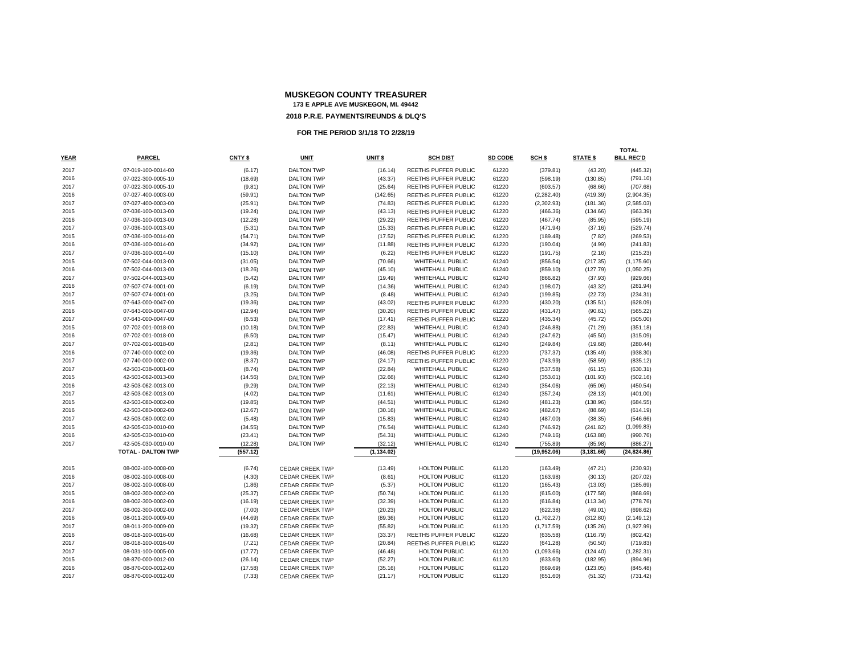|             |                           |          |                        |                    |                             |         |                   |                 | TOTAL             |
|-------------|---------------------------|----------|------------------------|--------------------|-----------------------------|---------|-------------------|-----------------|-------------------|
| <b>YEAR</b> | <b>PARCEL</b>             | CNTY \$  | <b>UNIT</b>            | UNIT <sub>\$</sub> | <b>SCH DIST</b>             | SD CODE | SCH <sub>\$</sub> | <b>STATE \$</b> | <b>BILL REC'D</b> |
| 2017        | 07-019-100-0014-00        | (6.17)   | <b>DALTON TWP</b>      | (16.14)            | <b>REETHS PUFFER PUBLIC</b> | 61220   | (379.81)          | (43.20)         | (445.32)          |
| 2016        | 07-022-300-0005-10        | (18.69)  | <b>DALTON TWP</b>      | (43.37)            | <b>REETHS PUFFER PUBLIC</b> | 61220   | (598.19)          | (130.85)        | (791.10)          |
| 2017        | 07-022-300-0005-10        | (9.81)   | <b>DALTON TWP</b>      | (25.64)            | REETHS PUFFER PUBLIC        | 61220   | (603.57)          | (68.66)         | (707.68)          |
| 2016        | 07-027-400-0003-00        | (59.91)  | <b>DALTON TWP</b>      | (142.65)           | REETHS PUFFER PUBLIC        | 61220   | (2, 282.40)       | (419.39)        | (2,904.35)        |
| 2017        | 07-027-400-0003-00        | (25.91)  | <b>DALTON TWP</b>      | (74.83)            | REETHS PUFFER PUBLIC        | 61220   | (2,302.93)        | (181.36)        | (2,585.03)        |
| 2015        | 07-036-100-0013-00        | (19.24)  | <b>DALTON TWP</b>      | (43.13)            | <b>REETHS PUFFER PUBLIC</b> | 61220   | (466.36)          | (134.66)        | (663.39)          |
| 2016        | 07-036-100-0013-00        | (12.28)  | <b>DALTON TWP</b>      | (29.22)            | REETHS PUFFER PUBLIC        | 61220   | (467.74)          | (85.95)         | (595.19)          |
| 2017        | 07-036-100-0013-00        | (5.31)   | <b>DALTON TWP</b>      | (15.33)            | REETHS PUFFER PUBLIC        | 61220   | (471.94)          | (37.16)         | (529.74)          |
| 2015        | 07-036-100-0014-00        | (54.71)  | <b>DALTON TWP</b>      | (17.52)            | <b>REETHS PUFFER PUBLIC</b> | 61220   | (189.48)          | (7.82)          | (269.53)          |
| 2016        | 07-036-100-0014-00        | (34.92)  | <b>DALTON TWP</b>      | (11.88)            | REETHS PUFFER PUBLIC        | 61220   | (190.04)          | (4.99)          | (241.83)          |
| 2017        | 07-036-100-0014-00        | (15.10)  | <b>DALTON TWP</b>      | (6.22)             | <b>REETHS PUFFER PUBLIC</b> | 61220   | (191.75)          | (2.16)          | (215.23)          |
| 2015        | 07-502-044-0013-00        | (31.05)  | <b>DALTON TWP</b>      | (70.66)            | WHITEHALL PUBLIC            | 61240   | (856.54)          | (217.35)        | (1, 175.60)       |
| 2016        | 07-502-044-0013-00        | (18.26)  | <b>DALTON TWP</b>      | (45.10)            | <b>WHITEHALL PUBLIC</b>     | 61240   | (859.10)          | (127.79)        | (1,050.25)        |
| 2017        | 07-502-044-0013-00        | (5.42)   | <b>DALTON TWP</b>      | (19.49)            | <b>WHITEHALL PUBLIC</b>     | 61240   | (866.82)          | (37.93)         | (929.66)          |
| 2016        | 07-507-074-0001-00        | (6.19)   | <b>DALTON TWP</b>      | (14.36)            | WHITEHALL PUBLIC            | 61240   | (198.07)          | (43.32)         | (261.94)          |
| 2017        | 07-507-074-0001-00        | (3.25)   | <b>DALTON TWP</b>      | (8.48)             | <b>WHITEHALL PUBLIC</b>     | 61240   | (199.85)          | (22.73)         | (234.31)          |
| 2015        | 07-643-000-0047-00        | (19.36)  | <b>DALTON TWP</b>      | (43.02)            | <b>REETHS PUFFER PUBLIC</b> | 61220   | (430.20)          | (135.51)        | (628.09)          |
| 2016        | 07-643-000-0047-00        | (12.94)  | <b>DALTON TWP</b>      | (30.20)            | REETHS PUFFER PUBLIC        | 61220   | (431.47)          | (90.61)         | (565.22)          |
| 2017        | 07-643-000-0047-00        | (6.53)   | <b>DALTON TWP</b>      | (17.41)            | <b>REETHS PUFFER PUBLIC</b> | 61220   | (435.34)          | (45.72)         | (505.00)          |
| 2015        | 07-702-001-0018-00        | (10.18)  | <b>DALTON TWP</b>      | (22.83)            | <b>WHITEHALL PUBLIC</b>     | 61240   | (246.88)          | (71.29)         | (351.18)          |
| 2016        | 07-702-001-0018-00        | (6.50)   | <b>DALTON TWP</b>      | (15.47)            | <b>WHITEHALL PUBLIC</b>     | 61240   | (247.62)          | (45.50)         | (315.09)          |
| 2017        | 07-702-001-0018-00        | (2.81)   | <b>DALTON TWP</b>      | (8.11)             | WHITEHALL PUBLIC            | 61240   | (249.84)          | (19.68)         | (280.44)          |
| 2016        | 07-740-000-0002-00        | (19.36)  | <b>DALTON TWP</b>      | (46.08)            | REETHS PUFFER PUBLIC        | 61220   | (737.37)          | (135.49)        | (938.30)          |
| 2017        | 07-740-000-0002-00        | (8.37)   | <b>DALTON TWP</b>      | (24.17)            | REETHS PUFFER PUBLIC        | 61220   | (743.99)          | (58.59)         | (835.12)          |
| 2017        | 42-503-038-0001-00        | (8.74)   | <b>DALTON TWP</b>      | (22.84)            | WHITEHALL PUBLIC            | 61240   | (537.58)          | (61.15)         | (630.31)          |
| 2015        | 42-503-062-0013-00        | (14.56)  | <b>DALTON TWP</b>      | (32.66)            | <b>WHITEHALL PUBLIC</b>     | 61240   | (353.01)          | (101.93)        | (502.16)          |
| 2016        | 42-503-062-0013-00        | (9.29)   | <b>DALTON TWP</b>      | (22.13)            | WHITEHALL PUBLIC            | 61240   | (354.06)          | (65.06)         | (450.54)          |
| 2017        | 42-503-062-0013-00        | (4.02)   | <b>DALTON TWP</b>      | (11.61)            | WHITEHALL PUBLIC            | 61240   | (357.24)          | (28.13)         | (401.00)          |
| 2015        | 42-503-080-0002-00        | (19.85)  | <b>DALTON TWP</b>      | (44.51)            | <b>WHITEHALL PUBLIC</b>     | 61240   | (481.23)          | (138.96)        | (684.55)          |
| 2016        | 42-503-080-0002-00        | (12.67)  | <b>DALTON TWP</b>      | (30.16)            | <b>WHITEHALL PUBLIC</b>     | 61240   | (482.67)          | (88.69)         | (614.19)          |
| 2017        | 42-503-080-0002-00        | (5.48)   | <b>DALTON TWP</b>      | (15.83)            | <b>WHITEHALL PUBLIC</b>     | 61240   | (487.00)          | (38.35)         | (546.66)          |
| 2015        | 42-505-030-0010-00        | (34.55)  | <b>DALTON TWP</b>      | (76.54)            | <b>WHITEHALL PUBLIC</b>     | 61240   | (746.92)          | (241.82)        | (1,099.83)        |
| 2016        | 42-505-030-0010-00        | (23.41)  | <b>DALTON TWP</b>      | (54.31)            | <b>WHITEHALL PUBLIC</b>     | 61240   | (749.16)          | (163.88)        | (990.76)          |
| 2017        | 42-505-030-0010-00        | (12.28)  | <b>DALTON TWP</b>      | (32.12)            | WHITEHALL PUBLIC            | 61240   | (755.89)          | (85.98)         | (886.27)          |
|             | <b>TOTAL - DALTON TWP</b> | (557.12) |                        | (1, 134.02)        |                             |         | (19,952.06)       | (3, 181.66)     | (24, 824.86)      |
|             |                           |          |                        |                    |                             |         |                   |                 |                   |
| 2015        | 08-002-100-0008-00        | (6.74)   | <b>CEDAR CREEK TWP</b> | (13.49)            | <b>HOLTON PUBLIC</b>        | 61120   | (163.49)          | (47.21)         | (230.93)          |
| 2016        | 08-002-100-0008-00        | (4.30)   | <b>CEDAR CREEK TWP</b> | (8.61)             | <b>HOLTON PUBLIC</b>        | 61120   | (163.98)          | (30.13)         | (207.02)          |
| 2017        | 08-002-100-0008-00        | (1.86)   | <b>CEDAR CREEK TWP</b> | (5.37)             | <b>HOLTON PUBLIC</b>        | 61120   | (165.43)          | (13.03)         | (185.69)          |
| 2015        | 08-002-300-0002-00        | (25.37)  | <b>CEDAR CREEK TWP</b> | (50.74)            | <b>HOLTON PUBLIC</b>        | 61120   | (615.00)          | (177.58)        | (868.69)          |
| 2016        | 08-002-300-0002-00        | (16.19)  | <b>CEDAR CREEK TWP</b> | (32.39)            | <b>HOLTON PUBLIC</b>        | 61120   | (616.84)          | (113.34)        | (778.76)          |
| 2017        | 08-002-300-0002-00        | (7.00)   | <b>CEDAR CREEK TWP</b> | (20.23)            | <b>HOLTON PUBLIC</b>        | 61120   | (622.38)          | (49.01)         | (698.62)          |
| 2016        | 08-011-200-0009-00        | (44.69)  | <b>CEDAR CREEK TWP</b> | (89.36)            | <b>HOLTON PUBLIC</b>        | 61120   | (1,702.27)        | (312.80)        | (2, 149.12)       |
| 2017        | 08-011-200-0009-00        | (19.32)  | <b>CEDAR CREEK TWP</b> | (55.82)            | <b>HOLTON PUBLIC</b>        | 61120   | (1,717.59)        | (135.26)        | (1,927.99)        |
| 2016        | 08-018-100-0016-00        | (16.68)  | <b>CEDAR CREEK TWP</b> | (33.37)            | REETHS PUFFER PUBLIC        | 61220   | (635.58)          | (116.79)        | (802.42)          |
| 2017        | 08-018-100-0016-00        | (7.21)   | <b>CEDAR CREEK TWP</b> | (20.84)            | <b>REETHS PUFFER PUBLIC</b> | 61220   | (641.28)          | (50.50)         | (719.83)          |
| 2017        | 08-031-100-0005-00        | (17.77)  | <b>CEDAR CREEK TWP</b> | (46.48)            | <b>HOLTON PUBLIC</b>        | 61120   | (1,093.66)        | (124.40)        | (1,282.31)        |
| 2015        | 08-870-000-0012-00        | (26.14)  | <b>CEDAR CREEK TWP</b> | (52.27)            | <b>HOLTON PUBLIC</b>        | 61120   | (633.60)          | (182.95)        | (894.96)          |
| 2016        | 08-870-000-0012-00        | (17.58)  | <b>CEDAR CREEK TWP</b> | (35.16)            | <b>HOLTON PUBLIC</b>        | 61120   | (669.69)          | (123.05)        | (845.48)          |
| 2017        | 08-870-000-0012-00        | (7.33)   | <b>CEDAR CREEK TWP</b> | (21.17)            | <b>HOLTON PUBLIC</b>        | 61120   | (651.60)          | (51.32)         | (731.42)          |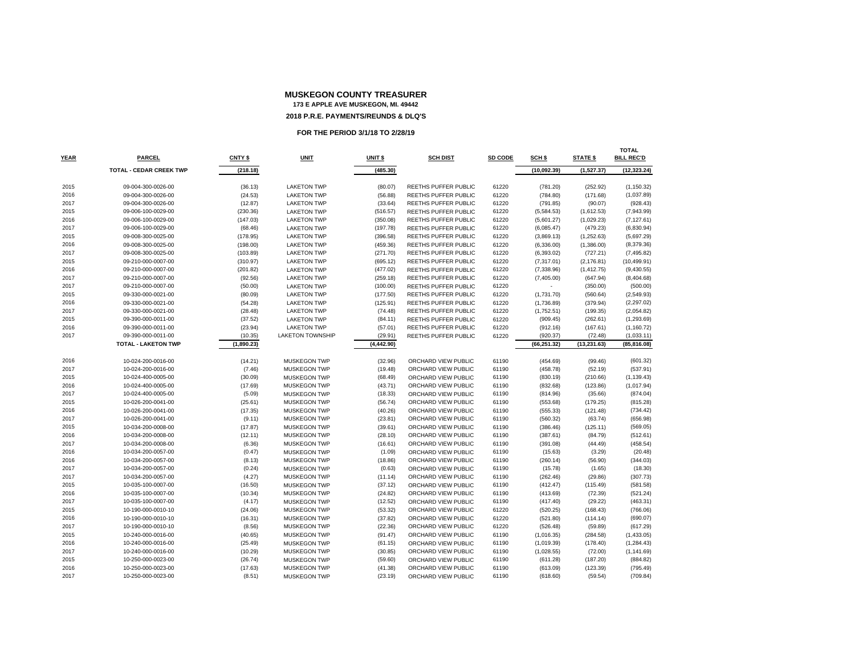|             |                                |            |                         |                    |                             |         |                   |                 | TOTAL             |
|-------------|--------------------------------|------------|-------------------------|--------------------|-----------------------------|---------|-------------------|-----------------|-------------------|
| <b>YEAR</b> | PARCEL                         | CNTY \$    | <b>UNIT</b>             | UNIT <sub>\$</sub> | <b>SCH DIST</b>             | SD CODE | SCH <sub>\$</sub> | <b>STATE \$</b> | <b>BILL REC'D</b> |
|             | <b>TOTAL - CEDAR CREEK TWP</b> | (218.18)   |                         | (485.30)           |                             |         | (10,092.39)       | (1,527.37)      | (12, 323.24)      |
|             |                                |            |                         |                    |                             |         |                   |                 |                   |
| 2015        | 09-004-300-0026-00             | (36.13)    | <b>LAKETON TWP</b>      | (80.07)            | <b>REETHS PUFFER PUBLIC</b> | 61220   | (781.20)          | (252.92)        | (1, 150.32)       |
| 2016        | 09-004-300-0026-00             | (24.53)    | <b>LAKETON TWP</b>      | (56.88)            | REETHS PUFFER PUBLIC        | 61220   | (784.80)          | (171.68)        | (1,037.89)        |
| 2017        | 09-004-300-0026-00             | (12.87)    | <b>LAKETON TWP</b>      | (33.64)            | <b>REETHS PUFFER PUBLIC</b> | 61220   | (791.85)          | (90.07)         | (928.43)          |
| 2015        | 09-006-100-0029-00             | (230.36)   | <b>LAKETON TWP</b>      | (516.57)           | REETHS PUFFER PUBLIC        | 61220   | (5,584.53)        | (1,612.53)      | (7,943.99)        |
| 2016        | 09-006-100-0029-00             | (147.03)   | <b>LAKETON TWP</b>      | (350.08)           | REETHS PUFFER PUBLIC        | 61220   | (5,601.27)        | (1,029.23)      | (7, 127.61)       |
| 2017        | 09-006-100-0029-00             | (68.46)    | <b>LAKETON TWP</b>      | (197.78)           | REETHS PUFFER PUBLIC        | 61220   | (6,085.47)        | (479.23)        | (6,830.94)        |
| 2015        | 09-008-300-0025-00             | (178.95)   | <b>LAKETON TWP</b>      | (396.58)           | REETHS PUFFER PUBLIC        | 61220   | (3,869.13)        | (1,252.63)      | (5,697.29)        |
| 2016        | 09-008-300-0025-00             | (198.00)   | <b>LAKETON TWP</b>      | (459.36)           | <b>REETHS PUFFER PUBLIC</b> | 61220   | (6,336.00)        | (1,386.00)      | (8,379.36)        |
| 2017        | 09-008-300-0025-00             | (103.89)   | <b>LAKETON TWP</b>      | (271.70)           | REETHS PUFFER PUBLIC        | 61220   | (6, 393.02)       | (727.21)        | (7, 495.82)       |
| 2015        | 09-210-000-0007-00             | (310.97)   | <b>LAKETON TWP</b>      | (695.12)           | REETHS PUFFER PUBLIC        | 61220   | (7,317.01)        | (2, 176.81)     | (10, 499.91)      |
| 2016        | 09-210-000-0007-00             | (201.82)   | <b>LAKETON TWP</b>      | (477.02)           | REETHS PUFFER PUBLIC        | 61220   | (7, 338.96)       | (1, 412.75)     | (9,430.55)        |
| 2017        | 09-210-000-0007-00             | (92.56)    | <b>LAKETON TWP</b>      | (259.18)           | <b>REETHS PUFFER PUBLIC</b> | 61220   | (7,405.00)        | (647.94)        | (8,404.68)        |
| 2017        | 09-210-000-0007-00             | (50.00)    | <b>LAKETON TWP</b>      | (100.00)           | REETHS PUFFER PUBLIC        | 61220   |                   | (350.00)        | (500.00)          |
| 2015        | 09-330-000-0021-00             | (80.09)    | <b>LAKETON TWP</b>      | (177.50)           | REETHS PUFFER PUBLIC        | 61220   | (1,731.70)        | (560.64)        | (2,549.93)        |
| 2016        | 09-330-000-0021-00             | (54.28)    | <b>LAKETON TWP</b>      | (125.91)           | REETHS PUFFER PUBLIC        | 61220   | (1,736.89)        | (379.94)        | (2, 297.02)       |
| 2017        | 09-330-000-0021-00             | (28.48)    | <b>LAKETON TWP</b>      | (74.48)            | REETHS PUFFER PUBLIC        | 61220   | (1,752.51)        | (199.35)        | (2,054.82)        |
| 2015        | 09-390-000-0011-00             | (37.52)    | <b>LAKETON TWP</b>      | (84.11)            | REETHS PUFFER PUBLIC        | 61220   | (909.45)          | (262.61)        | (1, 293.69)       |
| 2016        | 09-390-000-0011-00             | (23.94)    | <b>LAKETON TWP</b>      | (57.01)            | REETHS PUFFER PUBLIC        | 61220   | (912.16)          | (167.61)        | (1, 160.72)       |
| 2017        | 09-390-000-0011-00             | (10.35)    | <b>LAKETON TOWNSHIP</b> | (29.91)            | <b>REETHS PUFFER PUBLIC</b> | 61220   | (920.37)          | (72.48)         | (1,033.11)        |
|             | <b>TOTAL - LAKETON TWP</b>     | (1,890.23) |                         | (4, 442.90)        |                             |         | (66, 251.32)      | (13, 231.63)    | (85, 816.08)      |
|             |                                |            |                         |                    |                             |         |                   |                 |                   |
| 2016        | 10-024-200-0016-00             | (14.21)    | <b>MUSKEGON TWP</b>     | (32.96)            | ORCHARD VIEW PUBLIC         | 61190   | (454.69)          | (99.46)         | (601.32)          |
| 2017        | 10-024-200-0016-00             | (7.46)     | <b>MUSKEGON TWP</b>     | (19.48)            | ORCHARD VIEW PUBLIC         | 61190   | (458.78)          | (52.19)         | (537.91)          |
| 2015        | 10-024-400-0005-00             | (30.09)    | <b>MUSKEGON TWP</b>     | (68.49)            | ORCHARD VIEW PUBLIC         | 61190   | (830.19)          | (210.66)        | (1, 139.43)       |
| 2016        | 10-024-400-0005-00             | (17.69)    | MUSKEGON TWP            | (43.71)            | ORCHARD VIEW PUBLIC         | 61190   | (832.68)          | (123.86)        | (1,017.94)        |
| 2017        | 10-024-400-0005-00             | (5.09)     | <b>MUSKEGON TWP</b>     | (18.33)            | ORCHARD VIEW PUBLIC         | 61190   | (814.96)          | (35.66)         | (874.04)          |
| 2015        | 10-026-200-0041-00             | (25.61)    | <b>MUSKEGON TWP</b>     | (56.74)            | ORCHARD VIEW PUBLIC         | 61190   | (553.68)          | (179.25)        | (815.28)          |
| 2016        | 10-026-200-0041-00             | (17.35)    | MUSKEGON TWP            | (40.26)            | ORCHARD VIEW PUBLIC         | 61190   | (555.33)          | (121.48)        | (734.42)          |
| 2017        | 10-026-200-0041-00             | (9.11)     | <b>MUSKEGON TWP</b>     | (23.81)            | ORCHARD VIEW PUBLIC         | 61190   | (560.32)          | (63.74)         | (656.98)          |
| 2015        | 10-034-200-0008-00             | (17.87)    | <b>MUSKEGON TWP</b>     | (39.61)            | ORCHARD VIEW PUBLIC         | 61190   | (386.46)          | (125.11)        | (569.05)          |
| 2016        | 10-034-200-0008-00             | (12.11)    | <b>MUSKEGON TWP</b>     | (28.10)            | ORCHARD VIEW PUBLIC         | 61190   | (387.61)          | (84.79)         | (512.61)          |
| 2017        | 10-034-200-0008-00             | (6.36)     | <b>MUSKEGON TWP</b>     | (16.61)            | ORCHARD VIEW PUBLIC         | 61190   | (391.08)          | (44.49)         | (458.54)          |
| 2016        | 10-034-200-0057-00             | (0.47)     | <b>MUSKEGON TWP</b>     | (1.09)             | ORCHARD VIEW PUBLIC         | 61190   | (15.63)           | (3.29)          | (20.48)           |
| 2016        | 10-034-200-0057-00             | (8.13)     | <b>MUSKEGON TWP</b>     | (18.86)            | ORCHARD VIEW PUBLIC         | 61190   | (260.14)          | (56.90)         | (344.03)          |
| 2017        | 10-034-200-0057-00             | (0.24)     | <b>MUSKEGON TWP</b>     | (0.63)             | ORCHARD VIEW PUBLIC         | 61190   | (15.78)           | (1.65)          | (18.30)           |
| 2017        | 10-034-200-0057-00             | (4.27)     | <b>MUSKEGON TWP</b>     | (11.14)            | ORCHARD VIEW PUBLIC         | 61190   | (262.46)          | (29.86)         | (307.73)          |
| 2015        | 10-035-100-0007-00             | (16.50)    | <b>MUSKEGON TWP</b>     | (37.12)            | ORCHARD VIEW PUBLIC         | 61190   | (412.47)          | (115.49)        | (581.58)          |
| 2016        | 10-035-100-0007-00             | (10.34)    | MUSKEGON TWP            | (24.82)            | ORCHARD VIEW PUBLIC         | 61190   | (413.69)          | (72.39)         | (521.24)          |
| 2017        | 10-035-100-0007-00             | (4.17)     | <b>MUSKEGON TWP</b>     | (12.52)            | ORCHARD VIEW PUBLIC         | 61190   | (417.40)          | (29.22)         | (463.31)          |
| 2015        | 10-190-000-0010-10             | (24.06)    | <b>MUSKEGON TWP</b>     | (53.32)            | ORCHARD VIEW PUBLIC         | 61220   | (520.25)          | (168.43)        | (766.06)          |
| 2016        | 10-190-000-0010-10             | (16.31)    | <b>MUSKEGON TWP</b>     | (37.82)            | ORCHARD VIEW PUBLIC         | 61220   | (521.80)          | (114.14)        | (690.07)          |
| 2017        | 10-190-000-0010-10             | (8.56)     | <b>MUSKEGON TWP</b>     | (22.36)            | ORCHARD VIEW PUBLIC         | 61220   | (526.48)          | (59.89)         | (617.29)          |
| 2015        | 10-240-000-0016-00             | (40.65)    | MUSKEGON TWP            | (91.47)            | ORCHARD VIEW PUBLIC         | 61190   | (1,016.35)        | (284.58)        | (1,433.05)        |
| 2016        | 10-240-000-0016-00             | (25.49)    | <b>MUSKEGON TWP</b>     | (61.15)            | ORCHARD VIEW PUBLIC         | 61190   | (1,019.39)        | (178.40)        | (1,284.43)        |
| 2017        | 10-240-000-0016-00             | (10.29)    | <b>MUSKEGON TWP</b>     | (30.85)            | ORCHARD VIEW PUBLIC         | 61190   | (1,028.55)        | (72.00)         | (1, 141.69)       |
| 2015        | 10-250-000-0023-00             | (26.74)    | <b>MUSKEGON TWP</b>     | (59.60)            | ORCHARD VIEW PUBLIC         | 61190   | (611.28)          | (187.20)        | (884.82)          |
| 2016        | 10-250-000-0023-00             | (17.63)    | MUSKEGON TWP            | (41.38)            | ORCHARD VIEW PUBLIC         | 61190   | (613.09)          | (123.39)        | (795.49)          |
| 2017        | 10-250-000-0023-00             | (8.51)     | <b>MUSKEGON TWP</b>     | (23.19)            | ORCHARD VIEW PUBLIC         | 61190   | (618.60)          | (59.54)         | (709.84)          |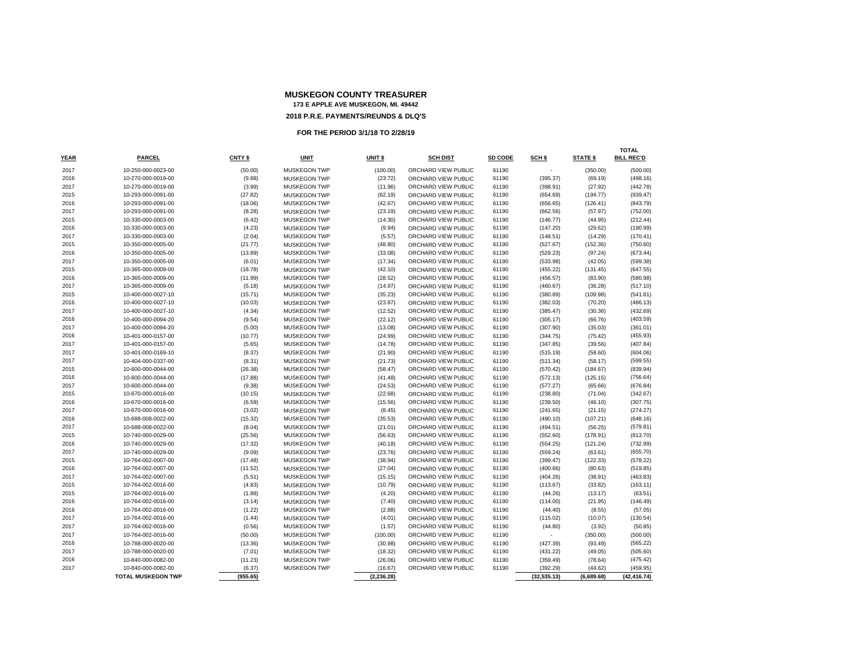|             |                           |          |                     |             |                     |         |                   |                 | <b>TOTAL</b>      |
|-------------|---------------------------|----------|---------------------|-------------|---------------------|---------|-------------------|-----------------|-------------------|
| <b>YEAR</b> | <b>PARCEL</b>             | CNTY \$  | <b>UNIT</b>         | UNIT \$     | <b>SCH DIST</b>     | SD CODE | SCH <sub>\$</sub> | <b>STATE \$</b> | <b>BILL REC'D</b> |
| 2017        | 10-250-000-0023-00        | (50.00)  | <b>MUSKEGON TWP</b> | (100.00)    | ORCHARD VIEW PUBLIC | 61190   |                   | (350.00)        | (500.00)          |
| 2016        | 10-270-000-0019-00        | (9.88)   | <b>MUSKEGON TWP</b> | (23.72)     | ORCHARD VIEW PUBLIC | 61190   | (395.37)          | (69.19)         | (498.16)          |
| 2017        | 10-270-000-0019-00        | (3.99)   | <b>MUSKEGON TWP</b> | (11.96)     | ORCHARD VIEW PUBLIC | 61190   | (398.91)          | (27.92)         | (442.78)          |
| 2015        | 10-293-000-0091-00        | (27.82)  | <b>MUSKEGON TWP</b> | (62.19)     | ORCHARD VIEW PUBLIC | 61190   | (654.69)          | (194.77)        | (939.47)          |
| 2016        | 10-293-000-0091-00        | (18.06)  | <b>MUSKEGON TWP</b> | (42.67)     | ORCHARD VIEW PUBLIC | 61190   | (656.65)          | (126.41)        | (843.79)          |
| 2017        | 10-293-000-0091-00        | (8.28)   | <b>MUSKEGON TWP</b> | (23.19)     | ORCHARD VIEW PUBLIC | 61190   | (662.56)          | (57.97)         | (752.00)          |
| 2015        | 10-330-000-0003-00        | (6.42)   | <b>MUSKEGON TWP</b> | (14.30)     | ORCHARD VIEW PUBLIC | 61190   | (146.77)          | (44.95)         | (212.44)          |
| 2016        | 10-330-000-0003-00        | (4.23)   | <b>MUSKEGON TWP</b> | (9.94)      | ORCHARD VIEW PUBLIC | 61190   | (147.20)          | (29.62)         | (190.99)          |
| 2017        | 10-330-000-0003-00        | (2.04)   | <b>MUSKEGON TWP</b> | (5.57)      | ORCHARD VIEW PUBLIC | 61190   | (148.51)          | (14.29)         | (170.41)          |
| 2015        | 10-350-000-0005-00        | (21.77)  | <b>MUSKEGON TWP</b> | (48.80)     | ORCHARD VIEW PUBLIC | 61190   | (527.67)          | (152.36)        | (750.60)          |
| 2016        | 10-350-000-0005-00        | (13.89)  | <b>MUSKEGON TWP</b> | (33.08)     | ORCHARD VIEW PUBLIC | 61190   | (529.23)          | (97.24)         | (673.44)          |
| 2017        | 10-350-000-0005-00        | (6.01)   | <b>MUSKEGON TWP</b> | (17.34)     | ORCHARD VIEW PUBLIC | 61190   | (533.98)          | (42.05)         | (599.38)          |
| 2015        | 10-365-000-0009-00        | (18.78)  | <b>MUSKEGON TWP</b> | (42.10)     | ORCHARD VIEW PUBLIC | 61190   | (455.22)          | (131.45)        | (647.55)          |
| 2016        | 10-365-000-0009-00        | (11.99)  | <b>MUSKEGON TWP</b> | (28.52)     | ORCHARD VIEW PUBLIC | 61190   | (456.57)          | (83.90)         | (580.98)          |
| 2017        | 10-365-000-0009-00        | (5.18)   | <b>MUSKEGON TWP</b> | (14.97)     | ORCHARD VIEW PUBLIC | 61190   | (460.67)          | (36.28)         | (517.10)          |
| 2015        | 10-400-000-0027-10        | (15.71)  | <b>MUSKEGON TWP</b> | (35.23)     | ORCHARD VIEW PUBLIC | 61190   | (380.89)          | (109.98)        | (541.81)          |
| 2016        | 10-400-000-0027-10        | (10.03)  | <b>MUSKEGON TWP</b> | (23.87)     | ORCHARD VIEW PUBLIC | 61190   | (382.03)          | (70.20)         | (486.13)          |
| 2017        | 10-400-000-0027-10        | (4.34)   | <b>MUSKEGON TWP</b> | (12.52)     | ORCHARD VIEW PUBLIC | 61190   | (385.47)          | (30.36)         | (432.69)          |
| 2016        | 10-400-000-0094-20        | (9.54)   | <b>MUSKEGON TWP</b> | (22.12)     | ORCHARD VIEW PUBLIC | 61190   | (305.17)          | (66.76)         | (403.59)          |
| 2017        | 10-400-000-0094-20        | (5.00)   | <b>MUSKEGON TWP</b> | (13.08)     | ORCHARD VIEW PUBLIC | 61190   | (307.90)          | (35.03)         | (361.01)          |
| 2016        | 10-401-000-0157-00        | (10.77)  | <b>MUSKEGON TWP</b> | (24.99)     | ORCHARD VIEW PUBLIC | 61190   | (344.75)          | (75.42)         | (455.93)          |
| 2017        | 10-401-000-0157-00        | (5.65)   | <b>MUSKEGON TWP</b> | (14.78)     | ORCHARD VIEW PUBLIC | 61190   | (347.85)          | (39.56)         | (407.84)          |
| 2017        | 10-401-000-0169-10        | (8.37)   | <b>MUSKEGON TWP</b> | (21.90)     | ORCHARD VIEW PUBLIC | 61190   | (515.19)          | (58.60)         | (604.06)          |
| 2017        | 10-404-000-0337-00        | (8.31)   | <b>MUSKEGON TWP</b> | (21.73)     | ORCHARD VIEW PUBLIC | 61190   | (511.34)          | (58.17)         | (599.55)          |
| 2015        | 10-600-000-0044-00        | (26.38)  | <b>MUSKEGON TWP</b> | (58.47)     | ORCHARD VIEW PUBLIC | 61190   | (570.42)          | (184.67)        | (839.94)          |
| 2016        | 10-600-000-0044-00        | (17.88)  | <b>MUSKEGON TWP</b> | (41.48)     | ORCHARD VIEW PUBLIC | 61190   | (572.13)          | (125.15)        | (756.64)          |
| 2017        | 10-600-000-0044-00        | (9.38)   | <b>MUSKEGON TWP</b> | (24.53)     | ORCHARD VIEW PUBLIC | 61190   | (577.27)          | (65.66)         | (676.84)          |
| 2015        | 10-670-000-0016-00        | (10.15)  | <b>MUSKEGON TWP</b> | (22.68)     | ORCHARD VIEW PUBLIC | 61190   | (238.80)          | (71.04)         | (342.67)          |
| 2016        | 10-670-000-0016-00        | (6.59)   | <b>MUSKEGON TWP</b> | (15.56)     | ORCHARD VIEW PUBLIC | 61190   | (239.50)          | (46.10)         | (307.75)          |
| 2017        | 10-670-000-0016-00        | (3.02)   | <b>MUSKEGON TWP</b> | (8.45)      | ORCHARD VIEW PUBLIC | 61190   | (241.65)          | (21.15)         | (274.27)          |
| 2016        | 10-688-008-0022-00        | (15.32)  | <b>MUSKEGON TWP</b> | (35.53)     | ORCHARD VIEW PUBLIC | 61190   | (490.10)          | (107.21)        | (648.16)          |
| 2017        | 10-688-008-0022-00        | (8.04)   | <b>MUSKEGON TWP</b> | (21.01)     | ORCHARD VIEW PUBLIC | 61190   | (494.51)          | (56.25)         | (579.81)          |
| 2015        | 10-740-000-0029-00        | (25.56)  | <b>MUSKEGON TWP</b> | (56.63)     | ORCHARD VIEW PUBLIC | 61190   | (552.60)          | (178.91)        | (813.70)          |
| 2016        | 10-740-000-0029-00        | (17.32)  | <b>MUSKEGON TWP</b> | (40.18)     | ORCHARD VIEW PUBLIC | 61190   | (554.25)          | (121.24)        | (732.99)          |
| 2017        | 10-740-000-0029-00        | (9.09)   | <b>MUSKEGON TWP</b> | (23.76)     | ORCHARD VIEW PUBLIC | 61190   | (559.24)          | (63.61)         | (655.70)          |
| 2015        | 10-764-002-0007-00        | (17.48)  | <b>MUSKEGON TWP</b> | (38.94)     | ORCHARD VIEW PUBLIC | 61190   | (399.47)          | (122.33)        | (578.22)          |
| 2016        | 10-764-002-0007-00        | (11.52)  | <b>MUSKEGON TWP</b> | (27.04)     | ORCHARD VIEW PUBLIC | 61190   | (400.66)          | (80.63)         | (519.85)          |
| 2017        | 10-764-002-0007-00        | (5.51)   | <b>MUSKEGON TWP</b> | (15.15)     | ORCHARD VIEW PUBLIC | 61190   | (404.26)          | (38.91)         | (463.83)          |
| 2015        | 10-764-002-0016-00        | (4.83)   | <b>MUSKEGON TWP</b> | (10.79)     | ORCHARD VIEW PUBLIC | 61190   | (113.67)          | (33.82)         | (163.11)          |
| 2015        | 10-764-002-0016-00        | (1.88)   | <b>MUSKEGON TWP</b> | (4.20)      | ORCHARD VIEW PUBLIC | 61190   | (44.26)           | (13.17)         | (63.51)           |
| 2016        | 10-764-002-0016-00        | (3.14)   | <b>MUSKEGON TWP</b> | (7.40)      | ORCHARD VIEW PUBLIC | 61190   | (114.00)          | (21.95)         | (146.49)          |
| 2016        | 10-764-002-0016-00        | (1.22)   | <b>MUSKEGON TWP</b> | (2.88)      | ORCHARD VIEW PUBLIC | 61190   | (44.40)           | (8.55)          | (57.05)           |
| 2017        | 10-764-002-0016-00        | (1.44)   | <b>MUSKEGON TWP</b> | (4.01)      | ORCHARD VIEW PUBLIC | 61190   | (115.02)          | (10.07)         | (130.54)          |
| 2017        | 10-764-002-0016-00        | (0.56)   | <b>MUSKEGON TWP</b> | (1.57)      | ORCHARD VIEW PUBLIC | 61190   | (44.80)           | (3.92)          | (50.85)           |
| 2017        | 10-764-002-0016-00        | (50.00)  | <b>MUSKEGON TWP</b> | (100.00)    | ORCHARD VIEW PUBLIC | 61190   |                   | (350.00)        | (500.00)          |
| 2016        | 10-788-000-0020-00        | (13.36)  | <b>MUSKEGON TWP</b> | (30.98)     | ORCHARD VIEW PUBLIC | 61190   | (427.39)          | (93.49)         | (565.22)          |
| 2017        | 10-788-000-0020-00        | (7.01)   | <b>MUSKEGON TWP</b> | (18.32)     | ORCHARD VIEW PUBLIC | 61190   | (431.22)          | (49.05)         | (505.60)          |
| 2016        | 10-840-000-0082-00        | (11.23)  | <b>MUSKEGON TWP</b> | (26.06)     | ORCHARD VIEW PUBLIC | 61190   | (359.49)          | (78.64)         | (475.42)          |
| 2017        | 10-840-000-0082-00        | (6.37)   | <b>MUSKEGON TWP</b> | (16.67)     | ORCHARD VIEW PUBLIC | 61190   | (392.29)          | (44.62)         | (459.95)          |
|             | <b>TOTAL MUSKEGON TWP</b> | (955.65) |                     | (2, 236.28) |                     |         | (32, 535.13)      | (6,689.68)      | (42, 416.74)      |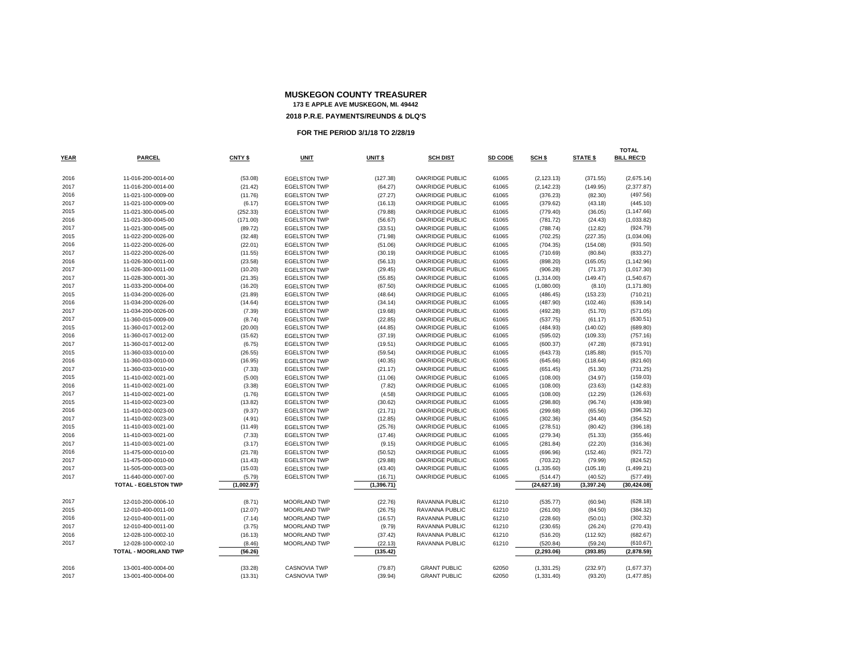|             |                             |            |                     |            |                        |         |                   |             | <b>TOTAL</b>      |
|-------------|-----------------------------|------------|---------------------|------------|------------------------|---------|-------------------|-------------|-------------------|
| <b>YEAR</b> | <b>PARCEL</b>               | CNTY \$    | <b>UNIT</b>         | UNIT \$    | <b>SCH DIST</b>        | SD CODE | SCH <sub>\$</sub> | STATE \$    | <b>BILL REC'D</b> |
| 2016        | 11-016-200-0014-00          | (53.08)    | <b>EGELSTON TWP</b> | (127.38)   | <b>OAKRIDGE PUBLIC</b> | 61065   | (2, 123.13)       | (371.55)    | (2,675.14)        |
| 2017        | 11-016-200-0014-00          | (21.42)    | <b>EGELSTON TWP</b> | (64.27)    | OAKRIDGE PUBLIC        | 61065   | (2, 142.23)       | (149.95)    | (2,377.87)        |
| 2016        | 11-021-100-0009-00          | (11.76)    | <b>EGELSTON TWP</b> | (27.27)    | <b>OAKRIDGE PUBLIC</b> | 61065   | (376.23)          | (82.30)     | (497.56)          |
| 2017        | 11-021-100-0009-00          | (6.17)     | <b>EGELSTON TWP</b> | (16.13)    | OAKRIDGE PUBLIC        | 61065   | (379.62)          | (43.18)     | (445.10)          |
| 2015        | 11-021-300-0045-00          | (252.33)   | <b>EGELSTON TWP</b> | (79.88)    | <b>OAKRIDGE PUBLIC</b> | 61065   | (779.40)          | (36.05)     | (1, 147.66)       |
| 2016        | 11-021-300-0045-00          | (171.00)   | <b>EGELSTON TWP</b> | (56.67)    | <b>OAKRIDGE PUBLIC</b> | 61065   | (781.72)          | (24.43)     | (1,033.82)        |
| 2017        | 11-021-300-0045-00          | (89.72)    | <b>EGELSTON TWP</b> | (33.51)    | <b>OAKRIDGE PUBLIC</b> | 61065   | (788.74)          | (12.82)     | (924.79)          |
| 2015        | 11-022-200-0026-00          | (32.48)    | <b>EGELSTON TWP</b> | (71.98)    | <b>OAKRIDGE PUBLIC</b> | 61065   | (702.25)          | (227.35)    | (1,034.06)        |
| 2016        | 11-022-200-0026-00          | (22.01)    | <b>EGELSTON TWP</b> | (51.06)    | OAKRIDGE PUBLIC        | 61065   | (704.35)          | (154.08)    | (931.50)          |
| 2017        | 11-022-200-0026-00          | (11.55)    | <b>EGELSTON TWP</b> | (30.19)    | OAKRIDGE PUBLIC        | 61065   | (710.69)          | (80.84)     | (833.27)          |
| 2016        | 11-026-300-0011-00          | (23.58)    | <b>EGELSTON TWP</b> | (56.13)    | <b>OAKRIDGE PUBLIC</b> | 61065   | (898.20)          | (165.05)    | (1, 142.96)       |
| 2017        | 11-026-300-0011-00          | (10.20)    | <b>EGELSTON TWP</b> | (29.45)    | <b>OAKRIDGE PUBLIC</b> | 61065   | (906.28)          | (71.37)     | (1,017.30)        |
| 2017        | 11-028-300-0001-30          | (21.35)    | <b>EGELSTON TWP</b> | (55.85)    | <b>OAKRIDGE PUBLIC</b> | 61065   | (1,314.00)        | (149.47)    | (1,540.67)        |
| 2017        | 11-033-200-0004-00          | (16.20)    | <b>EGELSTON TWP</b> | (67.50)    | <b>OAKRIDGE PUBLIC</b> | 61065   | (1,080.00)        | (8.10)      | (1, 171.80)       |
| 2015        | 11-034-200-0026-00          | (21.89)    | <b>EGELSTON TWP</b> | (48.64)    | <b>OAKRIDGE PUBLIC</b> | 61065   | (486.45)          | (153.23)    | (710.21)          |
| 2016        | 11-034-200-0026-00          | (14.64)    | <b>EGELSTON TWP</b> | (34.14)    | <b>OAKRIDGE PUBLIC</b> | 61065   | (487.90)          | (102.46)    | (639.14)          |
| 2017        | 11-034-200-0026-00          | (7.39)     | <b>EGELSTON TWP</b> | (19.68)    | OAKRIDGE PUBLIC        | 61065   | (492.28)          | (51.70)     | (571.05)          |
| 2017        | 11-360-015-0009-00          | (8.74)     | <b>EGELSTON TWP</b> | (22.85)    | <b>OAKRIDGE PUBLIC</b> | 61065   | (537.75)          | (61.17)     | (630.51)          |
| 2015        | 11-360-017-0012-00          | (20.00)    | <b>EGELSTON TWP</b> | (44.85)    | OAKRIDGE PUBLIC        | 61065   | (484.93)          | (140.02)    | (689.80)          |
| 2016        | 11-360-017-0012-00          | (15.62)    | <b>EGELSTON TWP</b> | (37.19)    | OAKRIDGE PUBLIC        | 61065   | (595.02)          | (109.33)    | (757.16)          |
| 2017        | 11-360-017-0012-00          | (6.75)     | <b>EGELSTON TWP</b> | (19.51)    | <b>OAKRIDGE PUBLIC</b> | 61065   | (600.37)          | (47.28)     | (673.91)          |
| 2015        | 11-360-033-0010-00          | (26.55)    | <b>EGELSTON TWP</b> | (59.54)    | OAKRIDGE PUBLIC        | 61065   | (643.73)          | (185.88)    | (915.70)          |
| 2016        | 11-360-033-0010-00          | (16.95)    | <b>EGELSTON TWP</b> | (40.35)    | <b>OAKRIDGE PUBLIC</b> | 61065   | (645.66)          | (118.64)    | (821.60)          |
| 2017        | 11-360-033-0010-00          | (7.33)     | <b>EGELSTON TWP</b> | (21.17)    | <b>OAKRIDGE PUBLIC</b> | 61065   | (651.45)          | (51.30)     | (731.25)          |
| 2015        | 11-410-002-0021-00          | (5.00)     | <b>EGELSTON TWP</b> | (11.06)    | <b>OAKRIDGE PUBLIC</b> | 61065   | (108.00)          | (34.97)     | (159.03)          |
| 2016        | 11-410-002-0021-00          | (3.38)     | <b>EGELSTON TWP</b> | (7.82)     | OAKRIDGE PUBLIC        | 61065   | (108.00)          | (23.63)     | (142.83)          |
| 2017        | 11-410-002-0021-00          | (1.76)     | <b>EGELSTON TWP</b> | (4.58)     | OAKRIDGE PUBLIC        | 61065   | (108.00)          | (12.29)     | (126.63)          |
| 2015        | 11-410-002-0023-00          | (13.82)    | <b>EGELSTON TWP</b> | (30.62)    | <b>OAKRIDGE PUBLIC</b> | 61065   | (298.80)          | (96.74)     | (439.98)          |
| 2016        | 11-410-002-0023-00          | (9.37)     | <b>EGELSTON TWP</b> | (21.71)    | OAKRIDGE PUBLIC        | 61065   | (299.68)          | (65.56)     | (396.32)          |
| 2017        | 11-410-002-0023-00          | (4.91)     | <b>EGELSTON TWP</b> | (12.85)    | <b>OAKRIDGE PUBLIC</b> | 61065   | (302.36)          | (34.40)     | (354.52)          |
| 2015        | 11-410-003-0021-00          | (11.49)    | <b>EGELSTON TWP</b> | (25.76)    | <b>OAKRIDGE PUBLIC</b> | 61065   | (278.51)          | (80.42)     | (396.18)          |
| 2016        | 11-410-003-0021-00          | (7.33)     | <b>EGELSTON TWP</b> | (17.46)    | <b>OAKRIDGE PUBLIC</b> | 61065   | (279.34)          | (51.33)     | (355.46)          |
| 2017        | 11-410-003-0021-00          | (3.17)     | <b>EGELSTON TWP</b> | (9.15)     | <b>OAKRIDGE PUBLIC</b> | 61065   | (281.84)          | (22.20)     | (316.36)          |
| 2016        | 11-475-000-0010-00          | (21.78)    | <b>EGELSTON TWP</b> | (50.52)    | <b>OAKRIDGE PUBLIC</b> | 61065   | (696.96)          | (152.46)    | (921.72)          |
| 2017        | 11-475-000-0010-00          | (11.43)    | <b>EGELSTON TWP</b> | (29.88)    | <b>OAKRIDGE PUBLIC</b> | 61065   | (703.22)          | (79.99)     | (824.52)          |
| 2017        | 11-505-000-0003-00          | (15.03)    | <b>EGELSTON TWP</b> | (43.40)    | <b>OAKRIDGE PUBLIC</b> | 61065   | (1,335.60)        | (105.18)    | (1,499.21)        |
| 2017        | 11-640-000-0007-00          | (5.79)     | <b>EGELSTON TWP</b> | (16.71)    | OAKRIDGE PUBLIC        | 61065   | (514.47)          | (40.52)     | (577.49)          |
|             | <b>TOTAL - EGELSTON TWP</b> | (1,002.97) |                     | (1,396.71) |                        |         | (24, 627.16)      | (3, 397.24) | (30, 424.08)      |
| 2017        | 12-010-200-0006-10          | (8.71)     | <b>MOORLAND TWP</b> | (22.76)    | RAVANNA PUBLIC         | 61210   | (535.77)          | (60.94)     | (628.18)          |
| 2015        | 12-010-400-0011-00          | (12.07)    | <b>MOORLAND TWP</b> | (26.75)    | <b>RAVANNA PUBLIC</b>  | 61210   | (261.00)          | (84.50)     | (384.32)          |
| 2016        | 12-010-400-0011-00          | (7.14)     | MOORLAND TWP        | (16.57)    | RAVANNA PUBLIC         | 61210   | (228.60)          | (50.01)     | (302.32)          |
| 2017        | 12-010-400-0011-00          | (3.75)     | <b>MOORLAND TWP</b> | (9.79)     | RAVANNA PUBLIC         | 61210   | (230.65)          | (26.24)     | (270.43)          |
| 2016        | 12-028-100-0002-10          | (16.13)    | <b>MOORLAND TWP</b> | (37.42)    | RAVANNA PUBLIC         | 61210   | (516.20)          | (112.92)    | (682.67)          |
| 2017        | 12-028-100-0002-10          | (8.46)     | <b>MOORLAND TWP</b> | (22.13)    | RAVANNA PUBLIC         | 61210   | (520.84)          | (59.24)     | (610.67)          |
|             | TOTAL - MOORLAND TWP        | (56.26)    |                     | (135.42)   |                        |         | (2, 293.06)       | (393.85)    | (2,878.59)        |
|             |                             |            |                     |            |                        |         |                   |             |                   |
| 2016        | 13-001-400-0004-00          | (33.28)    | <b>CASNOVIA TWP</b> | (79.87)    | <b>GRANT PUBLIC</b>    | 62050   | (1,331.25)        | (232.97)    | (1,677.37)        |
| 2017        | 13-001-400-0004-00          | (13.31)    | <b>CASNOVIA TWP</b> | (39.94)    | <b>GRANT PUBLIC</b>    | 62050   | (1,331.40)        | (93.20)     | (1, 477.85)       |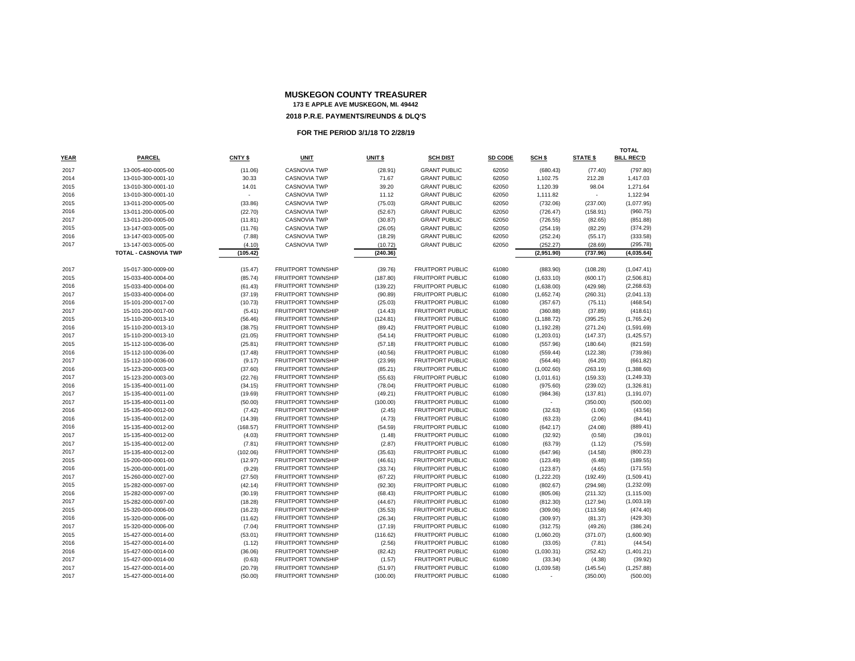|             |                      |                    |                           |                    |                         |         |                          |                          | <b>TOTAL</b>      |
|-------------|----------------------|--------------------|---------------------------|--------------------|-------------------------|---------|--------------------------|--------------------------|-------------------|
| <b>YEAR</b> | <b>PARCEL</b>        | CNTY <sub>\$</sub> | <b>UNIT</b>               | UNIT <sub>\$</sub> | <b>SCH DIST</b>         | SD CODE | SCH <sub>\$</sub>        | <b>STATE \$</b>          | <b>BILL REC'D</b> |
| 2017        | 13-005-400-0005-00   | (11.06)            | <b>CASNOVIA TWP</b>       | (28.91)            | <b>GRANT PUBLIC</b>     | 62050   | (680.43)                 | (77.40)                  | (797.80)          |
| 2014        | 13-010-300-0001-10   | 30.33              | <b>CASNOVIA TWP</b>       | 71.67              | <b>GRANT PUBLIC</b>     | 62050   | 1,102.75                 | 212.28                   | 1,417.03          |
| 2015        | 13-010-300-0001-10   | 14.01              | <b>CASNOVIA TWP</b>       | 39.20              | <b>GRANT PUBLIC</b>     | 62050   | 1,120.39                 | 98.04                    | 1,271.64          |
| 2016        | 13-010-300-0001-10   |                    | <b>CASNOVIA TWP</b>       | 11.12              | <b>GRANT PUBLIC</b>     | 62050   | 1,111.82                 | $\overline{\phantom{a}}$ | 1,122.94          |
| 2015        | 13-011-200-0005-00   | (33.86)            | <b>CASNOVIA TWP</b>       | (75.03)            | <b>GRANT PUBLIC</b>     | 62050   | (732.06)                 | (237.00)                 | (1,077.95)        |
| 2016        | 13-011-200-0005-00   | (22.70)            | <b>CASNOVIA TWP</b>       | (52.67)            | <b>GRANT PUBLIC</b>     | 62050   | (726.47)                 | (158.91)                 | (960.75)          |
| 2017        | 13-011-200-0005-00   | (11.81)            | <b>CASNOVIA TWP</b>       | (30.87)            | <b>GRANT PUBLIC</b>     | 62050   | (726.55)                 | (82.65)                  | (851.88)          |
| 2015        | 13-147-003-0005-00   | (11.76)            | <b>CASNOVIA TWP</b>       | (26.05)            | <b>GRANT PUBLIC</b>     | 62050   | (254.19)                 | (82.29)                  | (374.29)          |
| 2016        | 13-147-003-0005-00   | (7.88)             | <b>CASNOVIA TWP</b>       | (18.29)            | <b>GRANT PUBLIC</b>     | 62050   | (252.24)                 | (55.17)                  | (333.58)          |
| 2017        | 13-147-003-0005-00   | (4.10)             | <b>CASNOVIA TWP</b>       | (10.72)            | <b>GRANT PUBLIC</b>     | 62050   | (252.27)                 | (28.69)                  | (295.78)          |
|             | TOTAL - CASNOVIA TWP | (105.42)           |                           | (240.36)           |                         |         | (2,951.90)               | (737.96)                 | (4,035.64)        |
| 2017        | 15-017-300-0009-00   | (15.47)            | <b>FRUITPORT TOWNSHIP</b> | (39.76)            | <b>FRUITPORT PUBLIC</b> | 61080   | (883.90)                 | (108.28)                 | (1,047.41)        |
| 2015        | 15-033-400-0004-00   | (85.74)            | <b>FRUITPORT TOWNSHIP</b> | (187.80)           | <b>FRUITPORT PUBLIC</b> | 61080   | (1,633.10)               | (600.17)                 | (2,506.81)        |
| 2016        | 15-033-400-0004-00   | (61.43)            | FRUITPORT TOWNSHIP        | (139.22)           | <b>FRUITPORT PUBLIC</b> | 61080   | (1,638.00)               | (429.98)                 | (2,268.63)        |
| 2017        | 15-033-400-0004-00   | (37.19)            | <b>FRUITPORT TOWNSHIP</b> | (90.89)            | <b>FRUITPORT PUBLIC</b> | 61080   | (1,652.74)               | (260.31)                 | (2,041.13)        |
| 2016        | 15-101-200-0017-00   | (10.73)            | <b>FRUITPORT TOWNSHIP</b> | (25.03)            | <b>FRUITPORT PUBLIC</b> | 61080   | (357.67)                 | (75.11)                  | (468.54)          |
| 2017        | 15-101-200-0017-00   | (5.41)             | <b>FRUITPORT TOWNSHIP</b> | (14.43)            | <b>FRUITPORT PUBLIC</b> | 61080   | (360.88)                 | (37.89)                  | (418.61)          |
| 2015        | 15-110-200-0013-10   | (56.46)            | <b>FRUITPORT TOWNSHIP</b> | (124.81)           | <b>FRUITPORT PUBLIC</b> | 61080   | (1, 188.72)              | (395.25)                 | (1,765.24)        |
| 2016        | 15-110-200-0013-10   | (38.75)            | FRUITPORT TOWNSHIP        | (89.42)            | <b>FRUITPORT PUBLIC</b> | 61080   | (1, 192.28)              | (271.24)                 | (1,591.69)        |
| 2017        | 15-110-200-0013-10   | (21.05)            | FRUITPORT TOWNSHIP        | (54.14)            | <b>FRUITPORT PUBLIC</b> | 61080   | (1,203.01)               | (147.37)                 | (1,425.57)        |
| 2015        | 15-112-100-0036-00   | (25.81)            | <b>FRUITPORT TOWNSHIP</b> | (57.18)            | <b>FRUITPORT PUBLIC</b> | 61080   | (557.96)                 | (180.64)                 | (821.59)          |
| 2016        | 15-112-100-0036-00   | (17.48)            | FRUITPORT TOWNSHIP        | (40.56)            | <b>FRUITPORT PUBLIC</b> | 61080   | (559.44)                 | (122.38)                 | (739.86)          |
| 2017        | 15-112-100-0036-00   | (9.17)             | <b>FRUITPORT TOWNSHIP</b> | (23.99)            | <b>FRUITPORT PUBLIC</b> | 61080   | (564.46)                 | (64.20)                  | (661.82)          |
| 2016        | 15-123-200-0003-00   | (37.60)            | <b>FRUITPORT TOWNSHIP</b> | (85.21)            | <b>FRUITPORT PUBLIC</b> | 61080   | (1,002.60)               | (263.19)                 | (1,388.60)        |
| 2017        | 15-123-200-0003-00   | (22.76)            | FRUITPORT TOWNSHIP        | (55.63)            | <b>FRUITPORT PUBLIC</b> | 61080   | (1,011.61)               | (159.33)                 | (1,249.33)        |
| 2016        | 15-135-400-0011-00   | (34.15)            | FRUITPORT TOWNSHIP        | (78.04)            | <b>FRUITPORT PUBLIC</b> | 61080   | (975.60)                 | (239.02)                 | (1,326.81)        |
| 2017        | 15-135-400-0011-00   | (19.69)            | <b>FRUITPORT TOWNSHIP</b> | (49.21)            | <b>FRUITPORT PUBLIC</b> | 61080   | (984.36)                 | (137.81)                 | (1, 191.07)       |
| 2017        | 15-135-400-0011-00   | (50.00)            | FRUITPORT TOWNSHIP        | (100.00)           | <b>FRUITPORT PUBLIC</b> | 61080   | $\overline{\phantom{a}}$ | (350.00)                 | (500.00)          |
| 2016        | 15-135-400-0012-00   | (7.42)             | FRUITPORT TOWNSHIP        | (2.45)             | <b>FRUITPORT PUBLIC</b> | 61080   | (32.63)                  | (1.06)                   | (43.56)           |
| 2016        | 15-135-400-0012-00   | (14.39)            | <b>FRUITPORT TOWNSHIP</b> | (4.73)             | <b>FRUITPORT PUBLIC</b> | 61080   | (63.23)                  | (2.06)                   | (84.41)           |
| 2016        | 15-135-400-0012-00   | (168.57)           | FRUITPORT TOWNSHIP        | (54.59)            | <b>FRUITPORT PUBLIC</b> | 61080   | (642.17)                 | (24.08)                  | (889.41)          |
| 2017        | 15-135-400-0012-00   | (4.03)             | FRUITPORT TOWNSHIP        | (1.48)             | <b>FRUITPORT PUBLIC</b> | 61080   | (32.92)                  | (0.58)                   | (39.01)           |
| 2017        | 15-135-400-0012-00   | (7.81)             | <b>FRUITPORT TOWNSHIP</b> | (2.87)             | <b>FRUITPORT PUBLIC</b> | 61080   | (63.79)                  | (1.12)                   | (75.59)           |
| 2017        | 15-135-400-0012-00   | (102.06)           | <b>FRUITPORT TOWNSHIP</b> | (35.63)            | FRUITPORT PUBLIC        | 61080   | (647.96)                 | (14.58)                  | (800.23)          |
| 2015        | 15-200-000-0001-00   | (12.97)            | FRUITPORT TOWNSHIP        | (46.61)            | <b>FRUITPORT PUBLIC</b> | 61080   | (123.49)                 | (6.48)                   | (189.55)          |
| 2016        | 15-200-000-0001-00   | (9.29)             | <b>FRUITPORT TOWNSHIP</b> | (33.74)            | <b>FRUITPORT PUBLIC</b> | 61080   | (123.87)                 | (4.65)                   | (171.55)          |
| 2017        | 15-260-000-0027-00   | (27.50)            | <b>FRUITPORT TOWNSHIP</b> | (67.22)            | <b>FRUITPORT PUBLIC</b> | 61080   | (1,222.20)               | (192.49)                 | (1,509.41)        |
| 2015        | 15-282-000-0097-00   | (42.14)            | <b>FRUITPORT TOWNSHIP</b> | (92.30)            | <b>FRUITPORT PUBLIC</b> | 61080   | (802.67)                 | (294.98)                 | (1,232.09)        |
| 2016        | 15-282-000-0097-00   | (30.19)            | <b>FRUITPORT TOWNSHIP</b> | (68.43)            | <b>FRUITPORT PUBLIC</b> | 61080   | (805.06)                 | (211.32)                 | (1, 115.00)       |
| 2017        | 15-282-000-0097-00   | (18.28)            | <b>FRUITPORT TOWNSHIP</b> | (44.67)            | FRUITPORT PUBLIC        | 61080   | (812.30)                 | (127.94)                 | (1,003.19)        |
| 2015        | 15-320-000-0006-00   | (16.23)            | FRUITPORT TOWNSHIP        | (35.53)            | <b>FRUITPORT PUBLIC</b> | 61080   | (309.06)                 | (113.58)                 | (474.40)          |
| 2016        | 15-320-000-0006-00   | (11.62)            | <b>FRUITPORT TOWNSHIP</b> | (26.34)            | <b>FRUITPORT PUBLIC</b> | 61080   | (309.97)                 | (81.37)                  | (429.30)          |
| 2017        | 15-320-000-0006-00   | (7.04)             | FRUITPORT TOWNSHIP        | (17.19)            | <b>FRUITPORT PUBLIC</b> | 61080   | (312.75)                 | (49.26)                  | (386.24)          |
| 2015        | 15-427-000-0014-00   | (53.01)            | <b>FRUITPORT TOWNSHIP</b> | (116.62)           | <b>FRUITPORT PUBLIC</b> | 61080   | (1,060.20)               | (371.07)                 | (1,600.90)        |
| 2016        | 15-427-000-0014-00   | (1.12)             | <b>FRUITPORT TOWNSHIP</b> | (2.56)             | <b>FRUITPORT PUBLIC</b> | 61080   | (33.05)                  | (7.81)                   | (44.54)           |
| 2016        | 15-427-000-0014-00   | (36.06)            | FRUITPORT TOWNSHIP        | (82.42)            | <b>FRUITPORT PUBLIC</b> | 61080   | (1,030.31)               | (252.42)                 | (1,401.21)        |
| 2017        | 15-427-000-0014-00   | (0.63)             | <b>FRUITPORT TOWNSHIP</b> | (1.57)             | <b>FRUITPORT PUBLIC</b> | 61080   | (33.34)                  | (4.38)                   | (39.92)           |
| 2017        | 15-427-000-0014-00   | (20.79)            | FRUITPORT TOWNSHIP        | (51.97)            | <b>FRUITPORT PUBLIC</b> | 61080   | (1,039.58)               | (145.54)                 | (1, 257.88)       |
| 2017        | 15-427-000-0014-00   | (50.00)            | FRUITPORT TOWNSHIP        | (100.00)           | <b>FRUITPORT PUBLIC</b> | 61080   |                          | (350.00)                 | (500.00)          |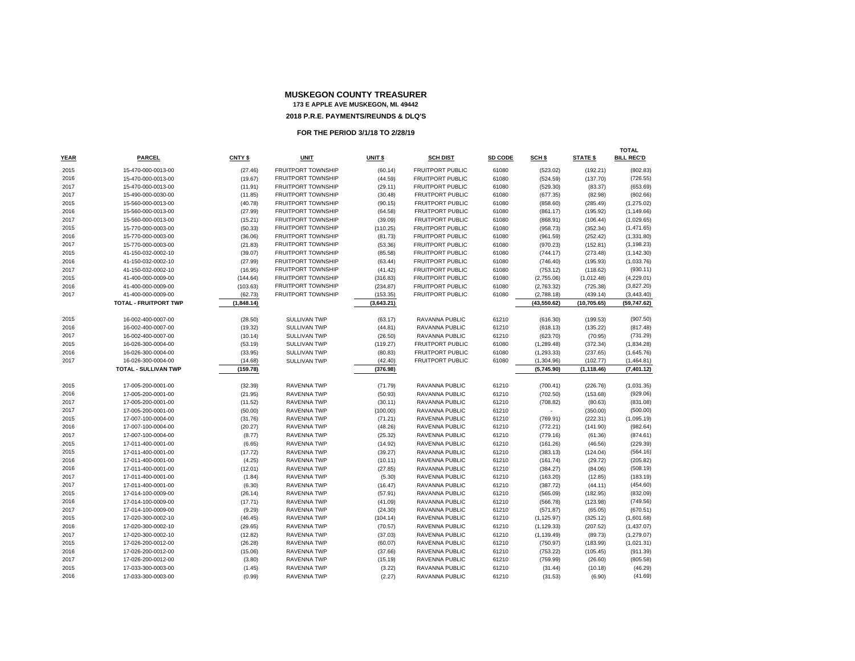|              |                                          |                    |                            |                    |                                  |                |                      |                    | <b>TOTAL</b>         |
|--------------|------------------------------------------|--------------------|----------------------------|--------------------|----------------------------------|----------------|----------------------|--------------------|----------------------|
| <b>YEAR</b>  | <b>PARCEL</b>                            | CNTY \$            | <b>UNIT</b>                | UNIT \$            | <b>SCH DIST</b>                  | SD CODE        | SCH \$               | <b>STATE \$</b>    | <b>BILL REC'D</b>    |
| 2015         | 15-470-000-0013-00                       | (27.46)            | <b>FRUITPORT TOWNSHIP</b>  | (60.14)            | FRUITPORT PUBLIC                 | 61080          | (523.02)             | (192.21)           | (802.83)             |
| 2016         | 15-470-000-0013-00                       | (19.67)            | <b>FRUITPORT TOWNSHIP</b>  | (44.59)            | <b>FRUITPORT PUBLIC</b>          | 61080          | (524.59)             | (137.70)           | (726.55)             |
| 2017         | 15-470-000-0013-00                       | (11.91)            | <b>FRUITPORT TOWNSHIP</b>  | (29.11)            | FRUITPORT PUBLIC                 | 61080          | (529.30)             | (83.37)            | (653.69)             |
| 2017         | 15-490-000-0030-00                       | (11.85)            | <b>FRUITPORT TOWNSHIP</b>  | (30.48)            | <b>FRUITPORT PUBLIC</b>          | 61080          | (677.35)             | (82.98)            | (802.66)             |
| 2015         | 15-560-000-0013-00                       | (40.78)            | <b>FRUITPORT TOWNSHIP</b>  | (90.15)            | FRUITPORT PUBLIC                 | 61080          | (858.60)             | (285.49)           | (1,275.02)           |
| 2016         | 15-560-000-0013-00                       | (27.99)            | <b>FRUITPORT TOWNSHIP</b>  | (64.58)            | <b>FRUITPORT PUBLIC</b>          | 61080          | (861.17)             | (195.92)           | (1, 149.66)          |
| 2017         | 15-560-000-0013-00                       | (15.21)            | FRUITPORT TOWNSHIP         | (39.09)            | <b>FRUITPORT PUBLIC</b>          | 61080          | (868.91)             | (106.44)           | (1,029.65)           |
| 2015         | 15-770-000-0003-00                       | (50.33)            | FRUITPORT TOWNSHIP         | (110.25)           | FRUITPORT PUBLIC                 | 61080          | (958.73)             | (352.34)           | (1,471.65)           |
| 2016         | 15-770-000-0003-00                       | (36.06)            | <b>FRUITPORT TOWNSHIP</b>  | (81.73)            | FRUITPORT PUBLIC                 | 61080          | (961.59)             | (252.42)           | (1,331.80)           |
| 2017         | 15-770-000-0003-00                       | (21.83)            | FRUITPORT TOWNSHIP         | (53.36)            | FRUITPORT PUBLIC                 | 61080          | (970.23)             | (152.81)           | (1, 198.23)          |
| 2015         | 41-150-032-0002-10                       | (39.07)            | FRUITPORT TOWNSHIP         | (85.58)            | FRUITPORT PUBLIC                 | 61080          | (744.17)             | (273.48)           | (1, 142.30)          |
| 2016         | 41-150-032-0002-10                       | (27.99)            | <b>FRUITPORT TOWNSHIP</b>  | (63.44)            | FRUITPORT PUBLIC                 | 61080          | (746.40)             | (195.93)           | (1,033.76)           |
| 2017         | 41-150-032-0002-10                       | (16.95)            | <b>FRUITPORT TOWNSHIP</b>  | (41.42)            | FRUITPORT PUBLIC                 | 61080          | (753.12)             | (118.62)           | (930.11)             |
| 2015         | 41-400-000-0009-00                       | (144.64)           | <b>FRUITPORT TOWNSHIP</b>  | (316.83)           | FRUITPORT PUBLIC                 | 61080          | (2,755.06)           | (1,012.48)         | (4,229.01)           |
| 2016         | 41-400-000-0009-00                       | (103.63)           | <b>FRUITPORT TOWNSHIP</b>  | (234.87)           | FRUITPORT PUBLIC                 | 61080          | (2,763.32)           | (725.38)           | (3,827.20)           |
| 2017         | 41-400-000-0009-00                       | (62.73)            | <b>FRUITPORT TOWNSHIP</b>  | (153.35)           | FRUITPORT PUBLIC                 | 61080          | (2,788.18)           | (439.14)           | (3,443.40)           |
|              | <b>TOTAL - FRUITPORT TWP</b>             | (1,848.14)         |                            | (3,643.21)         |                                  |                | (43, 550.62)         | (10, 705.65)       | (59,747.62)          |
|              |                                          |                    |                            |                    |                                  |                |                      |                    |                      |
| 2015         | 16-002-400-0007-00                       | (28.50)            | SULLIVAN TWP               | (63.17)            | RAVANNA PUBLIC                   | 61210          | (616.30)             | (199.53)           | (907.50)             |
| 2016         | 16-002-400-0007-00                       | (19.32)            | SULLIVAN TWP               | (44.81)            | RAVANNA PUBLIC                   | 61210          | (618.13)             | (135.22)           | (817.48)             |
| 2017         | 16-002-400-0007-00                       | (10.14)            | <b>SULLIVAN TWP</b>        | (26.50)            | RAVANNA PUBLIC                   | 61210          | (623.70)             | (70.95)            | (731.29)             |
| 2015         | 16-026-300-0004-00                       | (53.19)            | SULLIVAN TWP               | (119.27)           | FRUITPORT PUBLIC                 | 61080          | (1, 289.48)          | (372.34)           | (1,834.28)           |
| 2016         | 16-026-300-0004-00                       | (33.95)            | <b>SULLIVAN TWP</b>        | (80.83)            | <b>FRUITPORT PUBLIC</b>          | 61080          | (1, 293.33)          | (237.65)           | (1,645.76)           |
| 2017         | 16-026-300-0004-00                       | (14.68)            | <b>SULLIVAN TWP</b>        | (42.40)            | <b>FRUITPORT PUBLIC</b>          | 61080          | (1,304.96)           | (102.77)           | (1,464.81)           |
|              | TOTAL - SULLIVAN TWP                     | (159.78)           |                            | (376.98)           |                                  |                | (5,745.90)           | (1, 118.46)        | (7, 401.12)          |
|              |                                          |                    |                            |                    |                                  |                |                      |                    |                      |
| 2015         | 17-005-200-0001-00                       | (32.39)            | RAVENNA TWP                | (71.79)            | RAVANNA PUBLIC                   | 61210          | (700.41)             | (226.76)           | (1,031.35)           |
| 2016         | 17-005-200-0001-00                       | (21.95)            | <b>RAVENNA TWP</b>         | (50.93)            | RAVANNA PUBLIC                   | 61210          | (702.50)             | (153.68)           | (929.06)             |
| 2017         | 17-005-200-0001-00                       | (11.52)            | RAVENNA TWP                | (30.11)            | RAVANNA PUBLIC                   | 61210          | (708.82)             | (80.63)            | (831.08)             |
| 2017         | 17-005-200-0001-00                       | (50.00)            | RAVENNA TWP                | (100.00)           | RAVANNA PUBLIC<br>RAVENNA PUBLIC | 61210          |                      | (350.00)           | (500.00)             |
| 2015<br>2016 | 17-007-100-0004-00<br>17-007-100-0004-00 | (31.76)<br>(20.27) | RAVENNA TWP<br>RAVENNA TWP | (71.21)<br>(48.26) | RAVENNA PUBLIC                   | 61210<br>61210 | (769.91)             | (222.31)           | (1,095.19)           |
| 2017         | 17-007-100-0004-00                       | (8.77)             | <b>RAVENNA TWP</b>         | (25.32)            | RAVENNA PUBLIC                   | 61210          | (772.21)             | (141.90)           | (982.64)<br>(874.61) |
| 2015         | 17-011-400-0001-00                       | (6.65)             | RAVENNA TWP                | (14.92)            | RAVENNA PUBLIC                   | 61210          | (779.16)<br>(161.26) | (61.36)<br>(46.56) | (229.39)             |
| 2015         | 17-011-400-0001-00                       | (17.72)            | RAVENNA TWP                | (39.27)            | RAVANNA PUBLIC                   | 61210          | (383.13)             | (124.04)           | (564.16)             |
| 2016         | 17-011-400-0001-00                       | (4.25)             | RAVENNA TWP                | (10.11)            | RAVENNA PUBLIC                   | 61210          | (161.74)             | (29.72)            | (205.82)             |
| 2016         | 17-011-400-0001-00                       | (12.01)            | <b>RAVENNA TWP</b>         | (27.85)            | RAVANNA PUBLIC                   | 61210          | (384.27)             | (84.06)            | (508.19)             |
| 2017         | 17-011-400-0001-00                       | (1.84)             | RAVENNA TWP                | (5.30)             | RAVENNA PUBLIC                   | 61210          | (163.20)             | (12.85)            | (183.19)             |
| 2017         | 17-011-400-0001-00                       | (6.30)             | RAVENNA TWP                | (16.47)            | RAVANNA PUBLIC                   | 61210          | (387.72)             | (44.11)            | (454.60)             |
| 2015         | 17-014-100-0009-00                       | (26.14)            | <b>RAVENNA TWP</b>         | (57.91)            | RAVANNA PUBLIC                   | 61210          | (565.09)             | (182.95)           | (832.09)             |
| 2016         | 17-014-100-0009-00                       | (17.71)            | RAVENNA TWP                | (41.09)            | RAVANNA PUBLIC                   | 61210          | (566.78)             | (123.98)           | (749.56)             |
| 2017         | 17-014-100-0009-00                       | (9.29)             | <b>RAVENNA TWP</b>         | (24.30)            | RAVANNA PUBLIC                   | 61210          | (571.87)             | (65.05)            | (670.51)             |
| 2015         | 17-020-300-0002-10                       | (46.45)            | RAVENNA TWP                | (104.14)           | RAVENNA PUBLIC                   | 61210          | (1, 125.97)          | (325.12)           | (1,601.68)           |
| 2016         | 17-020-300-0002-10                       | (29.65)            | RAVENNA TWP                | (70.57)            | RAVENNA PUBLIC                   | 61210          | (1, 129.33)          | (207.52)           | (1,437.07)           |
| 2017         | 17-020-300-0002-10                       | (12.82)            | RAVENNA TWP                | (37.03)            | RAVENNA PUBLIC                   | 61210          | (1, 139.49)          | (89.73)            | (1,279.07)           |
| 2015         | 17-026-200-0012-00                       | (26.28)            | RAVENNA TWP                | (60.07)            | RAVENNA PUBLIC                   | 61210          | (750.97)             | (183.99)           | (1,021.31)           |
| 2016         | 17-026-200-0012-00                       | (15.06)            | RAVENNA TWP                | (37.66)            | RAVENNA PUBLIC                   | 61210          | (753.22)             | (105.45)           | (911.39)             |
| 2017         | 17-026-200-0012-00                       | (3.80)             | RAVENNA TWP                | (15.19)            | RAVENNA PUBLIC                   | 61210          | (759.99)             | (26.60)            | (805.58)             |
| 2015         | 17-033-300-0003-00                       | (1.45)             | <b>RAVENNA TWP</b>         | (3.22)             | RAVANNA PUBLIC                   | 61210          | (31.44)              | (10.18)            | (46.29)              |
| 2016         | 17-033-300-0003-00                       | (0.99)             | RAVENNA TWP                | (2.27)             | RAVANNA PUBLIC                   | 61210          | (31.53)              | (6.90)             | (41.69)              |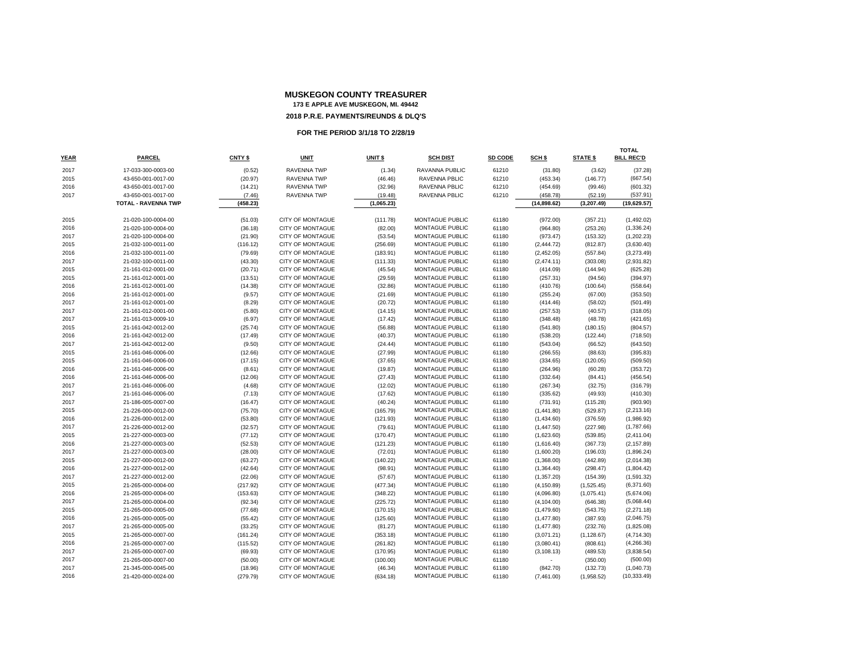| <b>YEAR</b> | <b>PARCEL</b>              | CNTY \$  | <b>UNIT</b>             | UNIT \$    | <b>SCH DIST</b>        | SD CODE | SCH \$      | <b>STATE \$</b> | <b>TOTAL</b><br><b>BILL REC'D</b> |
|-------------|----------------------------|----------|-------------------------|------------|------------------------|---------|-------------|-----------------|-----------------------------------|
| 2017        | 17-033-300-0003-00         | (0.52)   | RAVENNA TWP             | (1.34)     | RAVANNA PUBLIC         | 61210   | (31.80)     | (3.62)          | (37.28)                           |
| 2015        | 43-650-001-0017-00         | (20.97)  | <b>RAVENNA TWP</b>      | (46.46)    | RAVENNA PBLIC          | 61210   | (453.34)    | (146.77)        | (667.54)                          |
| 2016        | 43-650-001-0017-00         | (14.21)  | <b>RAVENNA TWP</b>      | (32.96)    | RAVENNA PBLIC          | 61210   | (454.69)    | (99.46)         | (601.32)                          |
| 2017        | 43-650-001-0017-00         | (7.46)   | RAVENNA TWP             | (19.48)    | RAVENNA PBLIC          | 61210   | (458.78)    | (52.19)         | (537.91)                          |
|             | <b>TOTAL - RAVENNA TWP</b> | (458.23) |                         | (1,065.23) |                        |         | (14,898.62) | (3,207.49)      | (19,629.57)                       |
|             |                            |          |                         |            |                        |         |             |                 |                                   |
| 2015        | 21-020-100-0004-00         | (51.03)  | <b>CITY OF MONTAGUE</b> | (111.78)   | MONTAGUE PUBLIC        | 61180   | (972.00)    | (357.21)        | (1,492.02)                        |
| 2016        | 21-020-100-0004-00         | (36.18)  | <b>CITY OF MONTAGUE</b> | (82.00)    | <b>MONTAGUE PUBLIC</b> | 61180   | (964.80)    | (253.26)        | (1,336.24)                        |
| 2017        | 21-020-100-0004-00         | (21.90)  | <b>CITY OF MONTAGUE</b> | (53.54)    | MONTAGUE PUBLIC        | 61180   | (973.47)    | (153.32)        | (1,202.23)                        |
| 2015        | 21-032-100-0011-00         | (116.12) | CITY OF MONTAGUE        | (256.69)   | MONTAGUE PUBLIC        | 61180   | (2, 444.72) | (812.87)        | (3,630.40)                        |
| 2016        | 21-032-100-0011-00         | (79.69)  | <b>CITY OF MONTAGUE</b> | (183.91)   | MONTAGUE PUBLIC        | 61180   | (2,452.05)  | (557.84)        | (3,273.49)                        |
| 2017        | 21-032-100-0011-00         | (43.30)  | <b>CITY OF MONTAGUE</b> | (111.33)   | MONTAGUE PUBLIC        | 61180   | (2,474.11)  | (303.08)        | (2,931.82)                        |
| 2015        | 21-161-012-0001-00         | (20.71)  | <b>CITY OF MONTAGUE</b> | (45.54)    | MONTAGUE PUBLIC        | 61180   | (414.09)    | (144.94)        | (625.28)                          |
| 2015        | 21-161-012-0001-00         | (13.51)  | <b>CITY OF MONTAGUE</b> | (29.59)    | <b>MONTAGUE PUBLIC</b> | 61180   | (257.31)    | (94.56)         | (394.97)                          |
| 2016        | 21-161-012-0001-00         | (14.38)  | <b>CITY OF MONTAGUE</b> | (32.86)    | MONTAGUE PUBLIC        | 61180   | (410.76)    | (100.64)        | (558.64)                          |
| 2016        | 21-161-012-0001-00         | (9.57)   | CITY OF MONTAGUE        | (21.69)    | MONTAGUE PUBLIC        | 61180   | (255.24)    | (67.00)         | (353.50)                          |
| 2017        | 21-161-012-0001-00         | (8.29)   | <b>CITY OF MONTAGUE</b> | (20.72)    | MONTAGUE PUBLIC        | 61180   | (414.46)    | (58.02)         | (501.49)                          |
| 2017        | 21-161-012-0001-00         | (5.80)   | <b>CITY OF MONTAGUE</b> | (14.15)    | MONTAGUE PUBLIC        | 61180   | (257.53)    | (40.57)         | (318.05)                          |
| 2017        | 21-161-013-0009-10         | (6.97)   | <b>CITY OF MONTAGUE</b> | (17.42)    | MONTAGUE PUBLIC        | 61180   | (348.48)    | (48.78)         | (421.65)                          |
| 2015        | 21-161-042-0012-00         | (25.74)  | CITY OF MONTAGUE        | (56.88)    | MONTAGUE PUBLIC        | 61180   | (541.80)    | (180.15)        | (804.57)                          |
| 2016        | 21-161-042-0012-00         | (17.49)  | CITY OF MONTAGUE        | (40.37)    | MONTAGUE PUBLIC        | 61180   | (538.20)    | (122.44)        | (718.50)                          |
| 2017        | 21-161-042-0012-00         | (9.50)   | <b>CITY OF MONTAGUE</b> | (24.44)    | MONTAGUE PUBLIC        | 61180   | (543.04)    | (66.52)         | (643.50)                          |
| 2015        | 21-161-046-0006-00         | (12.66)  | <b>CITY OF MONTAGUE</b> | (27.99)    | MONTAGUE PUBLIC        | 61180   | (266.55)    | (88.63)         | (395.83)                          |
| 2015        | 21-161-046-0006-00         | (17.15)  | <b>CITY OF MONTAGUE</b> | (37.65)    | MONTAGUE PUBLIC        | 61180   | (334.65)    | (120.05)        | (509.50)                          |
| 2016        | 21-161-046-0006-00         | (8.61)   | CITY OF MONTAGUE        | (19.87)    | MONTAGUE PUBLIC        | 61180   | (264.96)    | (60.28)         | (353.72)                          |
| 2016        | 21-161-046-0006-00         | (12.06)  | <b>CITY OF MONTAGUE</b> | (27.43)    | MONTAGUE PUBLIC        | 61180   | (332.64)    | (84.41)         | (456.54)                          |
| 2017        | 21-161-046-0006-00         | (4.68)   | <b>CITY OF MONTAGUE</b> | (12.02)    | MONTAGUE PUBLIC        | 61180   | (267.34)    | (32.75)         | (316.79)                          |
| 2017        | 21-161-046-0006-00         | (7.13)   | <b>CITY OF MONTAGUE</b> | (17.62)    | MONTAGUE PUBLIC        | 61180   | (335.62)    | (49.93)         | (410.30)                          |
| 2017        | 21-186-005-0007-00         | (16.47)  | <b>CITY OF MONTAGUE</b> | (40.24)    | <b>MONTAGUE PUBLIC</b> | 61180   | (731.91)    | (115.28)        | (903.90)                          |
| 2015        | 21-226-000-0012-00         | (75.70)  | <b>CITY OF MONTAGUE</b> | (165.79)   | MONTAGUE PUBLIC        | 61180   | (1,441.80)  | (529.87)        | (2, 213.16)                       |
| 2016        | 21-226-000-0012-00         | (53.80)  | CITY OF MONTAGUE        | (121.93)   | MONTAGUE PUBLIC        | 61180   | (1,434.60)  | (376.59)        | (1,986.92)                        |
| 2017        | 21-226-000-0012-00         | (32.57)  | CITY OF MONTAGUE        | (79.61)    | MONTAGUE PUBLIC        | 61180   | (1,447.50)  | (227.98)        | (1,787.66)                        |
| 2015        | 21-227-000-0003-00         | (77.12)  | <b>CITY OF MONTAGUE</b> | (170.47)   | MONTAGUE PUBLIC        | 61180   | (1,623.60)  | (539.85)        | (2,411.04)                        |
| 2016        | 21-227-000-0003-00         | (52.53)  | <b>CITY OF MONTAGUE</b> | (121.23)   | MONTAGUE PUBLIC        | 61180   | (1,616.40)  | (367.73)        | (2, 157.89)                       |
| 2017        | 21-227-000-0003-00         | (28.00)  | <b>CITY OF MONTAGUE</b> | (72.01)    | <b>MONTAGUE PUBLIC</b> | 61180   | (1,600.20)  | (196.03)        | (1,896.24)                        |
| 2015        | 21-227-000-0012-00         | (63.27)  | <b>CITY OF MONTAGUE</b> | (140.22)   | MONTAGUE PUBLIC        | 61180   | (1,368.00)  | (442.89)        | (2,014.38)                        |
| 2016        | 21-227-000-0012-00         | (42.64)  | <b>CITY OF MONTAGUE</b> | (98.91)    | <b>MONTAGUE PUBLIC</b> | 61180   | (1,364.40)  | (298.47)        | (1,804.42)                        |
| 2017        | 21-227-000-0012-00         | (22.06)  | <b>CITY OF MONTAGUE</b> | (57.67)    | MONTAGUE PUBLIC        | 61180   | (1,357.20)  | (154.39)        | (1,591.32)                        |
| 2015        | 21-265-000-0004-00         | (217.92) | <b>CITY OF MONTAGUE</b> | (477.34)   | <b>MONTAGUE PUBLIC</b> | 61180   | (4, 150.89) | (1,525.45)      | (6,371.60)                        |
| 2016        | 21-265-000-0004-00         | (153.63) | CITY OF MONTAGUE        | (348.22)   | MONTAGUE PUBLIC        | 61180   | (4,096.80)  | (1,075.41)      | (5,674.06)                        |
| 2017        | 21-265-000-0004-00         | (92.34)  | CITY OF MONTAGUE        | (225.72)   | MONTAGUE PUBLIC        | 61180   | (4, 104.00) | (646.38)        | (5,068.44)                        |
| 2015        | 21-265-000-0005-00         | (77.68)  | <b>CITY OF MONTAGUE</b> | (170.15)   | MONTAGUE PUBLIC        | 61180   | (1,479.60)  | (543.75)        | (2,271.18)                        |
| 2016        | 21-265-000-0005-00         | (55.42)  | <b>CITY OF MONTAGUE</b> | (125.60)   | MONTAGUE PUBLIC        | 61180   | (1,477.80)  | (387.93)        | (2,046.75)                        |
| 2017        | 21-265-000-0005-00         | (33.25)  | <b>CITY OF MONTAGUE</b> | (81.27)    | MONTAGUE PUBLIC        | 61180   | (1,477.80)  | (232.76)        | (1,825.08)                        |
| 2015        | 21-265-000-0007-00         | (161.24) | <b>CITY OF MONTAGUE</b> | (353.18)   | MONTAGUE PUBLIC        | 61180   | (3,071.21)  | (1, 128.67)     | (4,714.30)                        |
| 2016        | 21-265-000-0007-00         | (115.52) | CITY OF MONTAGUE        | (261.82)   | MONTAGUE PUBLIC        | 61180   | (3,080.41)  | (808.61)        | (4,266.36)                        |
| 2017        | 21-265-000-0007-00         | (69.93)  | <b>CITY OF MONTAGUE</b> | (170.95)   | MONTAGUE PUBLIC        | 61180   | (3, 108.13) | (489.53)        | (3,838.54)                        |
| 2017        | 21-265-000-0007-00         | (50.00)  | <b>CITY OF MONTAGUE</b> | (100.00)   | MONTAGUE PUBLIC        | 61180   |             | (350.00)        | (500.00)                          |
| 2017        | 21-345-000-0045-00         | (18.96)  | <b>CITY OF MONTAGUE</b> | (46.34)    | MONTAGUE PUBLIC        | 61180   | (842.70)    | (132.73)        | (1,040.73)                        |
| 2016        | 21-420-000-0024-00         | (279.79) | <b>CITY OF MONTAGUE</b> | (634.18)   | MONTAGUE PUBLIC        | 61180   | (7,461.00)  | (1,958.52)      | (10, 333.49)                      |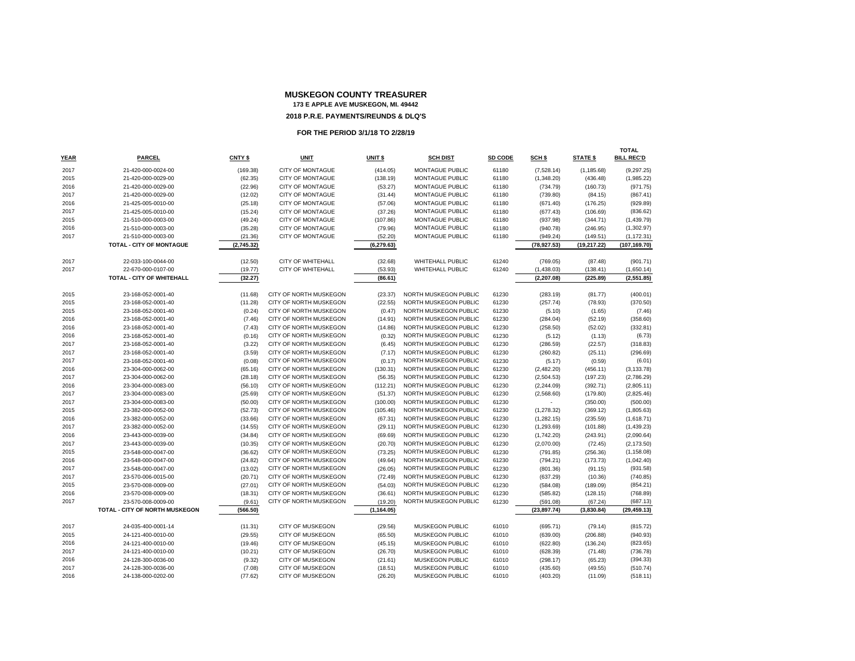# **MUSKEGON COUNTY TREASURER 173 E APPLE AVE MUSKEGON, MI. 49442**

# **2018 P.R.E. PAYMENTS/REUNDS & DLQ'S**

|             |                                       |            |                          |                    |                         |         |              |                 | <b>TOTAL</b>      |
|-------------|---------------------------------------|------------|--------------------------|--------------------|-------------------------|---------|--------------|-----------------|-------------------|
| <b>YEAR</b> | PARCEL                                | CNTY \$    | <b>UNIT</b>              | UNIT <sub>\$</sub> | <b>SCH DIST</b>         | SD CODE | SCH \$       | <b>STATE \$</b> | <b>BILL REC'D</b> |
| 2017        | 21-420-000-0024-00                    | (169.38)   | CITY OF MONTAGUE         | (414.05)           | MONTAGUE PUBLIC         | 61180   | (7,528.14)   | (1, 185.68)     | (9, 297.25)       |
| 2015        | 21-420-000-0029-00                    | (62.35)    | <b>CITY OF MONTAGUE</b>  | (138.19)           | <b>MONTAGUE PUBLIC</b>  | 61180   | (1,348.20)   | (436.48)        | (1,985.22)        |
| 2016        | 21-420-000-0029-00                    | (22.96)    | <b>CITY OF MONTAGUE</b>  | (53.27)            | MONTAGUE PUBLIC         | 61180   | (734.79)     | (160.73)        | (971.75)          |
| 2017        | 21-420-000-0029-00                    | (12.02)    | CITY OF MONTAGUE         | (31.44)            | <b>MONTAGUE PUBLIC</b>  | 61180   | (739.80)     | (84.15)         | (867.41)          |
| 2016        | 21-425-005-0010-00                    | (25.18)    | <b>CITY OF MONTAGUE</b>  | (57.06)            | MONTAGUE PUBLIC         | 61180   | (671.40)     | (176.25)        | (929.89)          |
| 2017        | 21-425-005-0010-00                    | (15.24)    | <b>CITY OF MONTAGUE</b>  | (37.26)            | MONTAGUE PUBLIC         | 61180   | (677.43)     | (106.69)        | (836.62)          |
| 2015        | 21-510-000-0003-00                    | (49.24)    | <b>CITY OF MONTAGUE</b>  | (107.86)           | MONTAGUE PUBLIC         | 61180   | (937.98)     | (344.71)        | (1,439.79)        |
| 2016        | 21-510-000-0003-00                    | (35.28)    | CITY OF MONTAGUE         | (79.96)            | MONTAGUE PUBLIC         | 61180   | (940.78)     | (246.95)        | (1,302.97)        |
| 2017        | 21-510-000-0003-00                    | (21.36)    | <b>CITY OF MONTAGUE</b>  | (52.20)            | MONTAGUE PUBLIC         | 61180   | (949.24)     | (149.51)        | (1, 172.31)       |
|             | TOTAL - CITY OF MONTAGUE              | (2,745.32) |                          | (6, 279.63)        |                         |         | (78, 927.53) | (19, 217.22)    | (107, 169.70)     |
|             |                                       |            |                          |                    |                         |         |              |                 |                   |
| 2017        | 22-033-100-0044-00                    | (12.50)    | CITY OF WHITEHALL        | (32.68)            | <b>WHITEHALL PUBLIC</b> | 61240   | (769.05)     | (87.48)         | (901.71)          |
| 2017        | 22-670-000-0107-00                    | (19.77)    | <b>CITY OF WHITEHALL</b> | (53.93)            | <b>WHITEHALL PUBLIC</b> | 61240   | (1,438.03)   | (138.41)        | (1,650.14)        |
|             | <b>TOTAL - CITY OF WHITEHALL</b>      | (32.27)    |                          | (86.61)            |                         |         | (2, 207.08)  | (225.89)        | (2,551.85)        |
|             |                                       |            |                          |                    |                         |         |              |                 |                   |
| 2015        | 23-168-052-0001-40                    | (11.68)    | CITY OF NORTH MUSKEGON   | (23.37)            | NORTH MUSKEGON PUBLIC   | 61230   | (283.19)     | (81.77)         | (400.01)          |
| 2015        | 23-168-052-0001-40                    | (11.28)    | CITY OF NORTH MUSKEGON   | (22.55)            | NORTH MUSKEGON PUBLIC   | 61230   | (257.74)     | (78.93)         | (370.50)          |
| 2015        | 23-168-052-0001-40                    | (0.24)     | CITY OF NORTH MUSKEGON   | (0.47)             | NORTH MUSKEGON PUBLIC   | 61230   | (5.10)       | (1.65)          | (7.46)            |
| 2016        | 23-168-052-0001-40                    | (7.46)     | CITY OF NORTH MUSKEGON   | (14.91)            | NORTH MUSKEGON PUBLIC   | 61230   | (284.04)     | (52.19)         | (358.60)          |
| 2016        | 23-168-052-0001-40                    | (7.43)     | CITY OF NORTH MUSKEGON   | (14.86)            | NORTH MUSKEGON PUBLIC   | 61230   | (258.50)     | (52.02)         | (332.81)          |
| 2016        | 23-168-052-0001-40                    | (0.16)     | CITY OF NORTH MUSKEGON   | (0.32)             | NORTH MUSKEGON PUBLIC   | 61230   | (5.12)       | (1.13)          | (6.73)            |
| 2017        | 23-168-052-0001-40                    | (3.22)     | CITY OF NORTH MUSKEGON   | (6.45)             | NORTH MUSKEGON PUBLIC   | 61230   | (286.59)     | (22.57)         | (318.83)          |
| 2017        | 23-168-052-0001-40                    | (3.59)     | CITY OF NORTH MUSKEGON   | (7.17)             | NORTH MUSKEGON PUBLIC   | 61230   | (260.82)     | (25.11)         | (296.69)          |
| 2017        | 23-168-052-0001-40                    | (0.08)     | CITY OF NORTH MUSKEGON   | (0.17)             | NORTH MUSKEGON PUBLIC   | 61230   | (5.17)       | (0.59)          | (6.01)            |
| 2016        | 23-304-000-0062-00                    | (65.16)    | CITY OF NORTH MUSKEGON   | (130.31)           | NORTH MUSKEGON PUBLIC   | 61230   | (2,482.20)   | (456.11)        | (3, 133.78)       |
| 2017        | 23-304-000-0062-00                    | (28.18)    | CITY OF NORTH MUSKEGON   | (56.35)            | NORTH MUSKEGON PUBLIC   | 61230   | (2,504.53)   | (197.23)        | (2,786.29)        |
| 2016        | 23-304-000-0083-00                    | (56.10)    | CITY OF NORTH MUSKEGON   | (112.21)           | NORTH MUSKEGON PUBLIC   | 61230   | (2, 244.09)  | (392.71)        | (2,805.11)        |
| 2017        | 23-304-000-0083-00                    | (25.69)    | CITY OF NORTH MUSKEGON   | (51.37)            | NORTH MUSKEGON PUBLIC   | 61230   | (2,568.60)   | (179.80)        | (2,825.46)        |
| 2017        | 23-304-000-0083-00                    | (50.00)    | CITY OF NORTH MUSKEGON   | (100.00)           | NORTH MUSKEGON PUBLIC   | 61230   | ٠            | (350.00)        | (500.00)          |
| 2015        | 23-382-000-0052-00                    | (52.73)    | CITY OF NORTH MUSKEGON   | (105.46)           | NORTH MUSKEGON PUBLIC   | 61230   | (1, 278.32)  | (369.12)        | (1,805.63)        |
| 2016        | 23-382-000-0052-00                    | (33.66)    | CITY OF NORTH MUSKEGON   | (67.31)            | NORTH MUSKEGON PUBLIC   | 61230   | (1,282.15)   | (235.59)        | (1,618.71)        |
| 2017        | 23-382-000-0052-00                    | (14.55)    | CITY OF NORTH MUSKEGON   | (29.11)            | NORTH MUSKEGON PUBLIC   | 61230   | (1,293.69)   | (101.88)        | (1,439.23)        |
| 2016        | 23-443-000-0039-00                    | (34.84)    | CITY OF NORTH MUSKEGON   | (69.69)            | NORTH MUSKEGON PUBLIC   | 61230   | (1,742.20)   | (243.91)        | (2,090.64)        |
| 2017        | 23-443-000-0039-00                    | (10.35)    | CITY OF NORTH MUSKEGON   | (20.70)            | NORTH MUSKEGON PUBLIC   | 61230   | (2,070.00)   | (72.45)         | (2, 173.50)       |
| 2015        | 23-548-000-0047-00                    | (36.62)    | CITY OF NORTH MUSKEGON   | (73.25)            | NORTH MUSKEGON PUBLIC   | 61230   | (791.85)     | (256.36)        | (1, 158.08)       |
| 2016        | 23-548-000-0047-00                    | (24.82)    | CITY OF NORTH MUSKEGON   | (49.64)            | NORTH MUSKEGON PUBLIC   | 61230   | (794.21)     | (173.73)        | (1,042.40)        |
| 2017        | 23-548-000-0047-00                    | (13.02)    | CITY OF NORTH MUSKEGON   | (26.05)            | NORTH MUSKEGON PUBLIC   | 61230   | (801.36)     | (91.15)         | (931.58)          |
| 2017        | 23-570-006-0015-00                    | (20.71)    | CITY OF NORTH MUSKEGON   | (72.49)            | NORTH MUSKEGON PUBLIC   | 61230   | (637.29)     | (10.36)         | (740.85)          |
| 2015        | 23-570-008-0009-00                    | (27.01)    | CITY OF NORTH MUSKEGON   | (54.03)            | NORTH MUSKEGON PUBLIC   | 61230   | (584.08)     | (189.09)        | (854.21)          |
| 2016        | 23-570-008-0009-00                    | (18.31)    | CITY OF NORTH MUSKEGON   | (36.61)            | NORTH MUSKEGON PUBLIC   | 61230   | (585.82)     | (128.15)        | (768.89)          |
| 2017        | 23-570-008-0009-00                    | (9.61)     | CITY OF NORTH MUSKEGON   | (19.20)            | NORTH MUSKEGON PUBLIC   | 61230   | (591.08)     | (67.24)         | (687.13)          |
|             | <b>TOTAL - CITY OF NORTH MUSKEGON</b> | (566.50)   |                          | (1, 164.05)        |                         |         | (23, 897.74) | (3,830.84)      | (29, 459.13)      |
|             |                                       |            |                          |                    |                         |         |              |                 |                   |
| 2017        | 24-035-400-0001-14                    | (11.31)    | CITY OF MUSKEGON         | (29.56)            | MUSKEGON PUBLIC         | 61010   | (695.71)     | (79.14)         | (815.72)          |
| 2015        | 24-121-400-0010-00                    | (29.55)    | CITY OF MUSKEGON         | (65.50)            | MUSKEGON PUBLIC         | 61010   | (639.00)     | (206.88)        | (940.93)          |
| 2016        | 24-121-400-0010-00                    | (19.46)    | CITY OF MUSKEGON         | (45.15)            | <b>MUSKEGON PUBLIC</b>  | 61010   | (622.80)     | (136.24)        | (823.65)          |
| 2017        | 24-121-400-0010-00                    | (10.21)    | <b>CITY OF MUSKEGON</b>  | (26.70)            | <b>MUSKEGON PUBLIC</b>  | 61010   | (628.39)     | (71.48)         | (736.78)          |
| 2016        | 24-128-300-0036-00                    | (9.32)     | CITY OF MUSKEGON         | (21.61)            | MUSKEGON PUBLIC         | 61010   | (298.17)     | (65.23)         | (394.33)          |
| 2017        | 24-128-300-0036-00                    | (7.08)     | <b>CITY OF MUSKEGON</b>  | (18.51)            | <b>MUSKEGON PUBLIC</b>  | 61010   | (435.60)     | (49.55)         | (510.74)          |
| 2016        | 24-138-000-0202-00                    | (77.62)    | CITY OF MUSKEGON         | (26.20)            | MUSKEGON PUBLIC         | 61010   | (403.20)     | (11.09)         | (518.11)          |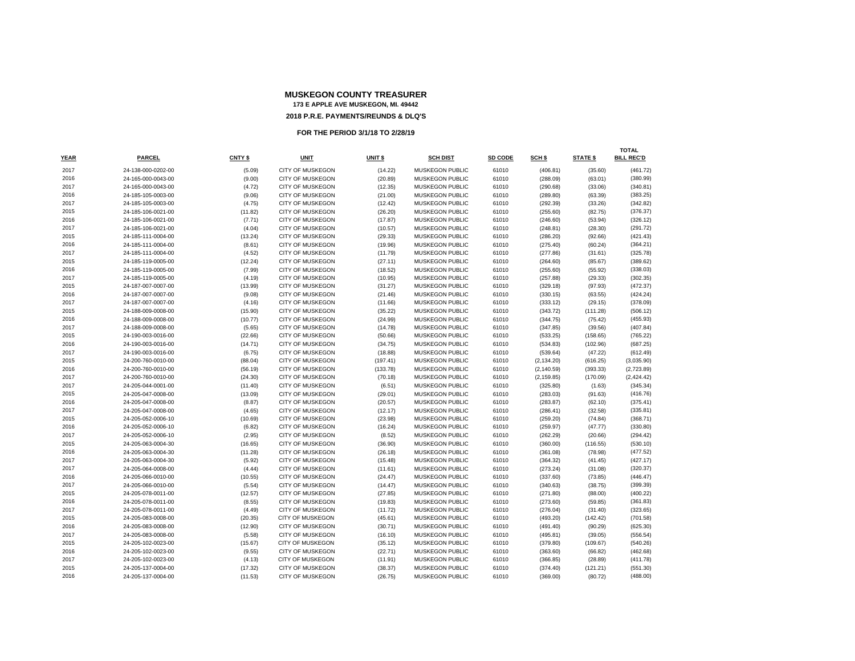| <b>YEAR</b>  | <b>PARCEL</b>                            | CNTY \$           | UNIT                                               | UNIT \$            | <b>SCH DIST</b>                                  | SD CODE        | SCH \$                  | <b>STATE \$</b>      | <b>TOTAL</b><br><b>BILL REC'D</b> |
|--------------|------------------------------------------|-------------------|----------------------------------------------------|--------------------|--------------------------------------------------|----------------|-------------------------|----------------------|-----------------------------------|
|              |                                          |                   |                                                    |                    |                                                  |                |                         |                      |                                   |
| 2017<br>2016 | 24-138-000-0202-00<br>24-165-000-0043-00 | (5.09)            | <b>CITY OF MUSKEGON</b><br><b>CITY OF MUSKEGON</b> | (14.22)            | <b>MUSKEGON PUBLIC</b><br><b>MUSKEGON PUBLIC</b> | 61010<br>61010 | (406.81)                | (35.60)              | (461.72)                          |
| 2017         |                                          | (9.00)            |                                                    | (20.89)            |                                                  |                | (288.09)                | (63.01)              | (380.99)                          |
|              | 24-165-000-0043-00                       | (4.72)            | <b>CITY OF MUSKEGON</b>                            | (12.35)            | <b>MUSKEGON PUBLIC</b>                           | 61010<br>61010 | (290.68)                | (33.06)              | (340.81)                          |
| 2016<br>2017 | 24-185-105-0003-00                       | (9.06)            | <b>CITY OF MUSKEGON</b>                            | (21.00)            | MUSKEGON PUBLIC                                  |                | (289.80)                | (63.39)              | (383.25)<br>(342.82)              |
| 2015         | 24-185-105-0003-00<br>24-185-106-0021-00 | (4.75)<br>(11.82) | <b>CITY OF MUSKEGON</b><br>CITY OF MUSKEGON        | (12.42)            | <b>MUSKEGON PUBLIC</b><br>MUSKEGON PUBLIC        | 61010<br>61010 | (292.39)                | (33.26)              | (376.37)                          |
| 2016         |                                          |                   |                                                    | (26.20)            |                                                  |                | (255.60)                | (82.75)              |                                   |
| 2017         | 24-185-106-0021-00<br>24-185-106-0021-00 | (7.71)            | <b>CITY OF MUSKEGON</b>                            | (17.87)            | MUSKEGON PUBLIC                                  | 61010<br>61010 | (246.60)                | (53.94)              | (326.12)                          |
| 2015         |                                          | (4.04)            | <b>CITY OF MUSKEGON</b>                            | (10.57)            | <b>MUSKEGON PUBLIC</b>                           |                | (248.81)                | (28.30)              | (291.72)                          |
| 2016         | 24-185-111-0004-00<br>24-185-111-0004-00 | (13.24)<br>(8.61) | CITY OF MUSKEGON<br><b>CITY OF MUSKEGON</b>        | (29.33)<br>(19.96) | MUSKEGON PUBLIC<br><b>MUSKEGON PUBLIC</b>        | 61010<br>61010 | (286.20)                | (92.66)<br>(60.24)   | (421.43)<br>(364.21)              |
| 2017         | 24-185-111-0004-00                       | (4.52)            | <b>CITY OF MUSKEGON</b>                            | (11.79)            | <b>MUSKEGON PUBLIC</b>                           | 61010          | (275.40)                |                      | (325.78)                          |
| 2015         | 24-185-119-0005-00                       |                   | <b>CITY OF MUSKEGON</b>                            | (27.11)            | MUSKEGON PUBLIC                                  | 61010          | (277.86)                | (31.61)              |                                   |
| 2016         |                                          | (12.24)           |                                                    |                    |                                                  |                | (264.60)                | (85.67)              | (389.62)                          |
| 2017         | 24-185-119-0005-00                       | (7.99)            | <b>CITY OF MUSKEGON</b>                            | (18.52)            | MUSKEGON PUBLIC                                  | 61010<br>61010 | (255.60)                | (55.92)              | (338.03)                          |
| 2015         | 24-185-119-0005-00<br>24-187-007-0007-00 | (4.19)<br>(13.99) | <b>CITY OF MUSKEGON</b><br><b>CITY OF MUSKEGON</b> | (10.95)<br>(31.27) | <b>MUSKEGON PUBLIC</b><br><b>MUSKEGON PUBLIC</b> | 61010          | (257.88)<br>(329.18)    | (29.33)<br>(97.93)   | (302.35)<br>(472.37)              |
| 2016         | 24-187-007-0007-00                       | (9.08)            | <b>CITY OF MUSKEGON</b>                            | (21.46)            | <b>MUSKEGON PUBLIC</b>                           | 61010          | (330.15)                |                      | (424.24)                          |
| 2017         | 24-187-007-0007-00                       | (4.16)            | <b>CITY OF MUSKEGON</b>                            |                    | <b>MUSKEGON PUBLIC</b>                           | 61010          | (333.12)                | (63.55)<br>(29.15)   | (378.09)                          |
| 2015         |                                          |                   | CITY OF MUSKEGON                                   | (11.66)            | MUSKEGON PUBLIC                                  | 61010          |                         |                      | (506.12)                          |
| 2016         | 24-188-009-0008-00                       | (15.90)           |                                                    | (35.22)            |                                                  |                | (343.72)                | (111.28)             |                                   |
| 2017         | 24-188-009-0008-00<br>24-188-009-0008-00 | (10.77)           | <b>CITY OF MUSKEGON</b><br><b>CITY OF MUSKEGON</b> | (24.99)            | MUSKEGON PUBLIC<br><b>MUSKEGON PUBLIC</b>        | 61010<br>61010 | (344.75)                | (75.42)              | (455.93)<br>(407.84)              |
| 2015         | 24-190-003-0016-00                       | (5.65)<br>(22.66) | <b>CITY OF MUSKEGON</b>                            | (14.78)<br>(50.66) | <b>MUSKEGON PUBLIC</b>                           | 61010          | (347.85)<br>(533.25)    | (39.56)              |                                   |
| 2016         | 24-190-003-0016-00                       | (14.71)           | <b>CITY OF MUSKEGON</b>                            | (34.75)            | MUSKEGON PUBLIC                                  | 61010          | (534.83)                | (158.65)<br>(102.96) | (765.22)<br>(687.25)              |
| 2017         | 24-190-003-0016-00                       |                   | <b>CITY OF MUSKEGON</b>                            | (18.88)            | <b>MUSKEGON PUBLIC</b>                           | 61010          |                         |                      |                                   |
| 2015         | 24-200-760-0010-00                       | (6.75)<br>(88.04) | CITY OF MUSKEGON                                   | (197.41)           | MUSKEGON PUBLIC                                  | 61010          | (539.64)<br>(2, 134.20) | (47.22)<br>(616.25)  | (612.49)<br>(3,035.90)            |
| 2016         | 24-200-760-0010-00                       | (56.19)           | <b>CITY OF MUSKEGON</b>                            | (133.78)           | <b>MUSKEGON PUBLIC</b>                           | 61010          | (2, 140.59)             | (393.33)             | (2,723.89)                        |
| 2017         | 24-200-760-0010-00                       | (24.30)           | <b>CITY OF MUSKEGON</b>                            | (70.18)            | <b>MUSKEGON PUBLIC</b>                           | 61010          | (2, 159.85)             | (170.09)             | (2,424.42)                        |
| 2017         | 24-205-044-0001-00                       | (11.40)           | CITY OF MUSKEGON                                   | (6.51)             | MUSKEGON PUBLIC                                  | 61010          | (325.80)                | (1.63)               | (345.34)                          |
| 2015         | 24-205-047-0008-00                       | (13.09)           | CITY OF MUSKEGON                                   | (29.01)            | MUSKEGON PUBLIC                                  | 61010          | (283.03)                | (91.63)              | (416.76)                          |
| 2016         | 24-205-047-0008-00                       | (8.87)            | <b>CITY OF MUSKEGON</b>                            | (20.57)            | <b>MUSKEGON PUBLIC</b>                           | 61010          | (283.87)                | (62.10)              | (375.41)                          |
| 2017         | 24-205-047-0008-00                       | (4.65)            | CITY OF MUSKEGON                                   | (12.17)            | <b>MUSKEGON PUBLIC</b>                           | 61010          | (286.41)                | (32.58)              | (335.81)                          |
| 2015         | 24-205-052-0006-10                       | (10.69)           | <b>CITY OF MUSKEGON</b>                            | (23.98)            | <b>MUSKEGON PUBLIC</b>                           | 61010          | (259.20)                | (74.84)              | (368.71)                          |
| 2016         | 24-205-052-0006-10                       | (6.82)            | <b>CITY OF MUSKEGON</b>                            | (16.24)            | <b>MUSKEGON PUBLIC</b>                           | 61010          | (259.97)                | (47.77)              | (330.80)                          |
| 2017         | 24-205-052-0006-10                       | (2.95)            | <b>CITY OF MUSKEGON</b>                            | (8.52)             | <b>MUSKEGON PUBLIC</b>                           | 61010          | (262.29)                | (20.66)              | (294.42)                          |
| 2015         | 24-205-063-0004-30                       | (16.65)           | CITY OF MUSKEGON                                   | (36.90)            | MUSKEGON PUBLIC                                  | 61010          | (360.00)                | (116.55)             | (530.10)                          |
| 2016         | 24-205-063-0004-30                       | (11.28)           | <b>CITY OF MUSKEGON</b>                            | (26.18)            | <b>MUSKEGON PUBLIC</b>                           | 61010          | (361.08)                | (78.98)              | (477.52)                          |
| 2017         | 24-205-063-0004-30                       | (5.92)            | <b>CITY OF MUSKEGON</b>                            | (15.48)            | <b>MUSKEGON PUBLIC</b>                           | 61010          | (364.32)                | (41.45)              | (427.17)                          |
| 2017         | 24-205-064-0008-00                       | (4.44)            | <b>CITY OF MUSKEGON</b>                            | (11.61)            | <b>MUSKEGON PUBLIC</b>                           | 61010          | (273.24)                | (31.08)              | (320.37)                          |
| 2016         | 24-205-066-0010-00                       | (10.55)           | CITY OF MUSKEGON                                   | (24.47)            | MUSKEGON PUBLIC                                  | 61010          | (337.60)                | (73.85)              | (446.47)                          |
| 2017         | 24-205-066-0010-00                       | (5.54)            | <b>CITY OF MUSKEGON</b>                            | (14.47)            | <b>MUSKEGON PUBLIC</b>                           | 61010          | (340.63)                | (38.75)              | (399.39)                          |
| 2015         | 24-205-078-0011-00                       | (12.57)           | <b>CITY OF MUSKEGON</b>                            | (27.85)            | MUSKEGON PUBLIC                                  | 61010          | (271.80)                | (88.00)              | (400.22)                          |
| 2016         | 24-205-078-0011-00                       | (8.55)            | <b>CITY OF MUSKEGON</b>                            | (19.83)            | <b>MUSKEGON PUBLIC</b>                           | 61010          | (273.60)                | (59.85)              | (361.83)                          |
| 2017         | 24-205-078-0011-00                       | (4.49)            | <b>CITY OF MUSKEGON</b>                            | (11.72)            | <b>MUSKEGON PUBLIC</b>                           | 61010          | (276.04)                | (31.40)              | (323.65)                          |
| 2015         | 24-205-083-0008-00                       | (20.35)           | CITY OF MUSKEGON                                   | (45.61)            | MUSKEGON PUBLIC                                  | 61010          | (493.20)                | (142.42)             | (701.58)                          |
| 2016         | 24-205-083-0008-00                       | (12.90)           | <b>CITY OF MUSKEGON</b>                            | (30.71)            | <b>MUSKEGON PUBLIC</b>                           | 61010          | (491.40)                | (90.29)              | (625.30)                          |
| 2017         | 24-205-083-0008-00                       | (5.58)            | <b>CITY OF MUSKEGON</b>                            | (16.10)            | <b>MUSKEGON PUBLIC</b>                           | 61010          | (495.81)                | (39.05)              | (556.54)                          |
| 2015         | 24-205-102-0023-00                       | (15.67)           | <b>CITY OF MUSKEGON</b>                            | (35.12)            | <b>MUSKEGON PUBLIC</b>                           | 61010          | (379.80)                | (109.67)             | (540.26)                          |
| 2016         | 24-205-102-0023-00                       | (9.55)            | <b>CITY OF MUSKEGON</b>                            | (22.71)            | <b>MUSKEGON PUBLIC</b>                           | 61010          | (363.60)                | (66.82)              | (462.68)                          |
| 2017         | 24-205-102-0023-00                       | (4.13)            | CITY OF MUSKEGON                                   | (11.91)            | MUSKEGON PUBLIC                                  | 61010          | (366.85)                | (28.89)              | (411.78)                          |
| 2015         | 24-205-137-0004-00                       | (17.32)           | CITY OF MUSKEGON                                   | (38.37)            | MUSKEGON PUBLIC                                  | 61010          | (374.40)                | (121.21)             | (551.30)                          |
| 2016         | 24-205-137-0004-00                       | (11.53)           | <b>CITY OF MUSKEGON</b>                            | (26.75)            | MUSKEGON PUBLIC                                  | 61010          | (369.00)                | (80.72)              | (488.00)                          |
|              |                                          |                   |                                                    |                    |                                                  |                |                         |                      |                                   |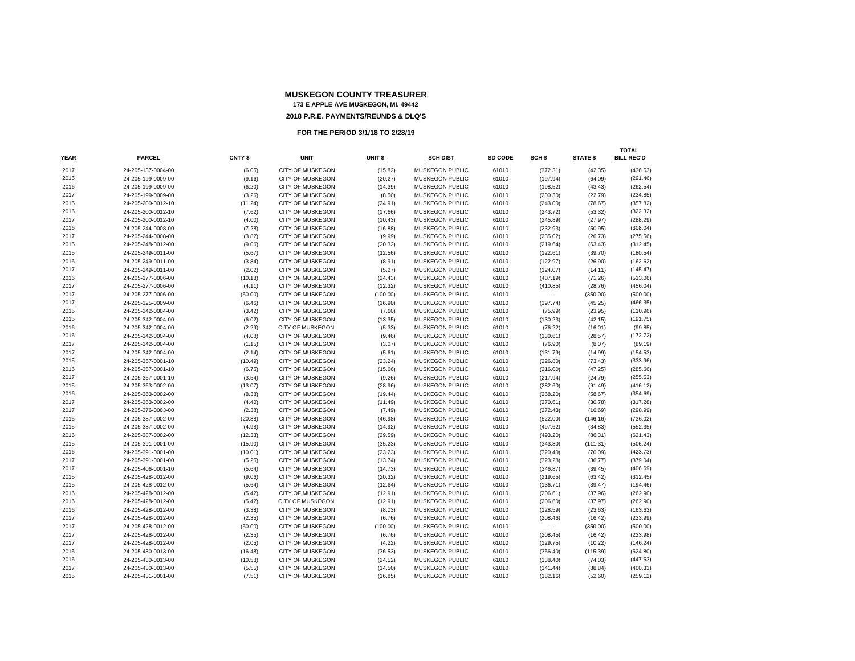|      |                    |         |                         |          |                        |         |                          |                 | <b>TOTAL</b>      |
|------|--------------------|---------|-------------------------|----------|------------------------|---------|--------------------------|-----------------|-------------------|
| YEAR | <b>PARCEL</b>      | CNTY \$ | <b>UNIT</b>             | UNIT \$  | <b>SCH DIST</b>        | SD CODE | SCH \$                   | <b>STATE \$</b> | <b>BILL REC'D</b> |
| 2017 | 24-205-137-0004-00 | (6.05)  | <b>CITY OF MUSKEGON</b> | (15.82)  | <b>MUSKEGON PUBLIC</b> | 61010   | (372.31)                 | (42.35)         | (436.53)          |
| 2015 | 24-205-199-0009-00 | (9.16)  | CITY OF MUSKEGON        | (20.27)  | MUSKEGON PUBLIC        | 61010   | (197.94)                 | (64.09)         | (291.46)          |
| 2016 | 24-205-199-0009-00 | (6.20)  | <b>CITY OF MUSKEGON</b> | (14.39)  | <b>MUSKEGON PUBLIC</b> | 61010   | (198.52)                 | (43.43)         | (262.54)          |
| 2017 | 24-205-199-0009-00 | (3.26)  | <b>CITY OF MUSKEGON</b> | (8.50)   | MUSKEGON PUBLIC        | 61010   | (200.30)                 | (22.79)         | (234.85)          |
| 2015 | 24-205-200-0012-10 | (11.24) | CITY OF MUSKEGON        | (24.91)  | MUSKEGON PUBLIC        | 61010   | (243.00)                 | (78.67)         | (357.82)          |
| 2016 | 24-205-200-0012-10 | (7.62)  | <b>CITY OF MUSKEGON</b> | (17.66)  | MUSKEGON PUBLIC        | 61010   | (243.72)                 | (53.32)         | (322.32)          |
| 2017 | 24-205-200-0012-10 | (4.00)  | CITY OF MUSKEGON        | (10.43)  | MUSKEGON PUBLIC        | 61010   | (245.89)                 | (27.97)         | (288.29)          |
| 2016 | 24-205-244-0008-00 | (7.28)  | CITY OF MUSKEGON        | (16.88)  | MUSKEGON PUBLIC        | 61010   | (232.93)                 | (50.95)         | (308.04)          |
| 2017 | 24-205-244-0008-00 | (3.82)  | <b>CITY OF MUSKEGON</b> | (9.99)   | <b>MUSKEGON PUBLIC</b> | 61010   | (235.02)                 | (26.73)         | (275.56)          |
| 2015 | 24-205-248-0012-00 | (9.06)  | <b>CITY OF MUSKEGON</b> | (20.32)  | <b>MUSKEGON PUBLIC</b> | 61010   | (219.64)                 | (63.43)         | (312.45)          |
| 2015 | 24-205-249-0011-00 | (5.67)  | <b>CITY OF MUSKEGON</b> | (12.56)  | <b>MUSKEGON PUBLIC</b> | 61010   | (122.61)                 | (39.70)         | (180.54)          |
| 2016 | 24-205-249-0011-00 | (3.84)  | CITY OF MUSKEGON        | (8.91)   | MUSKEGON PUBLIC        | 61010   | (122.97)                 | (26.90)         | (162.62)          |
| 2017 | 24-205-249-0011-00 | (2.02)  | CITY OF MUSKEGON        | (5.27)   | MUSKEGON PUBLIC        | 61010   | (124.07)                 | (14.11)         | (145.47)          |
| 2016 | 24-205-277-0006-00 | (10.18) | <b>CITY OF MUSKEGON</b> | (24.43)  | <b>MUSKEGON PUBLIC</b> | 61010   | (407.19)                 | (71.26)         | (513.06)          |
| 2017 | 24-205-277-0006-00 | (4.11)  | CITY OF MUSKEGON        | (12.32)  | <b>MUSKEGON PUBLIC</b> | 61010   | (410.85)                 | (28.76)         | (456.04)          |
| 2017 | 24-205-277-0006-00 | (50.00) | CITY OF MUSKEGON        | (100.00) | MUSKEGON PUBLIC        | 61010   | $\overline{\phantom{a}}$ | (350.00)        | (500.00)          |
| 2017 | 24-205-325-0009-00 | (6.46)  | CITY OF MUSKEGON        | (16.90)  | MUSKEGON PUBLIC        | 61010   | (397.74)                 | (45.25)         | (466.35)          |
| 2015 | 24-205-342-0004-00 | (3.42)  | CITY OF MUSKEGON        | (7.60)   | MUSKEGON PUBLIC        | 61010   | (75.99)                  | (23.95)         | (110.96)          |
| 2015 | 24-205-342-0004-00 | (6.02)  | <b>CITY OF MUSKEGON</b> | (13.35)  | <b>MUSKEGON PUBLIC</b> | 61010   | (130.23)                 | (42.15)         | (191.75)          |
| 2016 | 24-205-342-0004-00 | (2.29)  | <b>CITY OF MUSKEGON</b> | (5.33)   | MUSKEGON PUBLIC        | 61010   | (76.22)                  | (16.01)         | (99.85)           |
| 2016 | 24-205-342-0004-00 | (4.08)  | <b>CITY OF MUSKEGON</b> | (9.46)   | <b>MUSKEGON PUBLIC</b> | 61010   | (130.61)                 | (28.57)         | (172.72)          |
| 2017 | 24-205-342-0004-00 | (1.15)  | CITY OF MUSKEGON        | (3.07)   | MUSKEGON PUBLIC        | 61010   | (76.90)                  | (8.07)          | (89.19)           |
| 2017 | 24-205-342-0004-00 | (2.14)  | <b>CITY OF MUSKEGON</b> | (5.61)   | MUSKEGON PUBLIC        | 61010   | (131.79)                 | (14.99)         | (154.53)          |
| 2015 | 24-205-357-0001-10 | (10.49) | <b>CITY OF MUSKEGON</b> | (23.24)  | <b>MUSKEGON PUBLIC</b> | 61010   | (226.80)                 | (73.43)         | (333.96)          |
| 2016 | 24-205-357-0001-10 | (6.75)  | <b>CITY OF MUSKEGON</b> | (15.66)  | <b>MUSKEGON PUBLIC</b> | 61010   | (216.00)                 | (47.25)         | (285.66)          |
| 2017 | 24-205-357-0001-10 | (3.54)  | <b>CITY OF MUSKEGON</b> | (9.26)   | <b>MUSKEGON PUBLIC</b> | 61010   | (217.94)                 | (24.79)         | (255.53)          |
| 2015 | 24-205-363-0002-00 | (13.07) | CITY OF MUSKEGON        | (28.96)  | MUSKEGON PUBLIC        | 61010   | (282.60)                 | (91.49)         | (416.12)          |
| 2016 | 24-205-363-0002-00 | (8.38)  | <b>CITY OF MUSKEGON</b> | (19.44)  | MUSKEGON PUBLIC        | 61010   | (268.20)                 | (58.67)         | (354.69)          |
| 2017 | 24-205-363-0002-00 | (4.40)  | CITY OF MUSKEGON        | (11.49)  | <b>MUSKEGON PUBLIC</b> | 61010   | (270.61)                 | (30.78)         | (317.28)          |
| 2017 | 24-205-376-0003-00 | (2.38)  | CITY OF MUSKEGON        | (7.49)   | MUSKEGON PUBLIC        | 61010   | (272.43)                 | (16.69)         | (298.99)          |
| 2015 | 24-205-387-0002-00 | (20.88) | <b>CITY OF MUSKEGON</b> | (46.98)  | <b>MUSKEGON PUBLIC</b> | 61010   | (522.00)                 | (146.16)        | (736.02)          |
| 2015 | 24-205-387-0002-00 | (4.98)  | <b>CITY OF MUSKEGON</b> | (14.92)  | MUSKEGON PUBLIC        | 61010   | (497.62)                 | (34.83)         | (552.35)          |
| 2016 | 24-205-387-0002-00 | (12.33) | <b>CITY OF MUSKEGON</b> | (29.59)  | <b>MUSKEGON PUBLIC</b> | 61010   | (493.20)                 | (86.31)         | (621.43)          |
| 2015 | 24-205-391-0001-00 | (15.90) | <b>CITY OF MUSKEGON</b> | (35.23)  | <b>MUSKEGON PUBLIC</b> | 61010   | (343.80)                 | (111.31)        | (506.24)          |
| 2016 | 24-205-391-0001-00 | (10.01) | <b>CITY OF MUSKEGON</b> | (23.23)  | MUSKEGON PUBLIC        | 61010   | (320.40)                 | (70.09)         | (423.73)          |
| 2017 | 24-205-391-0001-00 | (5.25)  | <b>CITY OF MUSKEGON</b> | (13.74)  | MUSKEGON PUBLIC        | 61010   | (323.28)                 | (36.77)         | (379.04)          |
| 2017 | 24-205-406-0001-10 | (5.64)  | CITY OF MUSKEGON        | (14.73)  | MUSKEGON PUBLIC        | 61010   | (346.87)                 | (39.45)         | (406.69)          |
| 2015 | 24-205-428-0012-00 | (9.06)  | <b>CITY OF MUSKEGON</b> | (20.32)  | <b>MUSKEGON PUBLIC</b> | 61010   | (219.65)                 | (63.42)         | (312.45)          |
| 2015 | 24-205-428-0012-00 | (5.64)  | <b>CITY OF MUSKEGON</b> | (12.64)  | <b>MUSKEGON PUBLIC</b> | 61010   | (136.71)                 | (39.47)         | (194.46)          |
| 2016 | 24-205-428-0012-00 | (5.42)  | CITY OF MUSKEGON        | (12.91)  | MUSKEGON PUBLIC        | 61010   | (206.61)                 | (37.96)         | (262.90)          |
| 2016 | 24-205-428-0012-00 | (5.42)  | <b>CITY OF MUSKEGON</b> | (12.91)  | MUSKEGON PUBLIC        | 61010   | (206.60)                 | (37.97)         | (262.90)          |
| 2016 | 24-205-428-0012-00 | (3.38)  | <b>CITY OF MUSKEGON</b> | (8.03)   | MUSKEGON PUBLIC        | 61010   | (128.59)                 | (23.63)         | (163.63)          |
| 2017 | 24-205-428-0012-00 | (2.35)  | CITY OF MUSKEGON        | (6.76)   | MUSKEGON PUBLIC        | 61010   | (208.46)                 | (16.42)         | (233.99)          |
| 2017 | 24-205-428-0012-00 | (50.00) | <b>CITY OF MUSKEGON</b> | (100.00) | <b>MUSKEGON PUBLIC</b> | 61010   |                          | (350.00)        | (500.00)          |
| 2017 | 24-205-428-0012-00 | (2.35)  | <b>CITY OF MUSKEGON</b> | (6.76)   | <b>MUSKEGON PUBLIC</b> | 61010   | (208.45)                 | (16.42)         | (233.98)          |
| 2017 | 24-205-428-0012-00 | (2.05)  | <b>CITY OF MUSKEGON</b> | (4.22)   | <b>MUSKEGON PUBLIC</b> | 61010   | (129.75)                 | (10.22)         | (146.24)          |
| 2015 | 24-205-430-0013-00 | (16.48) | CITY OF MUSKEGON        | (36.53)  | <b>MUSKEGON PUBLIC</b> | 61010   | (356.40)                 | (115.39)        | (524.80)          |
| 2016 | 24-205-430-0013-00 | (10.58) | <b>CITY OF MUSKEGON</b> | (24.52)  | MUSKEGON PUBLIC        | 61010   | (338.40)                 | (74.03)         | (447.53)          |
| 2017 | 24-205-430-0013-00 | (5.55)  | CITY OF MUSKEGON        | (14.50)  | <b>MUSKEGON PUBLIC</b> | 61010   | (341.44)                 | (38.84)         | (400.33)          |
| 2015 | 24-205-431-0001-00 | (7.51)  | CITY OF MUSKEGON        | (16.85)  | MUSKEGON PUBLIC        | 61010   | (182.16)                 | (52.60)         | (259.12)          |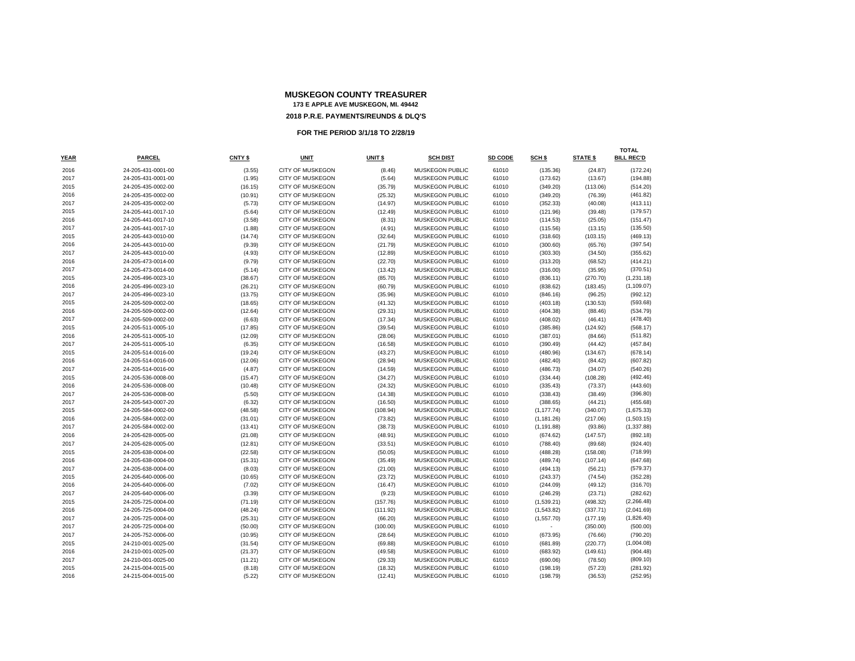| YEAR | <b>PARCEL</b>      | <b>CNTY \$</b> | <b>UNIT</b>             | UNIT <sub>\$</sub> | <b>SCH DIST</b>        | SD CODE | SCH <sub>5</sub> | <b>STATE \$</b> | <b>TOTAL</b><br><b>BILL REC'D</b> |
|------|--------------------|----------------|-------------------------|--------------------|------------------------|---------|------------------|-----------------|-----------------------------------|
| 2016 | 24-205-431-0001-00 | (3.55)         | CITY OF MUSKEGON        | (8.46)             | MUSKEGON PUBLIC        | 61010   | (135.36)         | (24.87)         | (172.24)                          |
| 2017 | 24-205-431-0001-00 | (1.95)         | <b>CITY OF MUSKEGON</b> | (5.64)             | MUSKEGON PUBLIC        | 61010   | (173.62)         | (13.67)         | (194.88)                          |
| 2015 | 24-205-435-0002-00 | (16.15)        | <b>CITY OF MUSKEGON</b> | (35.79)            | MUSKEGON PUBLIC        | 61010   | (349.20)         | (113.06)        | (514.20)                          |
| 2016 | 24-205-435-0002-00 | (10.91)        | <b>CITY OF MUSKEGON</b> | (25.32)            | MUSKEGON PUBLIC        | 61010   | (349.20)         | (76.39)         | (461.82)                          |
| 2017 | 24-205-435-0002-00 | (5.73)         | CITY OF MUSKEGON        | (14.97)            | MUSKEGON PUBLIC        | 61010   | (352.33)         | (40.08)         | (413.11)                          |
| 2015 | 24-205-441-0017-10 | (5.64)         | <b>CITY OF MUSKEGON</b> | (12.49)            | MUSKEGON PUBLIC        | 61010   | (121.96)         | (39.48)         | (179.57)                          |
| 2016 | 24-205-441-0017-10 | (3.58)         | <b>CITY OF MUSKEGON</b> | (8.31)             | MUSKEGON PUBLIC        | 61010   | (114.53)         | (25.05)         | (151.47)                          |
| 2017 | 24-205-441-0017-10 | (1.88)         | CITY OF MUSKEGON        | (4.91)             | MUSKEGON PUBLIC        | 61010   | (115.56)         | (13.15)         | (135.50)                          |
| 2015 | 24-205-443-0010-00 | (14.74)        | CITY OF MUSKEGON        | (32.64)            | MUSKEGON PUBLIC        | 61010   | (318.60)         | (103.15)        | (469.13)                          |
| 2016 | 24-205-443-0010-00 | (9.39)         | <b>CITY OF MUSKEGON</b> | (21.79)            | MUSKEGON PUBLIC        | 61010   | (300.60)         | (65.76)         | (397.54)                          |
| 2017 | 24-205-443-0010-00 | (4.93)         | CITY OF MUSKEGON        | (12.89)            | MUSKEGON PUBLIC        | 61010   | (303.30)         | (34.50)         | (355.62)                          |
| 2016 | 24-205-473-0014-00 | (9.79)         | <b>CITY OF MUSKEGON</b> | (22.70)            | MUSKEGON PUBLIC        | 61010   | (313.20)         | (68.52)         | (414.21)                          |
| 2017 | 24-205-473-0014-00 | (5.14)         | <b>CITY OF MUSKEGON</b> | (13.42)            | <b>MUSKEGON PUBLIC</b> | 61010   | (316.00)         | (35.95)         | (370.51)                          |
| 2015 | 24-205-496-0023-10 | (38.67)        | CITY OF MUSKEGON        | (85.70)            | MUSKEGON PUBLIC        | 61010   | (836.11)         | (270.70)        | (1,231.18)                        |
| 2016 | 24-205-496-0023-10 | (26.21)        | CITY OF MUSKEGON        | (60.79)            | MUSKEGON PUBLIC        | 61010   | (838.62)         | (183.45)        | (1, 109.07)                       |
| 2017 | 24-205-496-0023-10 | (13.75)        | <b>CITY OF MUSKEGON</b> | (35.96)            | MUSKEGON PUBLIC        | 61010   | (846.16)         | (96.25)         | (992.12)                          |
| 2015 | 24-205-509-0002-00 | (18.65)        | CITY OF MUSKEGON        | (41.32)            | MUSKEGON PUBLIC        | 61010   | (403.18)         | (130.53)        | (593.68)                          |
| 2016 | 24-205-509-0002-00 | (12.64)        | CITY OF MUSKEGON        | (29.31)            | MUSKEGON PUBLIC        | 61010   | (404.38)         | (88.46)         | (534.79)                          |
| 2017 | 24-205-509-0002-00 | (6.63)         | <b>CITY OF MUSKEGON</b> | (17.34)            | MUSKEGON PUBLIC        | 61010   | (408.02)         | (46.41)         | (478.40)                          |
| 2015 | 24-205-511-0005-10 | (17.85)        | <b>CITY OF MUSKEGON</b> | (39.54)            | MUSKEGON PUBLIC        | 61010   | (385.86)         | (124.92)        | (568.17)                          |
| 2016 | 24-205-511-0005-10 | (12.09)        | CITY OF MUSKEGON        | (28.06)            | MUSKEGON PUBLIC        | 61010   | (387.01)         | (84.66)         | (511.82)                          |
| 2017 | 24-205-511-0005-10 | (6.35)         | <b>CITY OF MUSKEGON</b> | (16.58)            | MUSKEGON PUBLIC        | 61010   | (390.49)         | (44.42)         | (457.84)                          |
| 2015 | 24-205-514-0016-00 | (19.24)        | <b>CITY OF MUSKEGON</b> | (43.27)            | MUSKEGON PUBLIC        | 61010   | (480.96)         | (134.67)        | (678.14)                          |
| 2016 | 24-205-514-0016-00 | (12.06)        | CITY OF MUSKEGON        | (28.94)            | MUSKEGON PUBLIC        | 61010   | (482.40)         | (84.42)         | (607.82)                          |
| 2017 | 24-205-514-0016-00 | (4.87)         | CITY OF MUSKEGON        | (14.59)            | MUSKEGON PUBLIC        | 61010   | (486.73)         | (34.07)         | (540.26)                          |
| 2015 | 24-205-536-0008-00 | (15.47)        | <b>CITY OF MUSKEGON</b> | (34.27)            | <b>MUSKEGON PUBLIC</b> | 61010   | (334.44)         | (108.28)        | (492.46)                          |
| 2016 | 24-205-536-0008-00 | (10.48)        | CITY OF MUSKEGON        | (24.32)            | MUSKEGON PUBLIC        | 61010   | (335.43)         | (73.37)         | (443.60)                          |
| 2017 | 24-205-536-0008-00 | (5.50)         | CITY OF MUSKEGON        | (14.38)            | MUSKEGON PUBLIC        | 61010   | (338.43)         | (38.49)         | (396.80)                          |
| 2017 | 24-205-543-0007-20 | (6.32)         | <b>CITY OF MUSKEGON</b> | (16.50)            | MUSKEGON PUBLIC        | 61010   | (388.65)         | (44.21)         | (455.68)                          |
| 2015 | 24-205-584-0002-00 | (48.58)        | CITY OF MUSKEGON        | (108.94)           | MUSKEGON PUBLIC        | 61010   | (1, 177.74)      | (340.07)        | (1,675.33)                        |
| 2016 | 24-205-584-0002-00 | (31.01)        | CITY OF MUSKEGON        | (73.82)            | MUSKEGON PUBLIC        | 61010   | (1, 181.26)      | (217.06)        | (1,503.15)                        |
| 2017 | 24-205-584-0002-00 | (13.41)        | <b>CITY OF MUSKEGON</b> | (38.73)            | MUSKEGON PUBLIC        | 61010   | (1, 191.88)      | (93.86)         | (1,337.88)                        |
| 2016 | 24-205-628-0005-00 | (21.08)        | <b>CITY OF MUSKEGON</b> | (48.91)            | MUSKEGON PUBLIC        | 61010   | (674.62)         | (147.57)        | (892.18)                          |
| 2017 | 24-205-628-0005-00 | (12.81)        | CITY OF MUSKEGON        | (33.51)            | MUSKEGON PUBLIC        | 61010   | (788.40)         | (89.68)         | (924.40)                          |
| 2015 | 24-205-638-0004-00 | (22.58)        | <b>CITY OF MUSKEGON</b> | (50.05)            | MUSKEGON PUBLIC        | 61010   | (488.28)         | (158.08)        | (718.99)                          |
| 2016 | 24-205-638-0004-00 | (15.31)        | CITY OF MUSKEGON        | (35.49)            | MUSKEGON PUBLIC        | 61010   | (489.74)         | (107.14)        | (647.68)                          |
| 2017 | 24-205-638-0004-00 | (8.03)         | CITY OF MUSKEGON        | (21.00)            | MUSKEGON PUBLIC        | 61010   | (494.13)         | (56.21)         | (579.37)                          |
| 2015 | 24-205-640-0006-00 | (10.65)        | <b>CITY OF MUSKEGON</b> | (23.72)            | MUSKEGON PUBLIC        | 61010   | (243.37)         | (74.54)         | (352.28)                          |
| 2016 | 24-205-640-0006-00 | (7.02)         | <b>CITY OF MUSKEGON</b> | (16.47)            | MUSKEGON PUBLIC        | 61010   | (244.09)         | (49.12)         | (316.70)                          |
| 2017 | 24-205-640-0006-00 | (3.39)         | <b>CITY OF MUSKEGON</b> | (9.23)             | MUSKEGON PUBLIC        | 61010   | (246.29)         | (23.71)         | (282.62)                          |
| 2015 | 24-205-725-0004-00 | (71.19)        | <b>CITY OF MUSKEGON</b> | (157.76)           | MUSKEGON PUBLIC        | 61010   | (1,539.21)       | (498.32)        | (2,266.48)                        |
| 2016 | 24-205-725-0004-00 | (48.24)        | <b>CITY OF MUSKEGON</b> | (111.92)           | MUSKEGON PUBLIC        | 61010   | (1,543.82)       | (337.71)        | (2,041.69)                        |
| 2017 | 24-205-725-0004-00 | (25.31)        | CITY OF MUSKEGON        | (66.20)            | MUSKEGON PUBLIC        | 61010   | (1, 557.70)      | (177.19)        | (1,826.40)                        |
| 2017 | 24-205-725-0004-00 | (50.00)        | <b>CITY OF MUSKEGON</b> | (100.00)           | MUSKEGON PUBLIC        | 61010   |                  | (350.00)        | (500.00)                          |
| 2017 | 24-205-752-0006-00 | (10.95)        | <b>CITY OF MUSKEGON</b> | (28.64)            | MUSKEGON PUBLIC        | 61010   | (673.95)         | (76.66)         | (790.20)                          |
| 2015 | 24-210-001-0025-00 | (31.54)        | CITY OF MUSKEGON        | (69.88)            | MUSKEGON PUBLIC        | 61010   | (681.89)         | (220.77)        | (1,004.08)                        |
| 2016 | 24-210-001-0025-00 | (21.37)        | <b>CITY OF MUSKEGON</b> | (49.58)            | MUSKEGON PUBLIC        | 61010   | (683.92)         | (149.61)        | (904.48)                          |
| 2017 | 24-210-001-0025-00 | (11.21)        | <b>CITY OF MUSKEGON</b> | (29.33)            | MUSKEGON PUBLIC        | 61010   | (690.06)         | (78.50)         | (809.10)                          |
| 2015 | 24-215-004-0015-00 | (8.18)         | CITY OF MUSKEGON        | (18.32)            | MUSKEGON PUBLIC        | 61010   | (198.19)         | (57.23)         | (281.92)                          |
| 2016 | 24-215-004-0015-00 | (5.22)         | CITY OF MUSKEGON        | (12.41)            | MUSKEGON PUBLIC        | 61010   | (198.79)         | (36.53)         | (252.95)                          |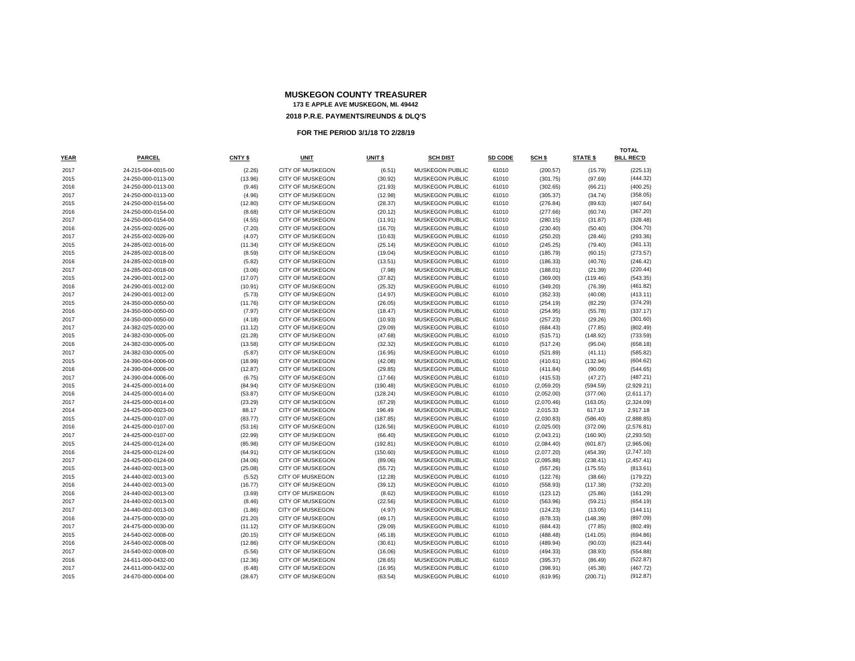| <b>YEAR</b> | <b>PARCEL</b>      | CNTY \$ | UNIT                    | UNIT \$  | <b>SCH DIST</b>        | SD CODE | SCH \$     | <b>STATE \$</b> | <b>TOTAL</b><br><b>BILL REC'D</b> |
|-------------|--------------------|---------|-------------------------|----------|------------------------|---------|------------|-----------------|-----------------------------------|
| 2017        | 24-215-004-0015-00 | (2.26)  | <b>CITY OF MUSKEGON</b> | (6.51)   | <b>MUSKEGON PUBLIC</b> | 61010   | (200.57)   | (15.79)         | (225.13)                          |
| 2015        | 24-250-000-0113-00 | (13.96) | <b>CITY OF MUSKEGON</b> | (30.92)  | <b>MUSKEGON PUBLIC</b> | 61010   | (301.75)   | (97.69)         | (444.32)                          |
| 2016        | 24-250-000-0113-00 | (9.46)  | <b>CITY OF MUSKEGON</b> | (21.93)  | MUSKEGON PUBLIC        | 61010   | (302.65)   | (66.21)         | (400.25)                          |
| 2017        | 24-250-000-0113-00 | (4.96)  | <b>CITY OF MUSKEGON</b> | (12.98)  | MUSKEGON PUBLIC        | 61010   | (305.37)   | (34.74)         | (358.05)                          |
| 2015        | 24-250-000-0154-00 | (12.80) | <b>CITY OF MUSKEGON</b> | (28.37)  | <b>MUSKEGON PUBLIC</b> | 61010   | (276.84)   | (89.63)         | (407.64)                          |
| 2016        | 24-250-000-0154-00 | (8.68)  | CITY OF MUSKEGON        | (20.12)  | MUSKEGON PUBLIC        | 61010   | (277.66)   | (60.74)         | (367.20)                          |
| 2017        | 24-250-000-0154-00 | (4.55)  | CITY OF MUSKEGON        | (11.91)  | MUSKEGON PUBLIC        | 61010   | (280.15)   | (31.87)         | (328.48)                          |
| 2016        | 24-255-002-0026-00 | (7.20)  | <b>CITY OF MUSKEGON</b> | (16.70)  | <b>MUSKEGON PUBLIC</b> | 61010   | (230.40)   | (50.40)         | (304.70)                          |
| 2017        | 24-255-002-0026-00 | (4.07)  | <b>CITY OF MUSKEGON</b> | (10.63)  | MUSKEGON PUBLIC        | 61010   | (250.20)   | (28.46)         | (293.36)                          |
| 2015        | 24-285-002-0016-00 | (11.34) | <b>CITY OF MUSKEGON</b> | (25.14)  | <b>MUSKEGON PUBLIC</b> | 61010   | (245.25)   | (79.40)         | (361.13)                          |
| 2015        | 24-285-002-0018-00 | (8.59)  | <b>CITY OF MUSKEGON</b> | (19.04)  | <b>MUSKEGON PUBLIC</b> | 61010   | (185.79)   | (60.15)         | (273.57)                          |
| 2016        | 24-285-002-0018-00 | (5.82)  | CITY OF MUSKEGON        | (13.51)  | MUSKEGON PUBLIC        | 61010   | (186.33)   | (40.76)         | (246.42)                          |
| 2017        | 24-285-002-0018-00 | (3.06)  | CITY OF MUSKEGON        | (7.98)   | MUSKEGON PUBLIC        | 61010   | (188.01)   | (21.39)         | (220.44)                          |
| 2015        | 24-290-001-0012-00 | (17.07) | <b>CITY OF MUSKEGON</b> | (37.82)  | MUSKEGON PUBLIC        | 61010   | (369.00)   | (119.46)        | (543.35)                          |
| 2016        | 24-290-001-0012-00 | (10.91) | <b>CITY OF MUSKEGON</b> | (25.32)  | <b>MUSKEGON PUBLIC</b> | 61010   | (349.20)   | (76.39)         | (461.82)                          |
| 2017        | 24-290-001-0012-00 | (5.73)  | <b>CITY OF MUSKEGON</b> | (14.97)  | MUSKEGON PUBLIC        | 61010   | (352.33)   | (40.08)         | (413.11)                          |
| 2015        | 24-350-000-0050-00 | (11.76) | <b>CITY OF MUSKEGON</b> | (26.05)  | <b>MUSKEGON PUBLIC</b> | 61010   | (254.19)   | (82.29)         | (374.29)                          |
| 2016        | 24-350-000-0050-00 | (7.97)  | <b>CITY OF MUSKEGON</b> | (18.47)  | MUSKEGON PUBLIC        | 61010   | (254.95)   | (55.78)         | (337.17)                          |
| 2017        | 24-350-000-0050-00 | (4.18)  | <b>CITY OF MUSKEGON</b> | (10.93)  | MUSKEGON PUBLIC        | 61010   | (257.23)   | (29.26)         | (301.60)                          |
| 2017        | 24-382-025-0020-00 | (11.12) | <b>CITY OF MUSKEGON</b> | (29.09)  | <b>MUSKEGON PUBLIC</b> | 61010   | (684.43)   | (77.85)         | (802.49)                          |
| 2015        | 24-382-030-0005-00 | (21.28) | <b>CITY OF MUSKEGON</b> | (47.68)  | <b>MUSKEGON PUBLIC</b> | 61010   | (515.71)   | (148.92)        | (733.59)                          |
| 2016        | 24-382-030-0005-00 | (13.58) | <b>CITY OF MUSKEGON</b> | (32.32)  | <b>MUSKEGON PUBLIC</b> | 61010   | (517.24)   | (95.04)         | (658.18)                          |
| 2017        | 24-382-030-0005-00 | (5.87)  | <b>CITY OF MUSKEGON</b> | (16.95)  | MUSKEGON PUBLIC        | 61010   | (521.89)   | (41.11)         | (585.82)                          |
| 2015        | 24-390-004-0006-00 | (18.99) | CITY OF MUSKEGON        | (42.08)  | MUSKEGON PUBLIC        | 61010   | (410.61)   | (132.94)        | (604.62)                          |
| 2016        | 24-390-004-0006-00 | (12.87) | <b>CITY OF MUSKEGON</b> | (29.85)  | MUSKEGON PUBLIC        | 61010   | (411.84)   | (90.09)         | (544.65)                          |
| 2017        | 24-390-004-0006-00 | (6.75)  | <b>CITY OF MUSKEGON</b> | (17.66)  | <b>MUSKEGON PUBLIC</b> | 61010   | (415.53)   | (47.27)         | (487.21)                          |
| 2015        | 24-425-000-0014-00 | (84.94) | <b>CITY OF MUSKEGON</b> | (190.48) | MUSKEGON PUBLIC        | 61010   | (2,059.20) | (594.59)        | (2,929.21)                        |
| 2016        | 24-425-000-0014-00 | (53.87) | <b>CITY OF MUSKEGON</b> | (128.24) | MUSKEGON PUBLIC        | 61010   | (2,052.00) | (377.06)        | (2,611.17)                        |
| 2017        | 24-425-000-0014-00 | (23.29) | <b>CITY OF MUSKEGON</b> | (67.29)  | <b>MUSKEGON PUBLIC</b> | 61010   | (2,070.46) | (163.05)        | (2,324.09)                        |
| 2014        | 24-425-000-0023-00 | 88.17   | CITY OF MUSKEGON        | 196.49   | MUSKEGON PUBLIC        | 61010   | 2,015.33   | 617.19          | 2,917.18                          |
| 2015        | 24-425-000-0107-00 | (83.77) | <b>CITY OF MUSKEGON</b> | (187.85) | <b>MUSKEGON PUBLIC</b> | 61010   | (2,030.83) | (586.40)        | (2,888.85)                        |
| 2016        | 24-425-000-0107-00 | (53.16) | <b>CITY OF MUSKEGON</b> | (126.56) | <b>MUSKEGON PUBLIC</b> | 61010   | (2,025.00) | (372.09)        | (2,576.81)                        |
| 2017        | 24-425-000-0107-00 | (22.99) | CITY OF MUSKEGON        | (66.40)  | MUSKEGON PUBLIC        | 61010   | (2,043.21) | (160.90)        | (2,293.50)                        |
| 2015        | 24-425-000-0124-00 | (85.98) | CITY OF MUSKEGON        | (192.81) | MUSKEGON PUBLIC        | 61010   | (2,084.40) | (601.87)        | (2,965.06)                        |
| 2016        | 24-425-000-0124-00 | (64.91) | <b>CITY OF MUSKEGON</b> | (150.60) | MUSKEGON PUBLIC        | 61010   | (2,077.20) | (454.39)        | (2,747.10)                        |
| 2017        | 24-425-000-0124-00 | (34.06) | <b>CITY OF MUSKEGON</b> | (89.06)  | <b>MUSKEGON PUBLIC</b> | 61010   | (2,095.88) | (238.41)        | (2,457.41)                        |
| 2015        | 24-440-002-0013-00 | (25.08) | <b>CITY OF MUSKEGON</b> | (55.72)  | MUSKEGON PUBLIC        | 61010   | (557.26)   | (175.55)        | (813.61)                          |
| 2015        | 24-440-002-0013-00 | (5.52)  | <b>CITY OF MUSKEGON</b> | (12.28)  | <b>MUSKEGON PUBLIC</b> | 61010   | (122.76)   | (38.66)         | (179.22)                          |
| 2016        | 24-440-002-0013-00 | (16.77) | CITY OF MUSKEGON        | (39.12)  | <b>MUSKEGON PUBLIC</b> | 61010   | (558.93)   | (117.38)        | (732.20)                          |
| 2016        | 24-440-002-0013-00 | (3.69)  | <b>CITY OF MUSKEGON</b> | (8.62)   | MUSKEGON PUBLIC        | 61010   | (123.12)   | (25.86)         | (161.29)                          |
| 2017        | 24-440-002-0013-00 | (8.46)  | <b>CITY OF MUSKEGON</b> | (22.56)  | <b>MUSKEGON PUBLIC</b> | 61010   | (563.96)   | (59.21)         | (654.19)                          |
| 2017        | 24-440-002-0013-00 | (1.86)  | <b>CITY OF MUSKEGON</b> | (4.97)   | MUSKEGON PUBLIC        | 61010   | (124.23)   | (13.05)         | (144.11)                          |
| 2016        | 24-475-000-0030-00 | (21.20) | CITY OF MUSKEGON        | (49.17)  | MUSKEGON PUBLIC        | 61010   | (678.33)   | (148.39)        | (897.09)                          |
| 2017        | 24-475-000-0030-00 | (11.12) | CITY OF MUSKEGON        | (29.09)  | MUSKEGON PUBLIC        | 61010   | (684.43)   | (77.85)         | (802.49)                          |
| 2015        | 24-540-002-0008-00 | (20.15) | <b>CITY OF MUSKEGON</b> | (45.18)  | MUSKEGON PUBLIC        | 61010   | (488.48)   | (141.05)        | (694.86)                          |
| 2016        | 24-540-002-0008-00 | (12.86) | <b>CITY OF MUSKEGON</b> | (30.61)  | <b>MUSKEGON PUBLIC</b> | 61010   | (489.94)   | (90.03)         | (623.44)                          |
| 2017        | 24-540-002-0008-00 | (5.56)  | <b>CITY OF MUSKEGON</b> | (16.06)  | <b>MUSKEGON PUBLIC</b> | 61010   | (494.33)   | (38.93)         | (554.88)                          |
| 2016        | 24-611-000-0432-00 | (12.36) | CITY OF MUSKEGON        | (28.65)  | MUSKEGON PUBLIC        | 61010   | (395.37)   | (86.49)         | (522.87)                          |
| 2017        | 24-611-000-0432-00 | (6.48)  | CITY OF MUSKEGON        | (16.95)  | MUSKEGON PUBLIC        | 61010   | (398.91)   | (45.38)         | (467.72)                          |
| 2015        | 24-670-000-0004-00 | (28.67) | <b>CITY OF MUSKEGON</b> | (63.54)  | MUSKEGON PUBLIC        | 61010   | (619.95)   | (200.71)        | (912.87)                          |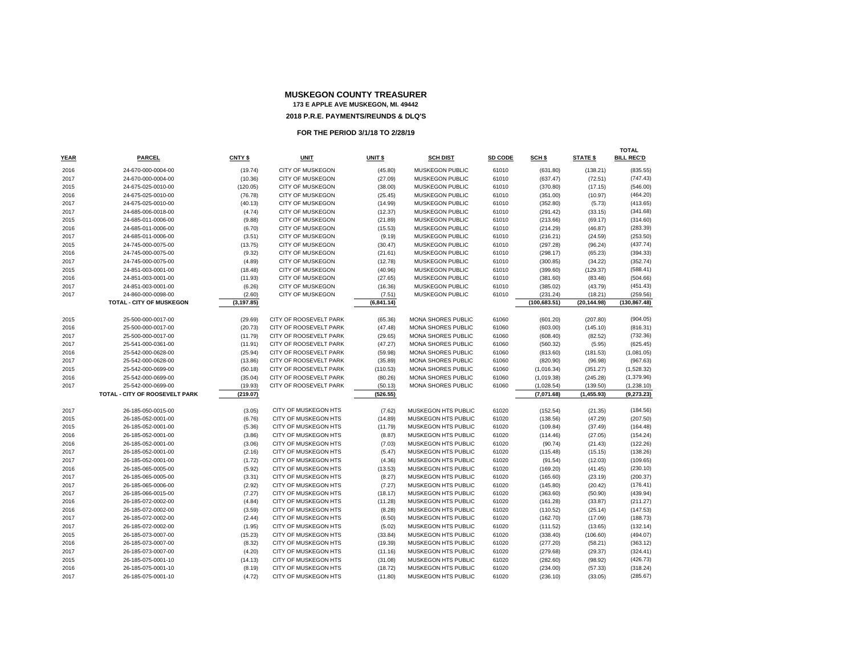# **MUSKEGON COUNTY TREASURER173 E APPLE AVE MUSKEGON, MI. 49442**

**PARCEL CNTY \$ UNIT UNIT \$ SCH DIST SD CODE SCH \$ STATE \$ BILL REC'D**

 24-670-000-0004-00 (19.74) CITY OF MUSKEGON (45.80) MUSKEGON PUBLIC 61010 (631.80) (138.21) (835.55) 24-670-000-0004-00 (10.36) CITY OF MUSKEGON (27.09) MUSKEGON PUBLIC 61010 (637.47) (72.51) (747.43) 24-675-025-0010-00 (120.05) CITY OF MUSKEGON (38.00) MUSKEGON PUBLIC 61010 (370.80) (17.15) (546.00) 24-675-025-0010-00 (76.78) CITY OF MUSKEGON (25.45) MUSKEGON PUBLIC 61010 (351.00) (10.97) (464.20) 24-675-025-0010-00 (40.13) CITY OF MUSKEGON (14.99) MUSKEGON PUBLIC 61010 (352.80) (5.73) (413.65) 24-685-006-0018-00 (4.74) CITY OF MUSKEGON (12.37) MUSKEGON PUBLIC 61010 (291.42) (33.15) (341.68) 24-685-011-0006-00 (9.88) CITY OF MUSKEGON (21.89) MUSKEGON PUBLIC 61010 (213.66) (69.17) (314.60) 24-685-011-0006-00 (6.70) CITY OF MUSKEGON (15.53) MUSKEGON PUBLIC 61010 (214.29) (46.87) (283.39) 24-685-011-0006-00 (3.51) CITY OF MUSKEGON (9.19) MUSKEGON PUBLIC 61010 (216.21) (24.59) (253.50) 24-745-000-0075-00 (13.75) CITY OF MUSKEGON (30.47) MUSKEGON PUBLIC 61010 (297.28) (96.24) (437.74) 24-745-000-0075-00 (9.32) CITY OF MUSKEGON (21.61) MUSKEGON PUBLIC 61010 (298.17) (65.23) (394.33) 24-745-000-0075-00 (4.89) CITY OF MUSKEGON (12.78) MUSKEGON PUBLIC 61010 (300.85) (34.22) (352.74) 24-851-003-0001-00 (18.48) CITY OF MUSKEGON (40.96) MUSKEGON PUBLIC 61010 (399.60) (129.37) (588.41) 24-851-003-0001-00 (11.93) CITY OF MUSKEGON (27.65) MUSKEGON PUBLIC 61010 (381.60) (83.48) (504.66) 24-851-003-0001-00 (6.26) CITY OF MUSKEGON (16.36) MUSKEGON PUBLIC 61010 (385.02) (43.79) (451.43) 24-860-000-0098-00 (2.60) CITY OF MUSKEGON (7.51) MUSKEGON PUBLIC 61010 (231.24) (18.21) (259.56)

**TOTAL - CITY OF MUSKEGON (3,197.85) (6,841.14) (100,683.51) (20,144.98) (130,867.48)**

 25-500-000-0017-00 (29.69) CITY OF ROOSEVELT PARK (65.36) MONA SHORES PUBLIC 61060 (601.20) (207.80) (904.05) 25-500-000-0017-00 (20.73) CITY OF ROOSEVELT PARK (47.48) MONA SHORES PUBLIC 61060 (603.00) (145.10) (816.31) 25-500-000-0017-00 (11.79) CITY OF ROOSEVELT PARK (29.65) MONA SHORES PUBLIC 61060 (608.40) (82.52) (732.36) 25-541-000-0361-00 (11.91) CITY OF ROOSEVELT PARK (47.27) MONA SHORES PUBLIC 61060 (560.32) (5.95) (625.45) 25-542-000-0628-00 (25.94) CITY OF ROOSEVELT PARK (59.98) MONA SHORES PUBLIC 61060 (813.60) (181.53) (1,081.05) 25-542-000-0628-00 (13.86) CITY OF ROOSEVELT PARK (35.89) MONA SHORES PUBLIC 61060 (820.90) (96.98) (967.63) 25-542-000-0699-00 (50.18) CITY OF ROOSEVELT PARK (110.53) MONA SHORES PUBLIC 61060 (1,016.34) (351.27) (1,528.32) 25-542-000-0699-00 (35.04) CITY OF ROOSEVELT PARK (80.26) MONA SHORES PUBLIC 61060 (1,019.38) (245.28) (1,379.96) 25-542-000-0699-00 (19.93) CITY OF ROOSEVELT PARK (50.13) MONA SHORES PUBLIC 61060 (1,028.54) (139.50) (1,238.10) **TOTAL - CITY OF ROOSEVELT PARK (219.07) (526.55) (7,071.68) (1,455.93) (9,273.23)**

 26-185-050-0015-00 (3.05) CITY OF MUSKEGON HTS MUSKEGON HTS PUBLIC 61020 (152.54) (7.62) (21.35) (184.56) 26-185-052-0001-00 (6.76) CITY OF MUSKEGON HTS (14.89) MUSKEGON HTS PUBLIC 61020 (138.56) (47.29) (207.50) 26-185-052-0001-00 (5.36) CITY OF MUSKEGON HTS (11.79) MUSKEGON HTS PUBLIC 61020 (109.84) (37.49) (164.48) 26-185-052-0001-00 (3.86) CITY OF MUSKEGON HTS (8.87) MUSKEGON HTS PUBLIC 61020 (114.46) (27.05) (154.24) 26-185-052-0001-00 (3.06) CITY OF MUSKEGON HTS (7.03) MUSKEGON HTS PUBLIC 61020 (90.74) (21.43) (122.26) 26-185-052-0001-00 (2.16) CITY OF MUSKEGON HTS (5.47) MUSKEGON HTS PUBLIC 61020 (115.48) (15.15) (138.26) 26-185-052-0001-00 (1.72) CITY OF MUSKEGON HTS (4.36) MUSKEGON HTS PUBLIC 61020 (91.54) (12.03) (109.65) 26-185-065-0005-00 (5.92) CITY OF MUSKEGON HTS (13.53) MUSKEGON HTS PUBLIC 61020 (169.20) (41.45) (230.10) 26-185-065-0005-00 (3.31) CITY OF MUSKEGON HTS (8.27) MUSKEGON HTS PUBLIC 61020 (165.60) (23.19) (200.37) 26-185-065-0006-00 (2.92) CITY OF MUSKEGON HTS (7.27) MUSKEGON HTS PUBLIC 61020 (145.80) (20.42) (176.41) 26-185-066-0015-00 (7.27) CITY OF MUSKEGON HTS (18.17) MUSKEGON HTS PUBLIC 61020 (363.60) (50.90) (439.94) 26-185-072-0002-00 (4.84) CITY OF MUSKEGON HTS (11.28) MUSKEGON HTS PUBLIC 61020 (161.28) (33.87) (211.27) 26-185-072-0002-00 (3.59) CITY OF MUSKEGON HTS (8.28) MUSKEGON HTS PUBLIC 61020 (110.52) (25.14) (147.53) 26-185-072-0002-00 (2.44) CITY OF MUSKEGON HTS (6.50) MUSKEGON HTS PUBLIC 61020 (162.70) (17.09) (188.73) 26-185-072-0002-00 (1.95) CITY OF MUSKEGON HTS (5.02) MUSKEGON HTS PUBLIC 61020 (111.52) (13.65) (132.14) 26-185-073-0007-00 (15.23) CITY OF MUSKEGON HTS (33.84) MUSKEGON HTS PUBLIC 61020 (338.40) (106.60) (494.07) 26-185-073-0007-00 (8.32) CITY OF MUSKEGON HTS (19.39) MUSKEGON HTS PUBLIC 61020 (277.20) (58.21) (363.12) 26-185-073-0007-00 (4.20) CITY OF MUSKEGON HTS (11.16) MUSKEGON HTS PUBLIC 61020 (279.68) (29.37) (324.41) 26-185-075-0001-10 (14.13) CITY OF MUSKEGON HTS (31.08) MUSKEGON HTS PUBLIC 61020 (282.60) (98.92) (426.73) 26-185-075-0001-10 (8.19) CITY OF MUSKEGON HTS (18.72) MUSKEGON HTS PUBLIC 61020 (234.00) (57.33) (318.24) 26-185-075-0001-10 (4.72) CITY OF MUSKEGON HTS (11.80) MUSKEGON HTS PUBLIC 61020 (236.10) (33.05) (285.67)

**TOTAL** 

**BILL REC'D** 

**2018 P.R.E. PAYMENTS/REUNDS & DLQ'S**

**FOR THE PERIOD 3/1/18 TO 2/28/19**

**YEAR**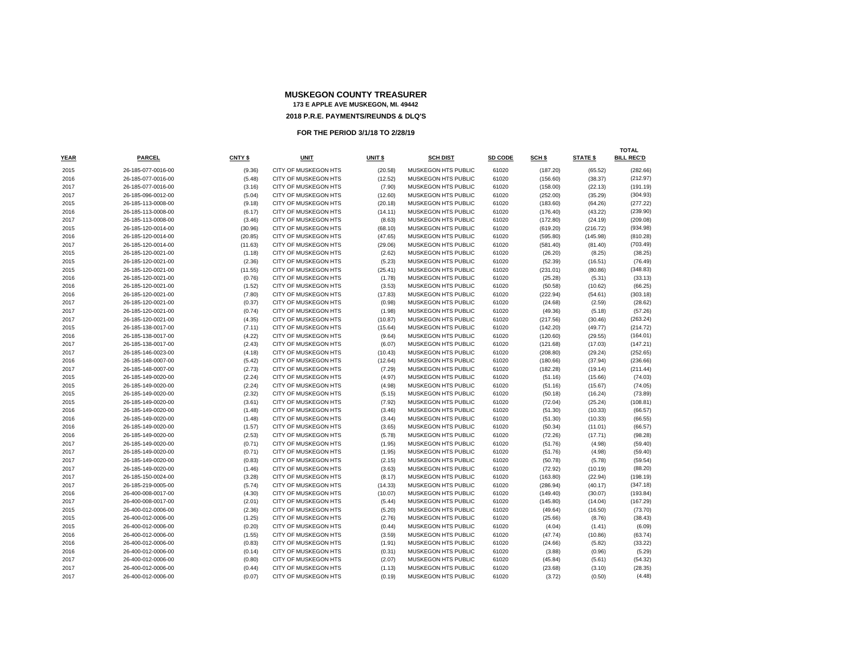|      |                    |         |                             |         |                            |         |          |                 | TOTAL             |
|------|--------------------|---------|-----------------------------|---------|----------------------------|---------|----------|-----------------|-------------------|
| YEAR | <b>PARCEL</b>      | CNTY \$ | <b>UNIT</b>                 | UNIT \$ | <b>SCH DIST</b>            | SD CODE | SCH \$   | <b>STATE \$</b> | <b>BILL REC'D</b> |
| 2015 | 26-185-077-0016-00 | (9.36)  | CITY OF MUSKEGON HTS        | (20.58) | MUSKEGON HTS PUBLIC        | 61020   | (187.20) | (65.52)         | (282.66)          |
| 2016 | 26-185-077-0016-00 | (5.48)  | <b>CITY OF MUSKEGON HTS</b> | (12.52) | MUSKEGON HTS PUBLIC        | 61020   | (156.60) | (38.37)         | (212.97)          |
| 2017 | 26-185-077-0016-00 | (3.16)  | <b>CITY OF MUSKEGON HTS</b> | (7.90)  | MUSKEGON HTS PUBLIC        | 61020   | (158.00) | (22.13)         | (191.19)          |
| 2017 | 26-185-096-0012-00 | (5.04)  | CITY OF MUSKEGON HTS        | (12.60) | MUSKEGON HTS PUBLIC        | 61020   | (252.00) | (35.29)         | (304.93)          |
| 2015 | 26-185-113-0008-00 | (9.18)  | CITY OF MUSKEGON HTS        | (20.18) | MUSKEGON HTS PUBLIC        | 61020   | (183.60) | (64.26)         | (277.22)          |
| 2016 | 26-185-113-0008-00 | (6.17)  | CITY OF MUSKEGON HTS        | (14.11) | MUSKEGON HTS PUBLIC        | 61020   | (176.40) | (43.22)         | (239.90)          |
| 2017 | 26-185-113-0008-00 | (3.46)  | CITY OF MUSKEGON HTS        | (8.63)  | MUSKEGON HTS PUBLIC        | 61020   | (172.80) | (24.19)         | (209.08)          |
| 2015 | 26-185-120-0014-00 | (30.96) | CITY OF MUSKEGON HTS        | (68.10) | MUSKEGON HTS PUBLIC        | 61020   | (619.20) | (216.72)        | (934.98)          |
| 2016 | 26-185-120-0014-00 | (20.85) | CITY OF MUSKEGON HTS        | (47.65) | MUSKEGON HTS PUBLIC        | 61020   | (595.80) | (145.98)        | (810.28)          |
| 2017 | 26-185-120-0014-00 | (11.63) | CITY OF MUSKEGON HTS        | (29.06) | MUSKEGON HTS PUBLIC        | 61020   | (581.40) | (81.40)         | (703.49)          |
| 2015 | 26-185-120-0021-00 | (1.18)  | <b>CITY OF MUSKEGON HTS</b> | (2.62)  | MUSKEGON HTS PUBLIC        | 61020   | (26.20)  | (8.25)          | (38.25)           |
| 2015 | 26-185-120-0021-00 | (2.36)  | CITY OF MUSKEGON HTS        | (5.23)  | MUSKEGON HTS PUBLIC        | 61020   | (52.39)  | (16.51)         | (76.49)           |
| 2015 | 26-185-120-0021-00 | (11.55) | CITY OF MUSKEGON HTS        | (25.41) | MUSKEGON HTS PUBLIC        | 61020   | (231.01) | (80.86)         | (348.83)          |
| 2016 | 26-185-120-0021-00 | (0.76)  | CITY OF MUSKEGON HTS        | (1.78)  | MUSKEGON HTS PUBLIC        | 61020   | (25.28)  | (5.31)          | (33.13)           |
| 2016 | 26-185-120-0021-00 | (1.52)  | <b>CITY OF MUSKEGON HTS</b> | (3.53)  | <b>MUSKEGON HTS PUBLIC</b> | 61020   | (50.58)  | (10.62)         | (66.25)           |
| 2016 | 26-185-120-0021-00 | (7.80)  | CITY OF MUSKEGON HTS        | (17.83) | MUSKEGON HTS PUBLIC        | 61020   | (222.94) | (54.61)         | (303.18)          |
| 2017 | 26-185-120-0021-00 | (0.37)  | CITY OF MUSKEGON HTS        | (0.98)  | MUSKEGON HTS PUBLIC        | 61020   | (24.68)  | (2.59)          | (28.62)           |
| 2017 | 26-185-120-0021-00 | (0.74)  | CITY OF MUSKEGON HTS        | (1.98)  | MUSKEGON HTS PUBLIC        | 61020   | (49.36)  | (5.18)          | (57.26)           |
| 2017 | 26-185-120-0021-00 | (4.35)  | CITY OF MUSKEGON HTS        | (10.87) | MUSKEGON HTS PUBLIC        | 61020   | (217.56) | (30.46)         | (263.24)          |
| 2015 | 26-185-138-0017-00 | (7.11)  | <b>CITY OF MUSKEGON HTS</b> | (15.64) | MUSKEGON HTS PUBLIC        | 61020   | (142.20) | (49.77)         | (214.72)          |
| 2016 | 26-185-138-0017-00 | (4.22)  | CITY OF MUSKEGON HTS        | (9.64)  | MUSKEGON HTS PUBLIC        | 61020   | (120.60) | (29.55)         | (164.01)          |
| 2017 | 26-185-138-0017-00 | (2.43)  | CITY OF MUSKEGON HTS        | (6.07)  | MUSKEGON HTS PUBLIC        | 61020   | (121.68) | (17.03)         | (147.21)          |
| 2017 | 26-185-146-0023-00 | (4.18)  | CITY OF MUSKEGON HTS        | (10.43) | MUSKEGON HTS PUBLIC        | 61020   | (208.80) | (29.24)         | (252.65)          |
| 2016 | 26-185-148-0007-00 | (5.42)  | CITY OF MUSKEGON HTS        | (12.64) | MUSKEGON HTS PUBLIC        | 61020   | (180.66) | (37.94)         | (236.66)          |
| 2017 | 26-185-148-0007-00 | (2.73)  | CITY OF MUSKEGON HTS        | (7.29)  | MUSKEGON HTS PUBLIC        | 61020   | (182.28) | (19.14)         | (211.44)          |
| 2015 | 26-185-149-0020-00 | (2.24)  | CITY OF MUSKEGON HTS        | (4.97)  | MUSKEGON HTS PUBLIC        | 61020   | (51.16)  | (15.66)         | (74.03)           |
| 2015 | 26-185-149-0020-00 | (2.24)  | CITY OF MUSKEGON HTS        | (4.98)  | MUSKEGON HTS PUBLIC        | 61020   | (51.16)  | (15.67)         | (74.05)           |
| 2015 | 26-185-149-0020-00 | (2.32)  | CITY OF MUSKEGON HTS        | (5.15)  | MUSKEGON HTS PUBLIC        | 61020   | (50.18)  | (16.24)         | (73.89)           |
| 2015 | 26-185-149-0020-00 | (3.61)  | <b>CITY OF MUSKEGON HTS</b> | (7.92)  | MUSKEGON HTS PUBLIC        | 61020   | (72.04)  | (25.24)         | (108.81)          |
| 2016 | 26-185-149-0020-00 | (1.48)  | CITY OF MUSKEGON HTS        | (3.46)  | MUSKEGON HTS PUBLIC        | 61020   | (51.30)  | (10.33)         | (66.57)           |
| 2016 | 26-185-149-0020-00 | (1.48)  | <b>CITY OF MUSKEGON HTS</b> | (3.44)  | <b>MUSKEGON HTS PUBLIC</b> | 61020   | (51.30)  | (10.33)         | (66.55)           |
| 2016 | 26-185-149-0020-00 | (1.57)  | CITY OF MUSKEGON HTS        | (3.65)  | MUSKEGON HTS PUBLIC        | 61020   | (50.34)  | (11.01)         | (66.57)           |
| 2016 | 26-185-149-0020-00 | (2.53)  | CITY OF MUSKEGON HTS        | (5.78)  | MUSKEGON HTS PUBLIC        | 61020   | (72.26)  | (17.71)         | (98.28)           |
| 2017 | 26-185-149-0020-00 | (0.71)  | CITY OF MUSKEGON HTS        | (1.95)  | MUSKEGON HTS PUBLIC        | 61020   | (51.76)  | (4.98)          | (59.40)           |
| 2017 | 26-185-149-0020-00 | (0.71)  | <b>CITY OF MUSKEGON HTS</b> | (1.95)  | MUSKEGON HTS PUBLIC        | 61020   | (51.76)  | (4.98)          | (59.40)           |
| 2017 | 26-185-149-0020-00 | (0.83)  | CITY OF MUSKEGON HTS        | (2.15)  | MUSKEGON HTS PUBLIC        | 61020   | (50.78)  | (5.78)          | (59.54)           |
| 2017 | 26-185-149-0020-00 | (1.46)  | CITY OF MUSKEGON HTS        | (3.63)  | MUSKEGON HTS PUBLIC        | 61020   | (72.92)  | (10.19)         | (88.20)           |
| 2017 | 26-185-150-0024-00 | (3.28)  | <b>CITY OF MUSKEGON HTS</b> | (8.17)  | MUSKEGON HTS PUBLIC        | 61020   | (163.80) | (22.94)         | (198.19)          |
| 2017 | 26-185-219-0005-00 | (5.74)  | CITY OF MUSKEGON HTS        | (14.33) | MUSKEGON HTS PUBLIC        | 61020   | (286.94) | (40.17)         | (347.18)          |
| 2016 | 26-400-008-0017-00 | (4.30)  | <b>CITY OF MUSKEGON HTS</b> | (10.07) | <b>MUSKEGON HTS PUBLIC</b> | 61020   | (149.40) | (30.07)         | (193.84)          |
| 2017 | 26-400-008-0017-00 | (2.01)  | CITY OF MUSKEGON HTS        | (5.44)  | MUSKEGON HTS PUBLIC        | 61020   | (145.80) | (14.04)         | (167.29)          |
| 2015 | 26-400-012-0006-00 | (2.36)  | CITY OF MUSKEGON HTS        | (5.20)  | MUSKEGON HTS PUBLIC        | 61020   | (49.64)  | (16.50)         | (73.70)           |
| 2015 | 26-400-012-0006-00 | (1.25)  | <b>CITY OF MUSKEGON HTS</b> | (2.76)  | MUSKEGON HTS PUBLIC        | 61020   | (25.66)  | (8.76)          | (38.43)           |
| 2015 | 26-400-012-0006-00 | (0.20)  | <b>CITY OF MUSKEGON HTS</b> | (0.44)  | MUSKEGON HTS PUBLIC        | 61020   | (4.04)   | (1.41)          | (6.09)            |
| 2016 | 26-400-012-0006-00 | (1.55)  | CITY OF MUSKEGON HTS        | (3.59)  | MUSKEGON HTS PUBLIC        | 61020   | (47.74)  | (10.86)         | (63.74)           |
| 2016 | 26-400-012-0006-00 | (0.83)  | CITY OF MUSKEGON HTS        | (1.91)  | MUSKEGON HTS PUBLIC        | 61020   | (24.66)  | (5.82)          | (33.22)           |
| 2016 | 26-400-012-0006-00 | (0.14)  | <b>CITY OF MUSKEGON HTS</b> | (0.31)  | MUSKEGON HTS PUBLIC        | 61020   | (3.88)   | (0.96)          | (5.29)            |
| 2017 | 26-400-012-0006-00 | (0.80)  | CITY OF MUSKEGON HTS        | (2.07)  | MUSKEGON HTS PUBLIC        | 61020   | (45.84)  | (5.61)          | (54.32)           |
| 2017 | 26-400-012-0006-00 | (0.44)  | CITY OF MUSKEGON HTS        | (1.13)  | MUSKEGON HTS PUBLIC        | 61020   | (23.68)  | (3.10)          | (28.35)           |
| 2017 | 26-400-012-0006-00 | (0.07)  | CITY OF MUSKEGON HTS        | (0.19)  | MUSKEGON HTS PUBLIC        | 61020   | (3.72)   | (0.50)          | (4.48)            |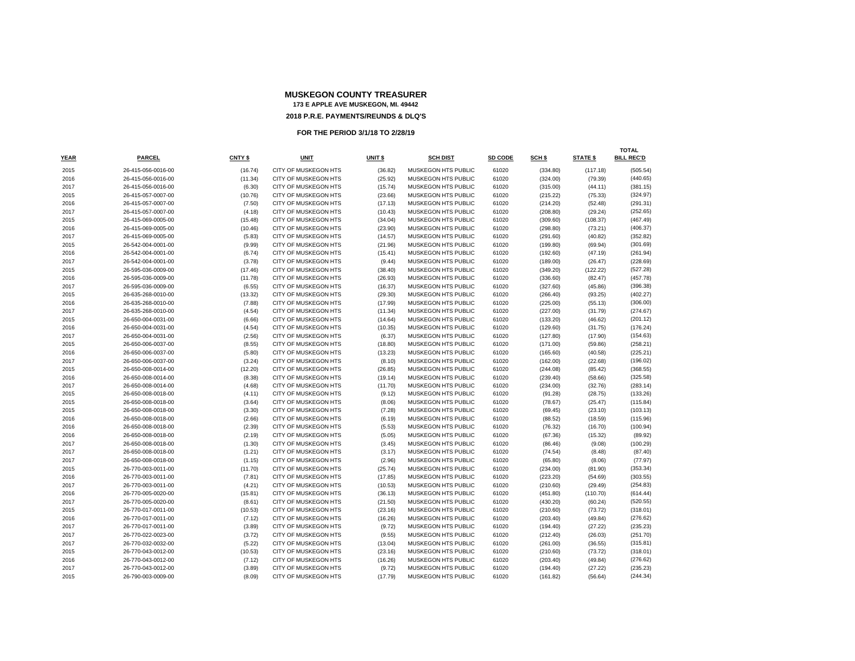|      |                    |         |                             |                    |                            |         |          |                 | TOTAL             |
|------|--------------------|---------|-----------------------------|--------------------|----------------------------|---------|----------|-----------------|-------------------|
| YEAR | <b>PARCEL</b>      | CNTY \$ | <b>UNIT</b>                 | UNIT <sub>\$</sub> | <b>SCH DIST</b>            | SD CODE | SCH \$   | <b>STATE \$</b> | <b>BILL REC'D</b> |
| 2015 | 26-415-056-0016-00 | (16.74) | CITY OF MUSKEGON HTS        | (36.82)            | MUSKEGON HTS PUBLIC        | 61020   | (334.80) | (117.18)        | (505.54)          |
| 2016 | 26-415-056-0016-00 | (11.34) | <b>CITY OF MUSKEGON HTS</b> | (25.92)            | <b>MUSKEGON HTS PUBLIC</b> | 61020   | (324.00) | (79.39)         | (440.65)          |
| 2017 | 26-415-056-0016-00 | (6.30)  | <b>CITY OF MUSKEGON HTS</b> | (15.74)            | <b>MUSKEGON HTS PUBLIC</b> | 61020   | (315.00) | (44.11)         | (381.15)          |
| 2015 | 26-415-057-0007-00 | (10.76) | CITY OF MUSKEGON HTS        | (23.66)            | MUSKEGON HTS PUBLIC        | 61020   | (215.22) | (75.33)         | (324.97)          |
| 2016 | 26-415-057-0007-00 | (7.50)  | CITY OF MUSKEGON HTS        | (17.13)            | MUSKEGON HTS PUBLIC        | 61020   | (214.20) | (52.48)         | (291.31)          |
| 2017 | 26-415-057-0007-00 | (4.18)  | CITY OF MUSKEGON HTS        | (10.43)            | MUSKEGON HTS PUBLIC        | 61020   | (208.80) | (29.24)         | (252.65)          |
| 2015 | 26-415-069-0005-00 | (15.48) | CITY OF MUSKEGON HTS        | (34.04)            | MUSKEGON HTS PUBLIC        | 61020   | (309.60) | (108.37)        | (467.49)          |
| 2016 | 26-415-069-0005-00 | (10.46) | CITY OF MUSKEGON HTS        | (23.90)            | MUSKEGON HTS PUBLIC        | 61020   | (298.80) | (73.21)         | (406.37)          |
| 2017 | 26-415-069-0005-00 | (5.83)  | CITY OF MUSKEGON HTS        | (14.57)            | MUSKEGON HTS PUBLIC        | 61020   | (291.60) | (40.82)         | (352.82)          |
| 2015 | 26-542-004-0001-00 | (9.99)  | CITY OF MUSKEGON HTS        | (21.96)            | MUSKEGON HTS PUBLIC        | 61020   | (199.80) | (69.94)         | (301.69)          |
| 2016 | 26-542-004-0001-00 | (6.74)  | <b>CITY OF MUSKEGON HTS</b> | (15.41)            | <b>MUSKEGON HTS PUBLIC</b> | 61020   | (192.60) | (47.19)         | (261.94)          |
| 2017 | 26-542-004-0001-00 | (3.78)  | CITY OF MUSKEGON HTS        | (9.44)             | MUSKEGON HTS PUBLIC        | 61020   | (189.00) | (26.47)         | (228.69)          |
| 2015 | 26-595-036-0009-00 | (17.46) | <b>CITY OF MUSKEGON HTS</b> | (38.40)            | MUSKEGON HTS PUBLIC        | 61020   | (349.20) | (122.22)        | (527.28)          |
| 2016 | 26-595-036-0009-00 | (11.78) | CITY OF MUSKEGON HTS        | (26.93)            | MUSKEGON HTS PUBLIC        | 61020   | (336.60) | (82.47)         | (457.78)          |
| 2017 | 26-595-036-0009-00 | (6.55)  | <b>CITY OF MUSKEGON HTS</b> | (16.37)            | <b>MUSKEGON HTS PUBLIC</b> | 61020   | (327.60) | (45.86)         | (396.38)          |
| 2015 | 26-635-268-0010-00 | (13.32) | CITY OF MUSKEGON HTS        | (29.30)            | MUSKEGON HTS PUBLIC        | 61020   | (266.40) | (93.25)         | (402.27)          |
| 2016 | 26-635-268-0010-00 | (7.88)  | CITY OF MUSKEGON HTS        | (17.99)            | MUSKEGON HTS PUBLIC        | 61020   | (225.00) | (55.13)         | (306.00)          |
| 2017 | 26-635-268-0010-00 | (4.54)  | CITY OF MUSKEGON HTS        | (11.34)            | MUSKEGON HTS PUBLIC        | 61020   | (227.00) | (31.79)         | (274.67)          |
| 2015 | 26-650-004-0031-00 | (6.66)  | CITY OF MUSKEGON HTS        | (14.64)            | MUSKEGON HTS PUBLIC        | 61020   | (133.20) | (46.62)         | (201.12)          |
| 2016 | 26-650-004-0031-00 | (4.54)  | <b>CITY OF MUSKEGON HTS</b> | (10.35)            | <b>MUSKEGON HTS PUBLIC</b> | 61020   | (129.60) | (31.75)         | (176.24)          |
| 2017 | 26-650-004-0031-00 | (2.56)  | CITY OF MUSKEGON HTS        | (6.37)             | MUSKEGON HTS PUBLIC        | 61020   | (127.80) | (17.90)         | (154.63)          |
| 2015 | 26-650-006-0037-00 | (8.55)  | <b>CITY OF MUSKEGON HTS</b> | (18.80)            | MUSKEGON HTS PUBLIC        | 61020   | (171.00) | (59.86)         | (258.21)          |
| 2016 | 26-650-006-0037-00 | (5.80)  | CITY OF MUSKEGON HTS        | (13.23)            | MUSKEGON HTS PUBLIC        | 61020   | (165.60) | (40.58)         | (225.21)          |
| 2017 | 26-650-006-0037-00 | (3.24)  | <b>CITY OF MUSKEGON HTS</b> | (8.10)             | <b>MUSKEGON HTS PUBLIC</b> | 61020   | (162.00) | (22.68)         | (196.02)          |
| 2015 | 26-650-008-0014-00 | (12.20) | CITY OF MUSKEGON HTS        | (26.85)            | MUSKEGON HTS PUBLIC        | 61020   | (244.08) | (85.42)         | (368.55)          |
| 2016 | 26-650-008-0014-00 | (8.38)  | CITY OF MUSKEGON HTS        | (19.14)            | MUSKEGON HTS PUBLIC        | 61020   | (239.40) | (58.66)         | (325.58)          |
| 2017 | 26-650-008-0014-00 | (4.68)  | CITY OF MUSKEGON HTS        | (11.70)            | MUSKEGON HTS PUBLIC        | 61020   | (234.00) | (32.76)         | (283.14)          |
| 2015 | 26-650-008-0018-00 | (4.11)  | CITY OF MUSKEGON HTS        | (9.12)             | MUSKEGON HTS PUBLIC        | 61020   | (91.28)  | (28.75)         | (133.26)          |
| 2015 | 26-650-008-0018-00 | (3.64)  | <b>CITY OF MUSKEGON HTS</b> | (8.06)             | MUSKEGON HTS PUBLIC        | 61020   | (78.67)  | (25.47)         | (115.84)          |
| 2015 | 26-650-008-0018-00 | (3.30)  | CITY OF MUSKEGON HTS        | (7.28)             | MUSKEGON HTS PUBLIC        | 61020   | (69.45)  | (23.10)         | (103.13)          |
| 2016 | 26-650-008-0018-00 | (2.66)  | <b>CITY OF MUSKEGON HTS</b> | (6.19)             | <b>MUSKEGON HTS PUBLIC</b> | 61020   | (88.52)  | (18.59)         | (115.96)          |
| 2016 | 26-650-008-0018-00 | (2.39)  | CITY OF MUSKEGON HTS        | (5.53)             | MUSKEGON HTS PUBLIC        | 61020   | (76.32)  | (16.70)         | (100.94)          |
| 2016 | 26-650-008-0018-00 | (2.19)  | CITY OF MUSKEGON HTS        | (5.05)             | MUSKEGON HTS PUBLIC        | 61020   | (67.36)  | (15.32)         | (89.92)           |
| 2017 | 26-650-008-0018-00 | (1.30)  | CITY OF MUSKEGON HTS        | (3.45)             | MUSKEGON HTS PUBLIC        | 61020   | (86.46)  | (9.08)          | (100.29)          |
| 2017 | 26-650-008-0018-00 | (1.21)  | <b>CITY OF MUSKEGON HTS</b> | (3.17)             | MUSKEGON HTS PUBLIC        | 61020   | (74.54)  | (8.48)          | (87.40)           |
| 2017 | 26-650-008-0018-00 | (1.15)  | CITY OF MUSKEGON HTS        | (2.96)             | MUSKEGON HTS PUBLIC        | 61020   | (65.80)  | (8.06)          | (77.97)           |
| 2015 | 26-770-003-0011-00 | (11.70) | CITY OF MUSKEGON HTS        | (25.74)            | MUSKEGON HTS PUBLIC        | 61020   | (234.00) | (81.90)         | (353.34)          |
| 2016 | 26-770-003-0011-00 | (7.81)  | CITY OF MUSKEGON HTS        | (17.85)            | MUSKEGON HTS PUBLIC        | 61020   | (223.20) | (54.69)         | (303.55)          |
| 2017 | 26-770-003-0011-00 | (4.21)  | CITY OF MUSKEGON HTS        | (10.53)            | MUSKEGON HTS PUBLIC        | 61020   | (210.60) | (29.49)         | (254.83)          |
| 2016 | 26-770-005-0020-00 | (15.81) | <b>CITY OF MUSKEGON HTS</b> | (36.13)            | <b>MUSKEGON HTS PUBLIC</b> | 61020   | (451.80) | (110.70)        | (614.44)          |
| 2017 | 26-770-005-0020-00 | (8.61)  | CITY OF MUSKEGON HTS        | (21.50)            | MUSKEGON HTS PUBLIC        | 61020   | (430.20) | (60.24)         | (520.55)          |
| 2015 | 26-770-017-0011-00 | (10.53) | CITY OF MUSKEGON HTS        | (23.16)            | MUSKEGON HTS PUBLIC        | 61020   | (210.60) | (73.72)         | (318.01)          |
| 2016 | 26-770-017-0011-00 | (7.12)  | CITY OF MUSKEGON HTS        | (16.26)            | MUSKEGON HTS PUBLIC        | 61020   | (203.40) | (49.84)         | (276.62)          |
| 2017 | 26-770-017-0011-00 | (3.89)  | CITY OF MUSKEGON HTS        | (9.72)             | MUSKEGON HTS PUBLIC        | 61020   | (194.40) | (27.22)         | (235.23)          |
| 2017 | 26-770-022-0023-00 | (3.72)  | CITY OF MUSKEGON HTS        | (9.55)             | MUSKEGON HTS PUBLIC        | 61020   | (212.40) | (26.03)         | (251.70)          |
| 2017 | 26-770-032-0032-00 | (5.22)  | CITY OF MUSKEGON HTS        | (13.04)            | MUSKEGON HTS PUBLIC        | 61020   | (261.00) | (36.55)         | (315.81)          |
| 2015 | 26-770-043-0012-00 | (10.53) | <b>CITY OF MUSKEGON HTS</b> | (23.16)            | <b>MUSKEGON HTS PUBLIC</b> | 61020   | (210.60) | (73.72)         | (318.01)          |
| 2016 | 26-770-043-0012-00 | (7.12)  | CITY OF MUSKEGON HTS        | (16.26)            | MUSKEGON HTS PUBLIC        | 61020   | (203.40) | (49.84)         | (276.62)          |
| 2017 | 26-770-043-0012-00 | (3.89)  | CITY OF MUSKEGON HTS        | (9.72)             | <b>MUSKEGON HTS PUBLIC</b> | 61020   | (194.40) | (27.22)         | (235.23)          |
| 2015 | 26-790-003-0009-00 | (8.09)  | CITY OF MUSKEGON HTS        | (17.79)            | MUSKEGON HTS PUBLIC        | 61020   | (161.82) | (56.64)         | (244.34)          |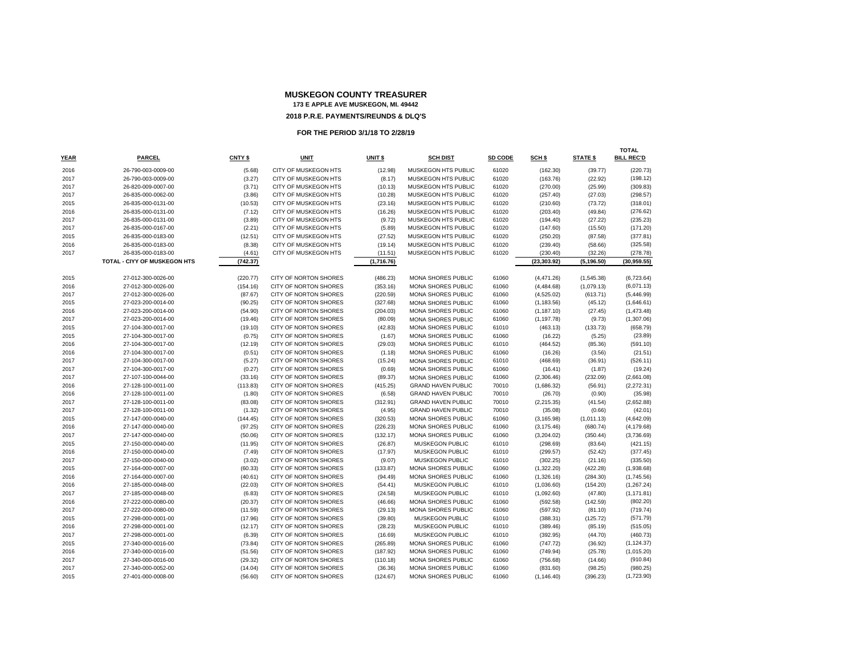|             |                              |          |                              |            |                           |         |              |                 | <b>TOTAL</b>      |
|-------------|------------------------------|----------|------------------------------|------------|---------------------------|---------|--------------|-----------------|-------------------|
| <b>YEAR</b> | <b>PARCEL</b>                | CNTY \$  | <b>UNIT</b>                  | UNIT \$    | <b>SCH DIST</b>           | SD CODE | SCH \$       | <b>STATE \$</b> | <b>BILL REC'D</b> |
| 2016        | 26-790-003-0009-00           | (5.68)   | <b>CITY OF MUSKEGON HTS</b>  | (12.98)    | MUSKEGON HTS PUBLIC       | 61020   | (162.30)     | (39.77)         | (220.73)          |
| 2017        | 26-790-003-0009-00           | (3.27)   | CITY OF MUSKEGON HTS         | (8.17)     | MUSKEGON HTS PUBLIC       | 61020   | (163.76)     | (22.92)         | (198.12)          |
| 2017        | 26-820-009-0007-00           | (3.71)   | CITY OF MUSKEGON HTS         | (10.13)    | MUSKEGON HTS PUBLIC       | 61020   | (270.00)     | (25.99)         | (309.83)          |
| 2017        | 26-835-000-0062-00           | (3.86)   | CITY OF MUSKEGON HTS         | (10.28)    | MUSKEGON HTS PUBLIC       | 61020   | (257.40)     | (27.03)         | (298.57)          |
| 2015        | 26-835-000-0131-00           | (10.53)  | CITY OF MUSKEGON HTS         | (23.16)    | MUSKEGON HTS PUBLIC       | 61020   | (210.60)     | (73.72)         | (318.01)          |
| 2016        | 26-835-000-0131-00           | (7.12)   | CITY OF MUSKEGON HTS         | (16.26)    | MUSKEGON HTS PUBLIC       | 61020   | (203.40)     | (49.84)         | (276.62)          |
| 2017        | 26-835-000-0131-00           | (3.89)   | <b>CITY OF MUSKEGON HTS</b>  | (9.72)     | MUSKEGON HTS PUBLIC       | 61020   | (194.40)     | (27.22)         | (235.23)          |
| 2017        | 26-835-000-0167-00           | (2.21)   | CITY OF MUSKEGON HTS         | (5.89)     | MUSKEGON HTS PUBLIC       | 61020   | (147.60)     | (15.50)         | (171.20)          |
| 2015        | 26-835-000-0183-00           | (12.51)  | CITY OF MUSKEGON HTS         | (27.52)    | MUSKEGON HTS PUBLIC       | 61020   | (250.20)     | (87.58)         | (377.81)          |
| 2016        | 26-835-000-0183-00           | (8.38)   | CITY OF MUSKEGON HTS         | (19.14)    | MUSKEGON HTS PUBLIC       | 61020   | (239.40)     | (58.66)         | (325.58)          |
| 2017        | 26-835-000-0183-00           | (4.61)   | CITY OF MUSKEGON HTS         | (11.51)    | MUSKEGON HTS PUBLIC       | 61020   | (230.40)     | (32.26)         | (278.78)          |
|             | TOTAL - CIYY OF MUSKEGON HTS | (742.37) |                              | (1,716.76) |                           |         | (23, 303.92) | (5, 196.50)     | (30,959.55)       |
| 2015        | 27-012-300-0026-00           | (220.77) | CITY OF NORTON SHORES        | (486.23)   | MONA SHORES PUBLIC        | 61060   | (4, 471.26)  | (1,545.38)      | (6,723.64)        |
| 2016        | 27-012-300-0026-00           | (154.16) | CITY OF NORTON SHORES        | (353.16)   | MONA SHORES PUBLIC        | 61060   | (4,484.68)   | (1,079.13)      | (6,071.13)        |
| 2017        | 27-012-300-0026-00           | (87.67)  | <b>CITY OF NORTON SHORES</b> | (220.59)   | <b>MONA SHORES PUBLIC</b> | 61060   | (4,525.02)   | (613.71)        | (5,446.99)        |
| 2015        | 27-023-200-0014-00           | (90.25)  | CITY OF NORTON SHORES        | (327.68)   | MONA SHORES PUBLIC        | 61060   | (1, 183.56)  | (45.12)         | (1,646.61)        |
| 2016        | 27-023-200-0014-00           | (54.90)  | CITY OF NORTON SHORES        | (204.03)   | MONA SHORES PUBLIC        | 61060   | (1, 187.10)  | (27.45)         | (1,473.48)        |
| 2017        | 27-023-200-0014-00           | (19.46)  | CITY OF NORTON SHORES        | (80.09)    | <b>MONA SHORES PUBLIC</b> | 61060   | (1, 197.78)  | (9.73)          | (1,307.06)        |
| 2015        | 27-104-300-0017-00           | (19.10)  | CITY OF NORTON SHORES        | (42.83)    | MONA SHORES PUBLIC        | 61010   | (463.13)     | (133.73)        | (658.79)          |
| 2015        | 27-104-300-0017-00           | (0.75)   | CITY OF NORTON SHORES        | (1.67)     | MONA SHORES PUBLIC        | 61060   | (16.22)      | (5.25)          | (23.89)           |
| 2016        | 27-104-300-0017-00           | (12.19)  | CITY OF NORTON SHORES        | (29.03)    | <b>MONA SHORES PUBLIC</b> | 61010   | (464.52)     | (85.36)         | (591.10)          |
| 2016        | 27-104-300-0017-00           | (0.51)   | <b>CITY OF NORTON SHORES</b> | (1.18)     | MONA SHORES PUBLIC        | 61060   | (16.26)      | (3.56)          | (21.51)           |
| 2017        | 27-104-300-0017-00           | (5.27)   | CITY OF NORTON SHORES        | (15.24)    | MONA SHORES PUBLIC        | 61010   | (468.69)     | (36.91)         | (526.11)          |
| 2017        | 27-104-300-0017-00           | (0.27)   | CITY OF NORTON SHORES        | (0.69)     | MONA SHORES PUBLIC        | 61060   | (16.41)      | (1.87)          | (19.24)           |
| 2017        | 27-107-100-0044-00           | (33.16)  | <b>CITY OF NORTON SHORES</b> | (89.37)    | <b>MONA SHORES PUBLIC</b> | 61060   | (2,306.46)   | (232.09)        | (2,661.08)        |
| 2016        | 27-128-100-0011-00           | (113.83) | CITY OF NORTON SHORES        | (415.25)   | <b>GRAND HAVEN PUBLIC</b> | 70010   | (1,686.32)   | (56.91)         | (2,272.31)        |
| 2016        | 27-128-100-0011-00           | (1.80)   | CITY OF NORTON SHORES        | (6.58)     | <b>GRAND HAVEN PUBLIC</b> | 70010   | (26.70)      | (0.90)          | (35.98)           |
| 2017        | 27-128-100-0011-00           | (83.08)  | <b>CITY OF NORTON SHORES</b> | (312.91)   | <b>GRAND HAVEN PUBLIC</b> | 70010   | (2, 215.35)  | (41.54)         | (2,652.88)        |
| 2017        | 27-128-100-0011-00           | (1.32)   | CITY OF NORTON SHORES        | (4.95)     | <b>GRAND HAVEN PUBLIC</b> | 70010   | (35.08)      | (0.66)          | (42.01)           |
| 2015        | 27-147-000-0040-00           | (144.45) | CITY OF NORTON SHORES        | (320.53)   | <b>MONA SHORES PUBLIC</b> | 61060   | (3, 165.98)  | (1,011.13)      | (4,642.09)        |
| 2016        | 27-147-000-0040-00           | (97.25)  | <b>CITY OF NORTON SHORES</b> | (226.23)   | <b>MONA SHORES PUBLIC</b> | 61060   | (3, 175.46)  | (680.74)        | (4, 179.68)       |
| 2017        | 27-147-000-0040-00           | (50.06)  | <b>CITY OF NORTON SHORES</b> | (132.17)   | <b>MONA SHORES PUBLIC</b> | 61060   | (3,204.02)   | (350.44)        | (3,736.69)        |
| 2015        | 27-150-000-0040-00           | (11.95)  | CITY OF NORTON SHORES        | (26.87)    | MUSKEGON PUBLIC           | 61010   | (298.69)     | (83.64)         | (421.15)          |
| 2016        | 27-150-000-0040-00           | (7.49)   | <b>CITY OF NORTON SHORES</b> | (17.97)    | MUSKEGON PUBLIC           | 61010   | (299.57)     | (52.42)         | (377.45)          |
| 2017        | 27-150-000-0040-00           | (3.02)   | CITY OF NORTON SHORES        | (9.07)     | MUSKEGON PUBLIC           | 61010   | (302.25)     | (21.16)         | (335.50)          |
| 2015        | 27-164-000-0007-00           | (60.33)  | CITY OF NORTON SHORES        | (133.87)   | <b>MONA SHORES PUBLIC</b> | 61060   | (1,322.20)   | (422.28)        | (1,938.68)        |
| 2016        | 27-164-000-0007-00           | (40.61)  | CITY OF NORTON SHORES        | (94.49)    | <b>MONA SHORES PUBLIC</b> | 61060   | (1,326.16)   | (284.30)        | (1,745.56)        |
| 2016        | 27-185-000-0048-00           | (22.03)  | <b>CITY OF NORTON SHORES</b> | (54.41)    | <b>MUSKEGON PUBLIC</b>    | 61010   | (1,036.60)   | (154.20)        | (1,267.24)        |
| 2017        | 27-185-000-0048-00           | (6.83)   | CITY OF NORTON SHORES        | (24.58)    | MUSKEGON PUBLIC           | 61010   | (1,092.60)   | (47.80)         | (1, 171.81)       |
| 2016        | 27-222-000-0080-00           | (20.37)  | CITY OF NORTON SHORES        | (46.66)    | MONA SHORES PUBLIC        | 61060   | (592.58)     | (142.59)        | (802.20)          |
| 2017        | 27-222-000-0080-00           | (11.59)  | CITY OF NORTON SHORES        | (29.13)    | <b>MONA SHORES PUBLIC</b> | 61060   | (597.92)     | (81.10)         | (719.74)          |
| 2015        | 27-298-000-0001-00           | (17.96)  | CITY OF NORTON SHORES        | (39.80)    | MUSKEGON PUBLIC           | 61010   | (388.31)     | (125.72)        | (571.79)          |
| 2016        | 27-298-000-0001-00           | (12.17)  | CITY OF NORTON SHORES        | (28.23)    | MUSKEGON PUBLIC           | 61010   | (389.46)     | (85.19)         | (515.05)          |
| 2017        | 27-298-000-0001-00           | (6.39)   | CITY OF NORTON SHORES        | (16.69)    | MUSKEGON PUBLIC           | 61010   | (392.95)     | (44.70)         | (460.73)          |
| 2015        | 27-340-000-0016-00           | (73.84)  | CITY OF NORTON SHORES        | (265.89)   | MONA SHORES PUBLIC        | 61060   | (747.72)     | (36.92)         | (1, 124.37)       |
| 2016        | 27-340-000-0016-00           | (51.56)  | CITY OF NORTON SHORES        | (187.92)   | <b>MONA SHORES PUBLIC</b> | 61060   | (749.94)     | (25.78)         | (1,015.20)        |
| 2017        | 27-340-000-0016-00           | (29.32)  | CITY OF NORTON SHORES        | (110.18)   | <b>MONA SHORES PUBLIC</b> | 61060   | (756.68)     | (14.66)         | (910.84)          |
| 2017        | 27-340-000-0052-00           | (14.04)  | CITY OF NORTON SHORES        | (36.36)    | <b>MONA SHORES PUBLIC</b> | 61060   | (831.60)     | (98.25)         | (980.25)          |
| 2015        | 27-401-000-0008-00           | (56.60)  | CITY OF NORTON SHORES        | (124.67)   | MONA SHORES PUBLIC        | 61060   | (1, 146.40)  | (396.23)        | (1,723.90)        |